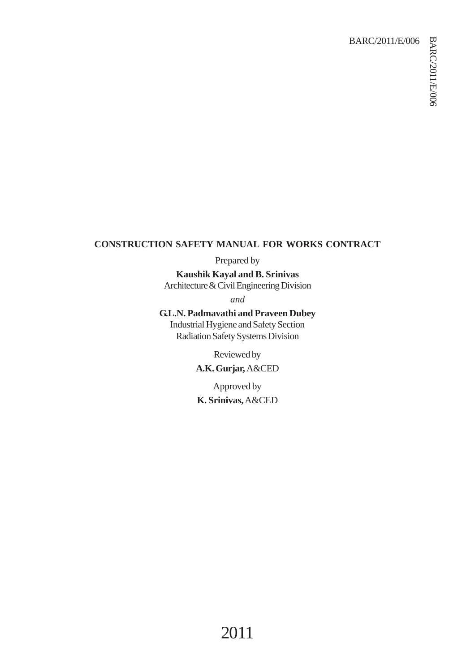## BARC/2011/E/006

## **CONSTRUCTION SAFETY MANUAL FOR WORKS CONTRACT**

Prepared by

**Kaushik Kayal and B. Srinivas** Architecture & Civil Engineering Division

*and*

**G.L.N. Padmavathi and Praveen Dubey** Industrial Hygiene and Safety Section Radiation Safety Systems Division

> Reviewed by **A.K. Gurjar,** A&CED

Approved by **K. Srinivas,** A&CED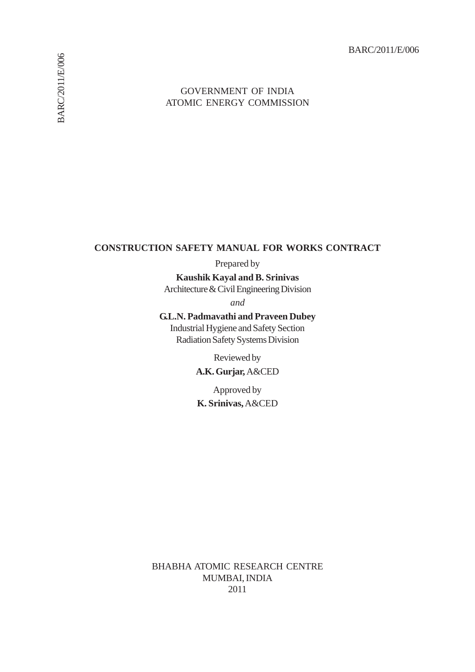BARC/2011/E/006

### **CONSTRUCTION SAFETY MANUAL FOR WORKS CONTRACT**

Prepared by

**Kaushik Kayal and B. Srinivas** Architecture & Civil Engineering Division

*and*

**G.L.N. Padmavathi and Praveen Dubey**

Industrial Hygiene and Safety Section Radiation Safety Systems Division

> Reviewed by **A.K. Gurjar,** A&CED

Approved by **K. Srinivas,** A&CED

BHABHA ATOMIC RESEARCH CENTRE MUMBAI, INDIA 2011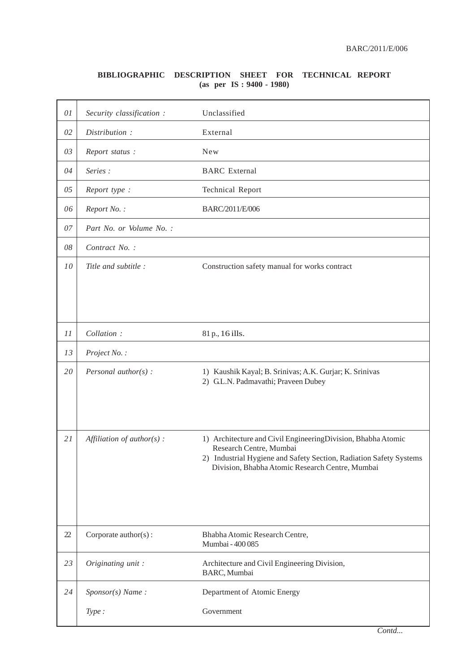#### **BIBLIOGRAPHIC DESCRIPTION SHEET FOR TECHNICAL REPORT (as per IS : 9400 - 1980)**

| 01 | Security classification :    | Unclassified                                                                                                                                                                                                     |
|----|------------------------------|------------------------------------------------------------------------------------------------------------------------------------------------------------------------------------------------------------------|
| 02 | Distribution:                | External                                                                                                                                                                                                         |
| 03 | Report status:               | <b>New</b>                                                                                                                                                                                                       |
| 04 | Series:                      | <b>BARC</b> External                                                                                                                                                                                             |
| 05 | Report type :                | <b>Technical Report</b>                                                                                                                                                                                          |
| 06 | Report No.:                  | BARC/2011/E/006                                                                                                                                                                                                  |
| 07 | Part No. or Volume No. :     |                                                                                                                                                                                                                  |
| 08 | Contract No.:                |                                                                                                                                                                                                                  |
| 10 | Title and subtitle:          | Construction safety manual for works contract                                                                                                                                                                    |
|    |                              |                                                                                                                                                                                                                  |
|    |                              |                                                                                                                                                                                                                  |
| 11 | Collation:                   | 81 p., 16 ills.                                                                                                                                                                                                  |
| 13 | Project No.:                 |                                                                                                                                                                                                                  |
| 20 | Personal author( $s$ ) :     | 1) Kaushik Kayal; B. Srinivas; A.K. Gurjar; K. Srinivas<br>2) G.L.N. Padmavathi; Praveen Dubey                                                                                                                   |
|    |                              |                                                                                                                                                                                                                  |
| 21 | Affiliation of $author(s)$ : | 1) Architecture and Civil EngineeringDivision, Bhabha Atomic<br>Research Centre, Mumbai<br>2) Industrial Hygiene and Safety Section, Radiation Safety Systems<br>Division, Bhabha Atomic Research Centre, Mumbai |
|    |                              |                                                                                                                                                                                                                  |
| 22 | Corporate author(s):         | Bhabha Atomic Research Centre,<br>Mumbai - 400 085                                                                                                                                                               |
| 23 | Originating unit:            | Architecture and Civil Engineering Division,<br>BARC, Mumbai                                                                                                                                                     |
| 24 | Sponsor(s) Name:             | Department of Atomic Energy                                                                                                                                                                                      |
|    | Type:                        | Government                                                                                                                                                                                                       |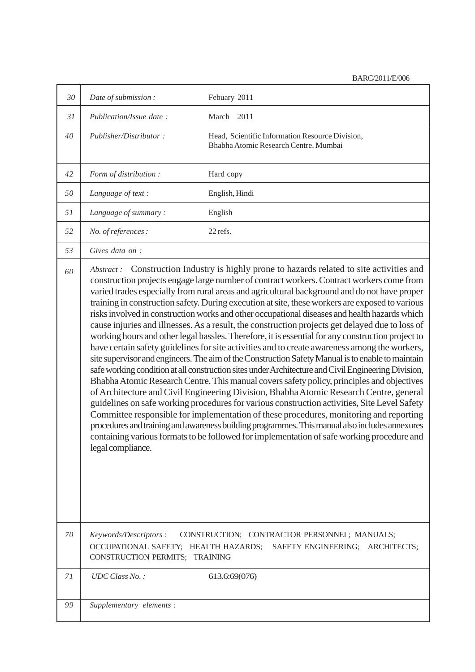| 30 | Date of submission:                                                                                                                                                                                                                                                                                                                                                                                                                                                                                                                                                                                                                                                                                                                                                                                                                                                                                                                                                                                                                                                                                                                                                                                                                                                                                                                                                                                                                                                                                                                                                                                                       | Febuary 2011                                                                                                         |
|----|---------------------------------------------------------------------------------------------------------------------------------------------------------------------------------------------------------------------------------------------------------------------------------------------------------------------------------------------------------------------------------------------------------------------------------------------------------------------------------------------------------------------------------------------------------------------------------------------------------------------------------------------------------------------------------------------------------------------------------------------------------------------------------------------------------------------------------------------------------------------------------------------------------------------------------------------------------------------------------------------------------------------------------------------------------------------------------------------------------------------------------------------------------------------------------------------------------------------------------------------------------------------------------------------------------------------------------------------------------------------------------------------------------------------------------------------------------------------------------------------------------------------------------------------------------------------------------------------------------------------------|----------------------------------------------------------------------------------------------------------------------|
| 31 | Publication/Issue date:                                                                                                                                                                                                                                                                                                                                                                                                                                                                                                                                                                                                                                                                                                                                                                                                                                                                                                                                                                                                                                                                                                                                                                                                                                                                                                                                                                                                                                                                                                                                                                                                   | March 2011                                                                                                           |
| 40 | Publisher/Distributor:                                                                                                                                                                                                                                                                                                                                                                                                                                                                                                                                                                                                                                                                                                                                                                                                                                                                                                                                                                                                                                                                                                                                                                                                                                                                                                                                                                                                                                                                                                                                                                                                    | Head, Scientific Information Resource Division,<br>Bhabha Atomic Research Centre, Mumbai                             |
| 42 | Form of distribution :                                                                                                                                                                                                                                                                                                                                                                                                                                                                                                                                                                                                                                                                                                                                                                                                                                                                                                                                                                                                                                                                                                                                                                                                                                                                                                                                                                                                                                                                                                                                                                                                    | Hard copy                                                                                                            |
| 50 | Language of text :                                                                                                                                                                                                                                                                                                                                                                                                                                                                                                                                                                                                                                                                                                                                                                                                                                                                                                                                                                                                                                                                                                                                                                                                                                                                                                                                                                                                                                                                                                                                                                                                        | English, Hindi                                                                                                       |
| 51 | Language of summary:                                                                                                                                                                                                                                                                                                                                                                                                                                                                                                                                                                                                                                                                                                                                                                                                                                                                                                                                                                                                                                                                                                                                                                                                                                                                                                                                                                                                                                                                                                                                                                                                      | English                                                                                                              |
| 52 | No. of references :                                                                                                                                                                                                                                                                                                                                                                                                                                                                                                                                                                                                                                                                                                                                                                                                                                                                                                                                                                                                                                                                                                                                                                                                                                                                                                                                                                                                                                                                                                                                                                                                       | 22 refs.                                                                                                             |
| 53 | Gives data on :                                                                                                                                                                                                                                                                                                                                                                                                                                                                                                                                                                                                                                                                                                                                                                                                                                                                                                                                                                                                                                                                                                                                                                                                                                                                                                                                                                                                                                                                                                                                                                                                           |                                                                                                                      |
| 60 | Construction Industry is highly prone to hazards related to site activities and<br>Abstract:<br>construction projects engage large number of contract workers. Contract workers come from<br>varied trades especially from rural areas and agricultural background and do not have proper<br>training in construction safety. During execution at site, these workers are exposed to various<br>risks involved in construction works and other occupational diseases and health hazards which<br>cause injuries and illnesses. As a result, the construction projects get delayed due to loss of<br>working hours and other legal hassles. Therefore, it is essential for any construction project to<br>have certain safety guidelines for site activities and to create awareness among the workers,<br>site supervisor and engineers. The aim of the Construction Safety Manual is to enable to maintain<br>safe working condition at all construction sites under Architecture and Civil Engineering Division,<br>Bhabha Atomic Research Centre. This manual covers safety policy, principles and objectives<br>of Architecture and Civil Engineering Division, Bhabha Atomic Research Centre, general<br>guidelines on safe working procedures for various construction activities, Site Level Safety<br>Committee responsible for implementation of these procedures, monitoring and reporting<br>procedures and training and awareness building programmes. This manual also includes annexures<br>containing various formats to be followed for implementation of safe working procedure and<br>legal compliance. |                                                                                                                      |
| 70 | Keywords/Descriptors:<br>CONSTRUCTION PERMITS; TRAINING                                                                                                                                                                                                                                                                                                                                                                                                                                                                                                                                                                                                                                                                                                                                                                                                                                                                                                                                                                                                                                                                                                                                                                                                                                                                                                                                                                                                                                                                                                                                                                   | CONSTRUCTION; CONTRACTOR PERSONNEL; MANUALS;<br>OCCUPATIONAL SAFETY; HEALTH HAZARDS; SAFETY ENGINEERING; ARCHITECTS; |
| 71 | $UDC Class No.$ :                                                                                                                                                                                                                                                                                                                                                                                                                                                                                                                                                                                                                                                                                                                                                                                                                                                                                                                                                                                                                                                                                                                                                                                                                                                                                                                                                                                                                                                                                                                                                                                                         | 613.6:69(076)                                                                                                        |
| 99 | Supplementary elements:                                                                                                                                                                                                                                                                                                                                                                                                                                                                                                                                                                                                                                                                                                                                                                                                                                                                                                                                                                                                                                                                                                                                                                                                                                                                                                                                                                                                                                                                                                                                                                                                   |                                                                                                                      |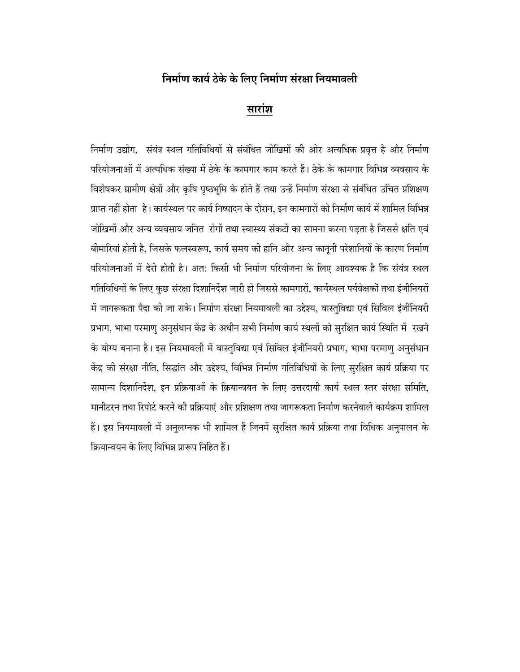# **×−Ö´ÖÖÔÖ úÖμÖÔ šêüêú êú ×»Ö‹ ×−Ö´ÖÖÔÖ ÃÖÓ¸üÖÖ ×−ÖμÖ´ÖÖ¾Ö»Öß**

## **सारांश**

निर्माण उद्योग, संयंत्र स्थल गतिविधियों से संबंधित जोखिमों की ओर अत्यधिक प्रवृत्त है और निर्माण परियोजनाओं में अत्यधिक संख्या में ठेके के कामगार काम करते हैं। ठेके के कामगार विभिन्न व्यवसाय के विशेषकर ग्रामीण क्षेत्रों और कृषि पृष्ठभूमि के होते हैं तथा उन्हें निर्माण संरक्षा से संबंधित उचित प्रशिक्षण प्राप्त नहीं होता है। कार्यस्थल पर कार्य निष्पादन के दौरान, इन कामगारों को निर्माण कार्य में शामिल विभिन्न जोखिमों और अन्य व्यवसाय जनित रोगों तथा स्वास्थ्य संकटों का सामना करना पड़ता है जिससे क्षति एवं बीमारियां होती है, जिसके फलस्वरूप, कार्य समय की हानि और अन्य कानूनी परेशानियों के कारण निर्माण परियोजनाओं में देरी होती है। अत: किसी भी निर्माण परियोजना के लिए आवश्यक है कि संयंत्र स्थल गतिविधियों के लिए कुछ संरक्षा दिशानिर्देश जारी हो जिससे कामगारों, कार्यस्थल पर्यवेक्षकों तथा इंजीनियरों में जागरूकता पैदा की जा सके। निर्माण संरक्षा नियमावली का उद्देश्य, वास्तुविद्या एवं सिविल इंजीनियरी प्रभाग, भाभा परमाणु अनुसंधान केंद्र के अधीन सभी निर्माण कार्य स्थलों को सुरक्षित कार्य स्थिति में रखने के योग्य बनाना है। इस नियमावली में वास्तुविद्या एवं सिविल इंजीनियरी प्रभाग, भाभा परमाणु अनुसंधान केंद्र की संरक्षा नीति, सिद्धांत और उद्देश्य, विभिन्न निर्माण गतिविधियों के लिए सुरक्षित कार्य प्रक्रिया पर सामान्य दिशानिर्देश, इन प्रक्रियाओं के क्रियान्वयन के लिए उत्तरदायी कार्य स्थल स्तर संरक्षा समिति, मानीटरन तथा रिपोर्ट करने की प्रक्रियाएं और प्रशिक्षण तथा जागरूकता निर्माण करनेवाले कार्यक्रम शामिल हैं। इस नियमावली में अनुलग्नक भी शामिल हैं जिनमें सुरक्षित कार्य प्रक्रिया तथा विधिक अनुपालन के क्रियान्वयन के लिए विभिन्न प्रारूप निहित हैं।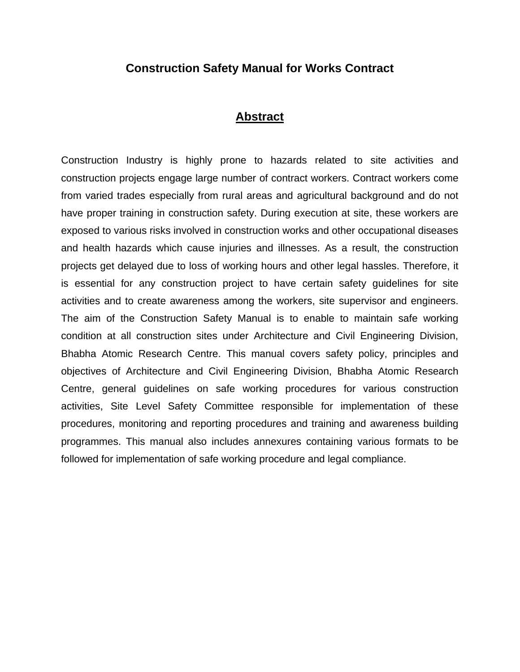## **Construction Safety Manual for Works Contract**

## **Abstract**

Construction Industry is highly prone to hazards related to site activities and construction projects engage large number of contract workers. Contract workers come from varied trades especially from rural areas and agricultural background and do not have proper training in construction safety. During execution at site, these workers are exposed to various risks involved in construction works and other occupational diseases and health hazards which cause injuries and illnesses. As a result, the construction projects get delayed due to loss of working hours and other legal hassles. Therefore, it is essential for any construction project to have certain safety guidelines for site activities and to create awareness among the workers, site supervisor and engineers. The aim of the Construction Safety Manual is to enable to maintain safe working condition at all construction sites under Architecture and Civil Engineering Division, Bhabha Atomic Research Centre. This manual covers safety policy, principles and objectives of Architecture and Civil Engineering Division, Bhabha Atomic Research Centre, general guidelines on safe working procedures for various construction activities, Site Level Safety Committee responsible for implementation of these procedures, monitoring and reporting procedures and training and awareness building programmes. This manual also includes annexures containing various formats to be followed for implementation of safe working procedure and legal compliance.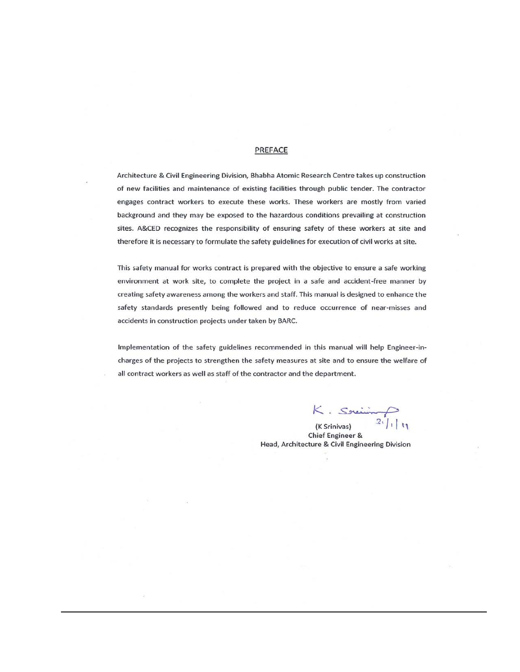#### PREFACE

Architecture & Civil Engineering Division, Bhabha Atomic Research Centre takes up construction of new facilities and maintenance of existing facilities through public tender. The contractor engages contract workers to execute these works. These workers are mostly from varied background and they may be exposed to the hazardous conditions prevailing at construction sites. A&CED recognizes the responsibility of ensuring safety of these workers at site and therefore it is necessary to formulate the safety guidelines for execution of civil works at site.

This safety manual for works contract is prepared with the objective to ensure a safe working environment at work site, to complete the project in a safe and accident-free manner by creating safety awareness among the workers and staff. This manual is designed to enhance the safety standards presently being followed and to reduce occurrence of near-misses and accidents in construction projects under taken by BARC.

Implementation of the safety guidelines recommended in this manual will help Engineer-incharges of the projects to strengthen the safety measures at site and to ensure the welfare of all contract workers as well as staff of the contractor and the department.

 $K$ . Soming

Chief Engineer & Head, Architecture & Civil Engineering Division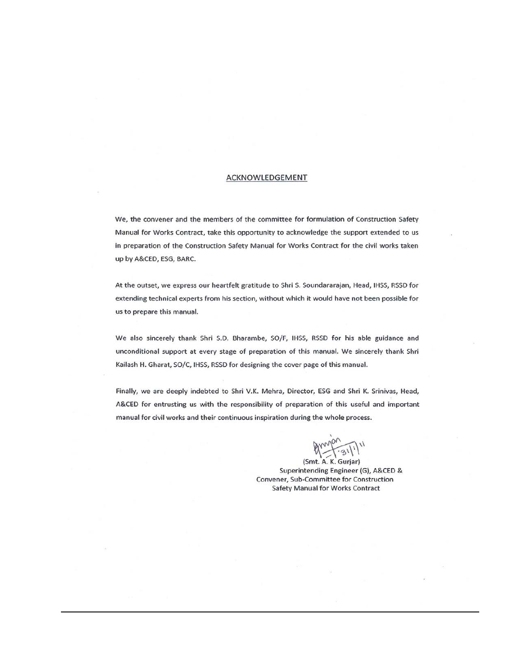#### ACKNOWLEDGEMENT

We, the convener and the members of the committee for formulation of Construction Safety Manual for Works Contract, take this opportunity to acknowledge the support extended to us in preparation of the Construction Safety Manual for Works Contract for the civil works taken up by A&CED, ESG, BARC.

At the outset, we express our heartfelt gratitude to Shri S. Soundararajan, Head, IHSS, RSSD for extending technical experts from his section, without which it would have not been possible for us to prepare this manual.

We also sincerely thank Shri S.D. Bharambe, SO/F, IHSS, RSSD for his able guidance and unconditional support at every stage of preparation of this manual. We sincerely thank Shri Kailash H. Gharat, SO/C, IHSS, RSSD for designing the cover page of this manual.

Finally, we are deeply indebted to Shri V.K. Mehra, Director, ESG and Shri K. Srinivas, Head, A&CED for entrusting us with the responsibility of preparation of this useful and important manual for civil works and their continuous inspiration during the whole process.

grandon 31/11

(Smt. A. K. Gurjar) Superintending Engineer (G), A&CED & Convener, Sub-Committee for Construction **Safety Manual for Works Contract**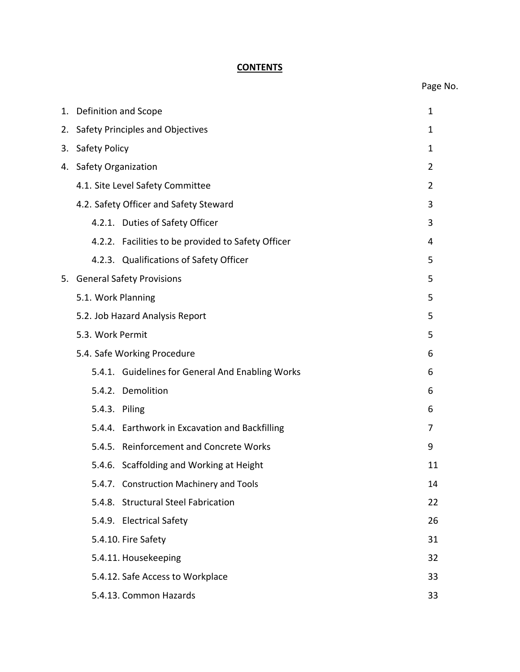## **CONTENTS**

| 1. | Definition and Scope                               | 1              |
|----|----------------------------------------------------|----------------|
| 2. | Safety Principles and Objectives                   |                |
| 3. | Safety Policy                                      |                |
| 4. | <b>Safety Organization</b>                         | 2              |
|    | 4.1. Site Level Safety Committee                   | $\overline{2}$ |
|    | 4.2. Safety Officer and Safety Steward             | 3              |
|    | 4.2.1. Duties of Safety Officer                    | 3              |
|    | 4.2.2. Facilities to be provided to Safety Officer | 4              |
|    | 4.2.3. Qualifications of Safety Officer            | 5              |
| 5. | <b>General Safety Provisions</b>                   | 5              |
|    | 5.1. Work Planning                                 | 5              |
|    | 5.2. Job Hazard Analysis Report                    | 5              |
|    | 5.3. Work Permit                                   | 5              |
|    | 5.4. Safe Working Procedure                        | 6              |
|    | 5.4.1. Guidelines for General And Enabling Works   | 6              |
|    | 5.4.2. Demolition                                  | 6              |
|    | 5.4.3. Piling                                      | 6              |
|    | 5.4.4. Earthwork in Excavation and Backfilling     | 7              |
|    | 5.4.5. Reinforcement and Concrete Works            | 9              |
|    | 5.4.6. Scaffolding and Working at Height           | 11             |
|    | 5.4.7. Construction Machinery and Tools            | 14             |
|    | 5.4.8. Structural Steel Fabrication                | 22             |
|    | 5.4.9. Electrical Safety                           | 26             |
|    | 5.4.10. Fire Safety                                | 31             |
|    | 5.4.11. Housekeeping                               | 32             |
|    | 5.4.12. Safe Access to Workplace                   | 33             |
|    | 5.4.13. Common Hazards                             | 33             |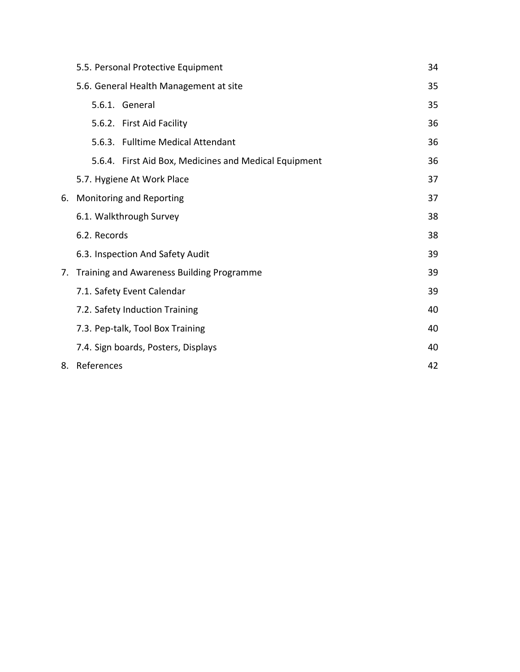|    | 5.5. Personal Protective Equipment                    | 34 |
|----|-------------------------------------------------------|----|
|    | 5.6. General Health Management at site                | 35 |
|    | 5.6.1. General                                        | 35 |
|    | 5.6.2. First Aid Facility                             | 36 |
|    | 5.6.3. Fulltime Medical Attendant                     | 36 |
|    | 5.6.4. First Aid Box, Medicines and Medical Equipment | 36 |
|    | 5.7. Hygiene At Work Place                            | 37 |
| 6. | Monitoring and Reporting                              | 37 |
|    | 6.1. Walkthrough Survey                               | 38 |
|    | 6.2. Records                                          | 38 |
|    | 6.3. Inspection And Safety Audit                      | 39 |
| 7. | Training and Awareness Building Programme             | 39 |
|    | 7.1. Safety Event Calendar                            | 39 |
|    | 7.2. Safety Induction Training                        | 40 |
|    | 7.3. Pep-talk, Tool Box Training                      | 40 |
|    | 7.4. Sign boards, Posters, Displays                   | 40 |
|    | 8. References                                         | 42 |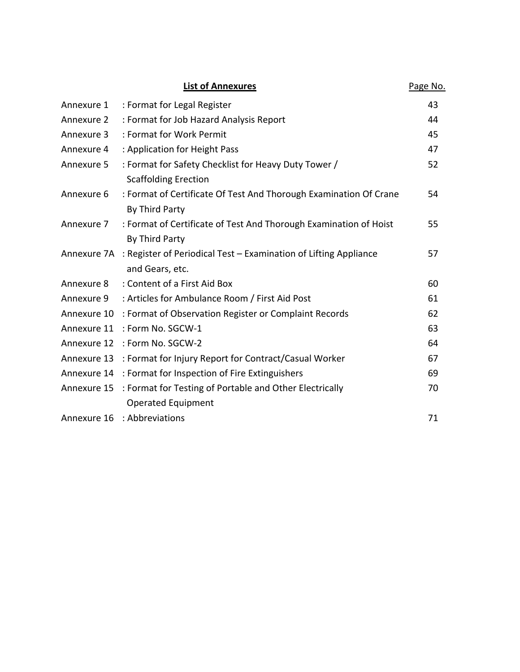| <b>List of Annexures</b> |                                                                              | Page No. |
|--------------------------|------------------------------------------------------------------------------|----------|
| Annexure 1               | : Format for Legal Register                                                  | 43       |
| Annexure 2               | : Format for Job Hazard Analysis Report                                      | 44       |
| Annexure 3               | : Format for Work Permit                                                     | 45       |
| Annexure 4               | : Application for Height Pass                                                | 47       |
| Annexure 5               | : Format for Safety Checklist for Heavy Duty Tower /                         | 52       |
|                          | <b>Scaffolding Erection</b>                                                  |          |
| Annexure 6               | : Format of Certificate Of Test And Thorough Examination Of Crane            | 54       |
|                          | By Third Party                                                               |          |
| Annexure 7               | : Format of Certificate of Test And Thorough Examination of Hoist            | 55       |
|                          | By Third Party                                                               |          |
|                          | Annexure 7A : Register of Periodical Test - Examination of Lifting Appliance | 57       |
|                          | and Gears, etc.                                                              |          |
| Annexure 8               | : Content of a First Aid Box                                                 | 60       |
| Annexure 9               | : Articles for Ambulance Room / First Aid Post                               | 61       |
| Annexure 10              | : Format of Observation Register or Complaint Records                        | 62       |
| Annexure 11              | : Form No. SGCW-1                                                            | 63       |
|                          | Annexure 12 : Form No. SGCW-2                                                | 64       |
|                          | Annexure 13 : Format for Injury Report for Contract/Casual Worker            | 67       |
|                          | Annexure 14 : Format for Inspection of Fire Extinguishers                    | 69       |
| Annexure 15              | : Format for Testing of Portable and Other Electrically                      | 70       |
|                          | <b>Operated Equipment</b>                                                    |          |
| Annexure 16              | : Abbreviations                                                              | 71       |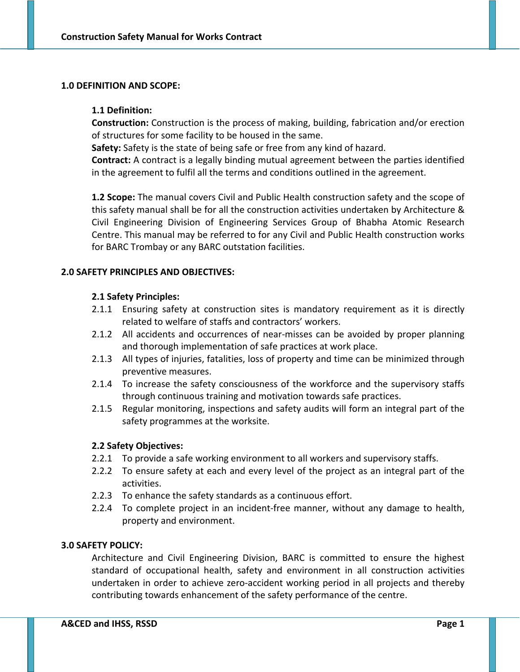#### **1.0 DEFINITION AND SCOPE:**

#### **1.1 Definition:**

**Construction:** Construction is the process of making, building, fabrication and/or erection of structures for some facility to be housed in the same.

**Safety:** Safety is the state of being safe or free from any kind of hazard.

**Contract:** A contract is a legally binding mutual agreement between the parties identified in the agreement to fulfil all the terms and conditions outlined in the agreement.

**1.2 Scope:** The manual covers Civil and Public Health construction safety and the scope of this safety manual shall be for all the construction activities undertaken by Architecture & Civil Engineering Division of Engineering Services Group of Bhabha Atomic Research Centre. This manual may be referred to for any Civil and Public Health construction works for BARC Trombay or any BARC outstation facilities.

### **2.0 SAFETY PRINCIPLES AND OBJECTIVES:**

#### **2.1 Safety Principles:**

- 2.1.1 Ensuring safety at construction sites is mandatory requirement as it is directly related to welfare of staffs and contractors' workers.
- 2.1.2 All accidents and occurrences of near-misses can be avoided by proper planning and thorough implementation of safe practices at work place.
- 2.1.3 All types of injuries, fatalities, loss of property and time can be minimized through preventive measures.
- 2.1.4 To increase the safety consciousness of the workforce and the supervisory staffs through continuous training and motivation towards safe practices.
- 2.1.5 Regular monitoring, inspections and safety audits will form an integral part of the safety programmes at the worksite.

### **2.2 Safety Objectives:**

- 2.2.1 To provide a safe working environment to all workers and supervisory staffs.
- 2.2.2 To ensure safety at each and every level of the project as an integral part of the activities.
- 2.2.3 To enhance the safety standards as a continuous effort.
- 2.2.4 To complete project in an incident‐free manner, without any damage to health, property and environment.

### **3.0 SAFETY POLICY:**

Architecture and Civil Engineering Division, BARC is committed to ensure the highest standard of occupational health, safety and environment in all construction activities undertaken in order to achieve zero‐accident working period in all projects and thereby contributing towards enhancement of the safety performance of the centre.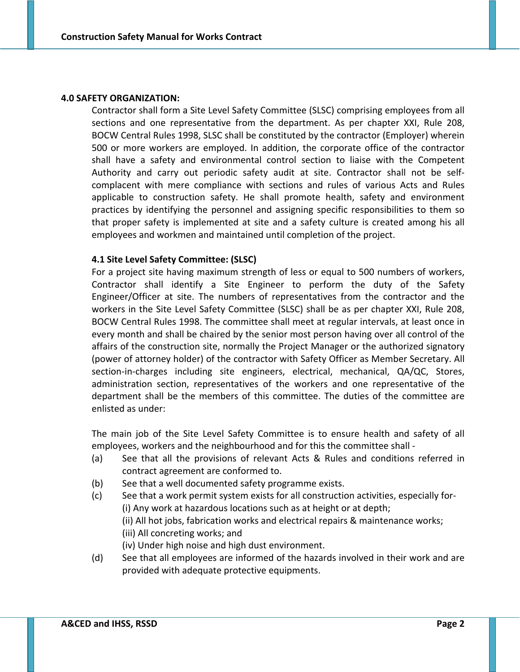#### **4.0 SAFETY ORGANIZATION:**

Contractor shall form a Site Level Safety Committee (SLSC) comprising employees from all sections and one representative from the department. As per chapter XXI, Rule 208, BOCW Central Rules 1998, SLSC shall be constituted by the contractor (Employer) wherein 500 or more workers are employed. In addition, the corporate office of the contractor shall have a safety and environmental control section to liaise with the Competent Authority and carry out periodic safety audit at site. Contractor shall not be self‐ complacent with mere compliance with sections and rules of various Acts and Rules applicable to construction safety. He shall promote health, safety and environment practices by identifying the personnel and assigning specific responsibilities to them so that proper safety is implemented at site and a safety culture is created among his all employees and workmen and maintained until completion of the project.

#### **4.1 Site Level Safety Committee: (SLSC)**

For a project site having maximum strength of less or equal to 500 numbers of workers, Contractor shall identify a Site Engineer to perform the duty of the Safety Engineer/Officer at site. The numbers of representatives from the contractor and the workers in the Site Level Safety Committee (SLSC) shall be as per chapter XXI, Rule 208, BOCW Central Rules 1998. The committee shall meet at regular intervals, at least once in every month and shall be chaired by the senior most person having over all control of the affairs of the construction site, normally the Project Manager or the authorized signatory (power of attorney holder) of the contractor with Safety Officer as Member Secretary. All section-in-charges including site engineers, electrical, mechanical, QA/QC, Stores, administration section, representatives of the workers and one representative of the department shall be the members of this committee. The duties of the committee are enlisted as under:

The main job of the Site Level Safety Committee is to ensure health and safety of all employees, workers and the neighbourhood and for this the committee shall ‐

- (a) See that all the provisions of relevant Acts & Rules and conditions referred in contract agreement are conformed to.
- (b) See that a well documented safety programme exists.
- (c) See that a work permit system exists for all construction activities, especially for‐ (i) Any work at hazardous locations such as at height or at depth; (ii) All hot jobs, fabrication works and electrical repairs & maintenance works; (iii) All concreting works; and (iv) Under high noise and high dust environment.
- (d) See that all employees are informed of the hazards involved in their work and are provided with adequate protective equipments.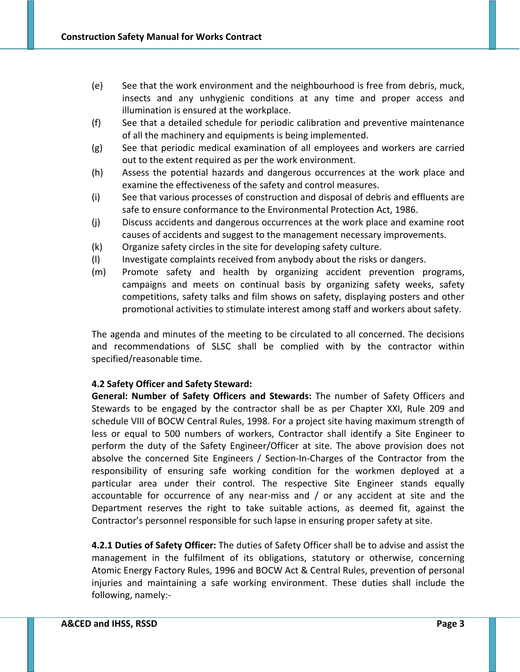- (e) See that the work environment and the neighbourhood is free from debris, muck, insects and any unhygienic conditions at any time and proper access and illumination is ensured at the workplace.
- (f) See that a detailed schedule for periodic calibration and preventive maintenance of all the machinery and equipments is being implemented.
- (g) See that periodic medical examination of all employees and workers are carried out to the extent required as per the work environment.
- (h) Assess the potential hazards and dangerous occurrences at the work place and examine the effectiveness of the safety and control measures.
- (i) See that various processes of construction and disposal of debris and effluents are safe to ensure conformance to the Environmental Protection Act, 1986.
- (j) Discuss accidents and dangerous occurrences at the work place and examine root causes of accidents and suggest to the management necessary improvements.
- (k) Organize safety circles in the site for developing safety culture.
- (l) Investigate complaints received from anybody about the risks or dangers.
- (m) Promote safety and health by organizing accident prevention programs, campaigns and meets on continual basis by organizing safety weeks, safety competitions, safety talks and film shows on safety, displaying posters and other promotional activities to stimulate interest among staff and workers about safety.

The agenda and minutes of the meeting to be circulated to all concerned. The decisions and recommendations of SLSC shall be complied with by the contractor within specified/reasonable time.

## **4.2 Safety Officer and Safety Steward:**

**General: Number of Safety Officers and Stewards:** The number of Safety Officers and Stewards to be engaged by the contractor shall be as per Chapter XXI, Rule 209 and schedule VIII of BOCW Central Rules, 1998. For a project site having maximum strength of less or equal to 500 numbers of workers, Contractor shall identify a Site Engineer to perform the duty of the Safety Engineer/Officer at site. The above provision does not absolve the concerned Site Engineers / Section‐In‐Charges of the Contractor from the responsibility of ensuring safe working condition for the workmen deployed at a particular area under their control. The respective Site Engineer stands equally accountable for occurrence of any near‐miss and / or any accident at site and the Department reserves the right to take suitable actions, as deemed fit, against the Contractor's personnel responsible for such lapse in ensuring proper safety at site.

**4.2.1 Duties of Safety Officer:** The duties of Safety Officer shall be to advise and assist the management in the fulfilment of its obligations, statutory or otherwise, concerning Atomic Energy Factory Rules, 1996 and BOCW Act & Central Rules, prevention of personal injuries and maintaining a safe working environment. These duties shall include the following, namely:‐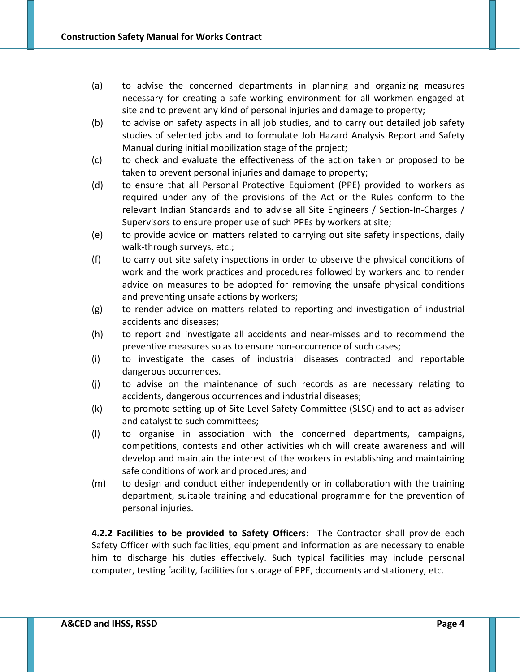- (a) to advise the concerned departments in planning and organizing measures necessary for creating a safe working environment for all workmen engaged at site and to prevent any kind of personal injuries and damage to property;
- (b) to advise on safety aspects in all job studies, and to carry out detailed job safety studies of selected jobs and to formulate Job Hazard Analysis Report and Safety Manual during initial mobilization stage of the project;
- (c) to check and evaluate the effectiveness of the action taken or proposed to be taken to prevent personal injuries and damage to property;
- (d) to ensure that all Personal Protective Equipment (PPE) provided to workers as required under any of the provisions of the Act or the Rules conform to the relevant Indian Standards and to advise all Site Engineers / Section‐In‐Charges / Supervisors to ensure proper use of such PPEs by workers at site;
- (e) to provide advice on matters related to carrying out site safety inspections, daily walk-through surveys, etc.;
- (f) to carry out site safety inspections in order to observe the physical conditions of work and the work practices and procedures followed by workers and to render advice on measures to be adopted for removing the unsafe physical conditions and preventing unsafe actions by workers;
- (g) to render advice on matters related to reporting and investigation of industrial accidents and diseases;
- (h) to report and investigate all accidents and near‐misses and to recommend the preventive measures so as to ensure non‐occurrence of such cases;
- (i) to investigate the cases of industrial diseases contracted and reportable dangerous occurrences.
- (j) to advise on the maintenance of such records as are necessary relating to accidents, dangerous occurrences and industrial diseases;
- (k) to promote setting up of Site Level Safety Committee (SLSC) and to act as adviser and catalyst to such committees;
- (l) to organise in association with the concerned departments, campaigns, competitions, contests and other activities which will create awareness and will develop and maintain the interest of the workers in establishing and maintaining safe conditions of work and procedures; and
- (m) to design and conduct either independently or in collaboration with the training department, suitable training and educational programme for the prevention of personal injuries.

**4.2.2 Facilities to be provided to Safety Officers**: The Contractor shall provide each Safety Officer with such facilities, equipment and information as are necessary to enable him to discharge his duties effectively. Such typical facilities may include personal computer, testing facility, facilities for storage of PPE, documents and stationery, etc.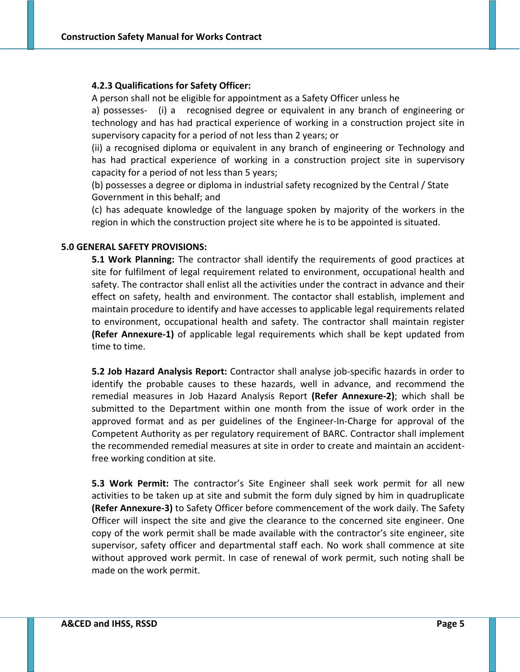#### **4.2.3 Qualifications for Safety Officer:**

A person shall not be eligible for appointment as a Safety Officer unless he

a) possesses- (i) a recognised degree or equivalent in any branch of engineering or technology and has had practical experience of working in a construction project site in supervisory capacity for a period of not less than 2 years; or

(ii) a recognised diploma or equivalent in any branch of engineering or Technology and has had practical experience of working in a construction project site in supervisory capacity for a period of not less than 5 years;

(b) possesses a degree or diploma in industrial safety recognized by the Central / State Government in this behalf; and

(c) has adequate knowledge of the language spoken by majority of the workers in the region in which the construction project site where he is to be appointed is situated.

#### **5.0 GENERAL SAFETY PROVISIONS:**

**5.1 Work Planning:** The contractor shall identify the requirements of good practices at site for fulfilment of legal requirement related to environment, occupational health and safety. The contractor shall enlist all the activities under the contract in advance and their effect on safety, health and environment. The contactor shall establish, implement and maintain procedure to identify and have accesses to applicable legal requirements related to environment, occupational health and safety. The contractor shall maintain register **(Refer Annexure‐1)** of applicable legal requirements which shall be kept updated from time to time.

**5.2 Job Hazard Analysis Report:** Contractor shall analyse job‐specific hazards in order to identify the probable causes to these hazards, well in advance, and recommend the remedial measures in Job Hazard Analysis Report **(Refer Annexure‐2)**; which shall be submitted to the Department within one month from the issue of work order in the approved format and as per guidelines of the Engineer‐In‐Charge for approval of the Competent Authority as per regulatory requirement of BARC. Contractor shall implement the recommended remedial measures at site in order to create and maintain an accident‐ free working condition at site.

**5.3 Work Permit:** The contractor's Site Engineer shall seek work permit for all new activities to be taken up at site and submit the form duly signed by him in quadruplicate **(Refer Annexure‐3)** to Safety Officer before commencement of the work daily. The Safety Officer will inspect the site and give the clearance to the concerned site engineer. One copy of the work permit shall be made available with the contractor's site engineer, site supervisor, safety officer and departmental staff each. No work shall commence at site without approved work permit. In case of renewal of work permit, such noting shall be made on the work permit.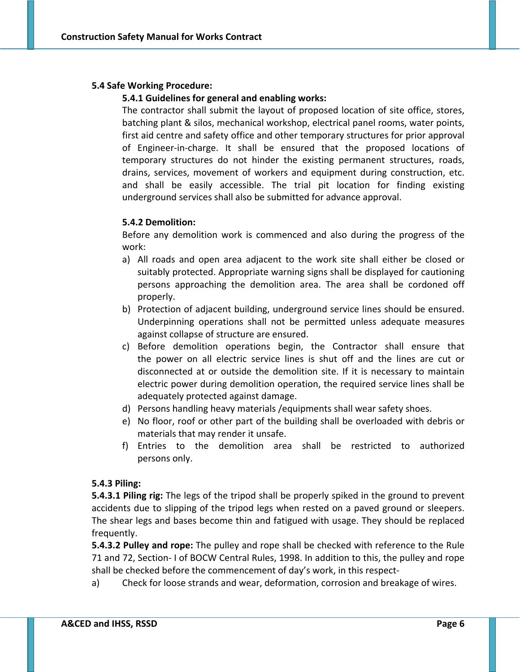### **5.4 Safe Working Procedure:**

### **5.4.1 Guidelines for general and enabling works:**

The contractor shall submit the layout of proposed location of site office, stores, batching plant & silos, mechanical workshop, electrical panel rooms, water points, first aid centre and safety office and other temporary structures for prior approval of Engineer‐in‐charge. It shall be ensured that the proposed locations of temporary structures do not hinder the existing permanent structures, roads, drains, services, movement of workers and equipment during construction, etc. and shall be easily accessible. The trial pit location for finding existing underground services shall also be submitted for advance approval.

## **5.4.2 Demolition:**

Before any demolition work is commenced and also during the progress of the work:

- a) All roads and open area adjacent to the work site shall either be closed or suitably protected. Appropriate warning signs shall be displayed for cautioning persons approaching the demolition area. The area shall be cordoned off properly.
- b) Protection of adjacent building, underground service lines should be ensured. Underpinning operations shall not be permitted unless adequate measures against collapse of structure are ensured.
- c) Before demolition operations begin, the Contractor shall ensure that the power on all electric service lines is shut off and the lines are cut or disconnected at or outside the demolition site. If it is necessary to maintain electric power during demolition operation, the required service lines shall be adequately protected against damage.
- d) Persons handling heavy materials /equipments shall wear safety shoes.
- e) No floor, roof or other part of the building shall be overloaded with debris or materials that may render it unsafe.
- f) Entries to the demolition area shall be restricted to authorized persons only.

### **5.4.3 Piling:**

**5.4.3.1 Piling rig:** The legs of the tripod shall be properly spiked in the ground to prevent accidents due to slipping of the tripod legs when rested on a paved ground or sleepers. The shear legs and bases become thin and fatigued with usage. They should be replaced frequently.

**5.4.3.2 Pulley and rope:** The pulley and rope shall be checked with reference to the Rule 71 and 72, Section‐ I of BOCW Central Rules, 1998. In addition to this, the pulley and rope shall be checked before the commencement of day's work, in this respect‐

a) Check for loose strands and wear, deformation, corrosion and breakage of wires.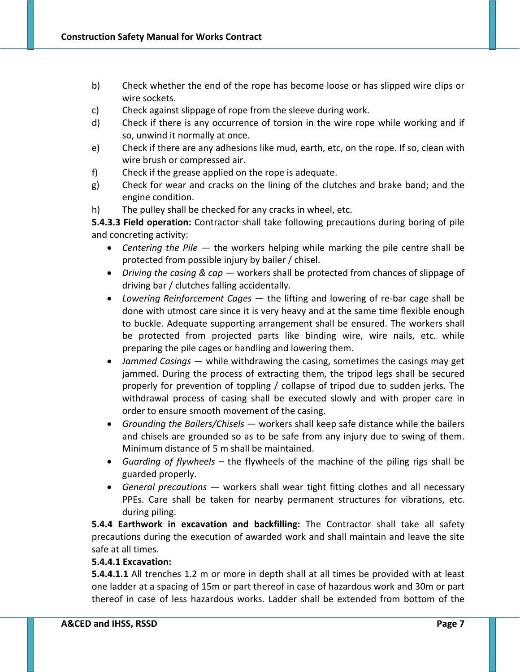- b) Check whether the end of the rope has become loose or has slipped wire clips or wire sockets.
- c) Check against slippage of rope from the sleeve during work.
- d) Check if there is any occurrence of torsion in the wire rope while working and if so, unwind it normally at once.
- e) Check if there are any adhesions like mud, earth, etc, on the rope. If so, clean with wire brush or compressed air.
- f) Check if the grease applied on the rope is adequate.
- g) Check for wear and cracks on the lining of the clutches and brake band; and the engine condition.
- h) The pulley shall be checked for any cracks in wheel, etc.

**5.4.3.3 Field operation:** Contractor shall take following precautions during boring of pile and concreting activity:

- *Centering the Pile* the workers helping while marking the pile centre shall be protected from possible injury by bailer / chisel.
- *Driving the casing & cap* workers shall be protected from chances of slippage of driving bar / clutches falling accidentally.
- Lowering *Reinforcement Cages* the lifting and lowering of re-bar cage shall be done with utmost care since it is very heavy and at the same time flexible enough to buckle. Adequate supporting arrangement shall be ensured. The workers shall be protected from projected parts like binding wire, wire nails, etc. while preparing the pile cages or handling and lowering them.
- *Jammed Casings* while withdrawing the casing, sometimes the casings may get jammed. During the process of extracting them, the tripod legs shall be secured properly for prevention of toppling / collapse of tripod due to sudden jerks. The withdrawal process of casing shall be executed slowly and with proper care in order to ensure smooth movement of the casing.
- *Grounding the Bailers/Chisels* workers shall keep safe distance while the bailers and chisels are grounded so as to be safe from any injury due to swing of them. Minimum distance of 5 m shall be maintained.
- *Guarding of flywheels* the flywheels of the machine of the piling rigs shall be guarded properly.
- *General precautions* workers shall wear tight fitting clothes and all necessary PPEs. Care shall be taken for nearby permanent structures for vibrations, etc. during piling.

**5.4.4 Earthwork in excavation and backfilling:** The Contractor shall take all safety precautions during the execution of awarded work and shall maintain and leave the site safe at all times.

## **5.4.4.1 Excavation:**

**5.4.4.1.1** All trenches 1.2 m or more in depth shall at all times be provided with at least one ladder at a spacing of 15m or part thereof in case of hazardous work and 30m or part thereof in case of less hazardous works. Ladder shall be extended from bottom of the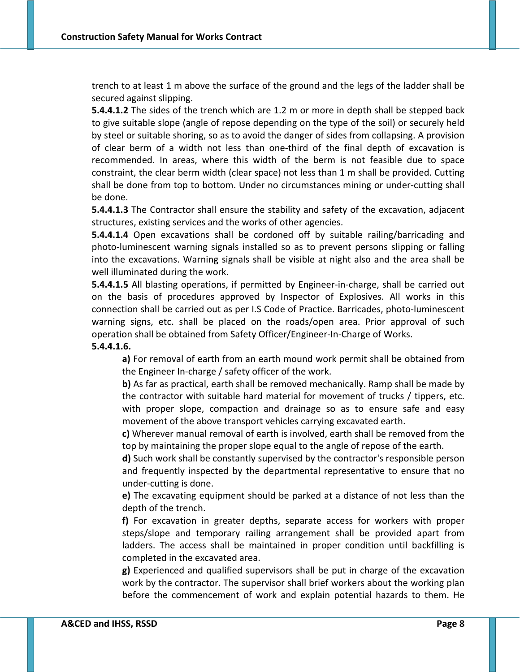trench to at least 1 m above the surface of the ground and the legs of the ladder shall be secured against slipping.

**5.4.4.1.2** The sides of the trench which are 1.2 m or more in depth shall be stepped back to give suitable slope (angle of repose depending on the type of the soil) or securely held by steel or suitable shoring, so as to avoid the danger of sides from collapsing. A provision of clear berm of a width not less than one‐third of the final depth of excavation is recommended. In areas, where this width of the berm is not feasible due to space constraint, the clear berm width (clear space) not less than 1 m shall be provided. Cutting shall be done from top to bottom. Under no circumstances mining or under‐cutting shall be done.

**5.4.4.1.3** The Contractor shall ensure the stability and safety of the excavation, adjacent structures, existing services and the works of other agencies.

**5.4.4.1.4** Open excavations shall be cordoned off by suitable railing/barricading and photo-luminescent warning signals installed so as to prevent persons slipping or falling into the excavations. Warning signals shall be visible at night also and the area shall be well illuminated during the work.

**5.4.4.1.5** All blasting operations, if permitted by Engineer-in-charge, shall be carried out on the basis of procedures approved by Inspector of Explosives. All works in this connection shall be carried out as per I.S Code of Practice. Barricades, photo‐luminescent warning signs, etc. shall be placed on the roads/open area. Prior approval of such operation shall be obtained from Safety Officer/Engineer‐In‐Charge of Works.

## **5.4.4.1.6.**

**a)** For removal of earth from an earth mound work permit shall be obtained from the Engineer In‐charge / safety officer of the work.

**b)** As far as practical, earth shall be removed mechanically. Ramp shall be made by the contractor with suitable hard material for movement of trucks / tippers, etc. with proper slope, compaction and drainage so as to ensure safe and easy movement of the above transport vehicles carrying excavated earth.

**c)** Wherever manual removal of earth is involved, earth shall be removed from the top by maintaining the proper slope equal to the angle of repose of the earth.

**d)** Such work shall be constantly supervised by the contractor's responsible person and frequently inspected by the departmental representative to ensure that no under‐cutting is done.

**e)** The excavating equipment should be parked at a distance of not less than the depth of the trench.

**f)** For excavation in greater depths, separate access for workers with proper steps/slope and temporary railing arrangement shall be provided apart from ladders. The access shall be maintained in proper condition until backfilling is completed in the excavated area.

**g)** Experienced and qualified supervisors shall be put in charge of the excavation work by the contractor. The supervisor shall brief workers about the working plan before the commencement of work and explain potential hazards to them. He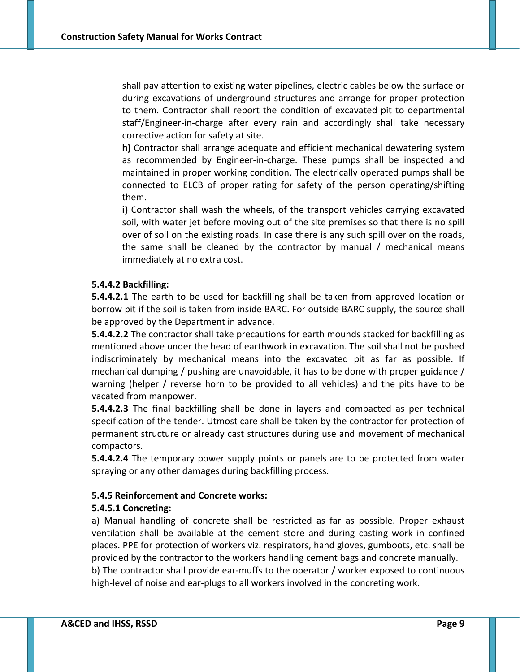shall pay attention to existing water pipelines, electric cables below the surface or during excavations of underground structures and arrange for proper protection to them. Contractor shall report the condition of excavated pit to departmental staff/Engineer‐in‐charge after every rain and accordingly shall take necessary corrective action for safety at site.

**h)** Contractor shall arrange adequate and efficient mechanical dewatering system as recommended by Engineer‐in‐charge. These pumps shall be inspected and maintained in proper working condition. The electrically operated pumps shall be connected to ELCB of proper rating for safety of the person operating/shifting them.

**i)** Contractor shall wash the wheels, of the transport vehicles carrying excavated soil, with water jet before moving out of the site premises so that there is no spill over of soil on the existing roads. In case there is any such spill over on the roads, the same shall be cleaned by the contractor by manual / mechanical means immediately at no extra cost.

#### **5.4.4.2 Backfilling:**

**5.4.4.2.1** The earth to be used for backfilling shall be taken from approved location or borrow pit if the soil is taken from inside BARC. For outside BARC supply, the source shall be approved by the Department in advance.

**5.4.4.2.2** The contractor shall take precautions for earth mounds stacked for backfilling as mentioned above under the head of earthwork in excavation. The soil shall not be pushed indiscriminately by mechanical means into the excavated pit as far as possible. If mechanical dumping / pushing are unavoidable, it has to be done with proper guidance / warning (helper / reverse horn to be provided to all vehicles) and the pits have to be vacated from manpower.

**5.4.4.2.3** The final backfilling shall be done in layers and compacted as per technical specification of the tender. Utmost care shall be taken by the contractor for protection of permanent structure or already cast structures during use and movement of mechanical compactors.

**5.4.4.2.4** The temporary power supply points or panels are to be protected from water spraying or any other damages during backfilling process.

### **5.4.5 Reinforcement and Concrete works:**

### **5.4.5.1 Concreting:**

a) Manual handling of concrete shall be restricted as far as possible. Proper exhaust ventilation shall be available at the cement store and during casting work in confined places. PPE for protection of workers viz. respirators, hand gloves, gumboots, etc. shall be provided by the contractor to the workers handling cement bags and concrete manually. b) The contractor shall provide ear‐muffs to the operator / worker exposed to continuous high-level of noise and ear-plugs to all workers involved in the concreting work.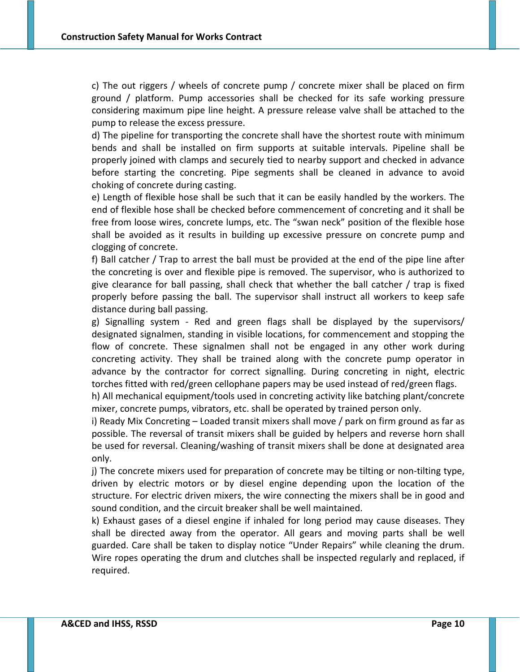c) The out riggers / wheels of concrete pump / concrete mixer shall be placed on firm ground / platform. Pump accessories shall be checked for its safe working pressure considering maximum pipe line height. A pressure release valve shall be attached to the pump to release the excess pressure.

d) The pipeline for transporting the concrete shall have the shortest route with minimum bends and shall be installed on firm supports at suitable intervals. Pipeline shall be properly joined with clamps and securely tied to nearby support and checked in advance before starting the concreting. Pipe segments shall be cleaned in advance to avoid choking of concrete during casting.

e) Length of flexible hose shall be such that it can be easily handled by the workers. The end of flexible hose shall be checked before commencement of concreting and it shall be free from loose wires, concrete lumps, etc. The "swan neck" position of the flexible hose shall be avoided as it results in building up excessive pressure on concrete pump and clogging of concrete.

f) Ball catcher / Trap to arrest the ball must be provided at the end of the pipe line after the concreting is over and flexible pipe is removed. The supervisor, who is authorized to give clearance for ball passing, shall check that whether the ball catcher / trap is fixed properly before passing the ball. The supervisor shall instruct all workers to keep safe distance during ball passing.

g) Signalling system ‐ Red and green flags shall be displayed by the supervisors/ designated signalmen, standing in visible locations, for commencement and stopping the flow of concrete. These signalmen shall not be engaged in any other work during concreting activity. They shall be trained along with the concrete pump operator in advance by the contractor for correct signalling. During concreting in night, electric torches fitted with red/green cellophane papers may be used instead of red/green flags.

h) All mechanical equipment/tools used in concreting activity like batching plant/concrete mixer, concrete pumps, vibrators, etc. shall be operated by trained person only.

i) Ready Mix Concreting – Loaded transit mixers shall move / park on firm ground as far as possible. The reversal of transit mixers shall be guided by helpers and reverse horn shall be used for reversal. Cleaning/washing of transit mixers shall be done at designated area only.

j) The concrete mixers used for preparation of concrete may be tilting or non-tilting type, driven by electric motors or by diesel engine depending upon the location of the structure. For electric driven mixers, the wire connecting the mixers shall be in good and sound condition, and the circuit breaker shall be well maintained.

k) Exhaust gases of a diesel engine if inhaled for long period may cause diseases. They shall be directed away from the operator. All gears and moving parts shall be well guarded. Care shall be taken to display notice "Under Repairs" while cleaning the drum. Wire ropes operating the drum and clutches shall be inspected regularly and replaced, if required.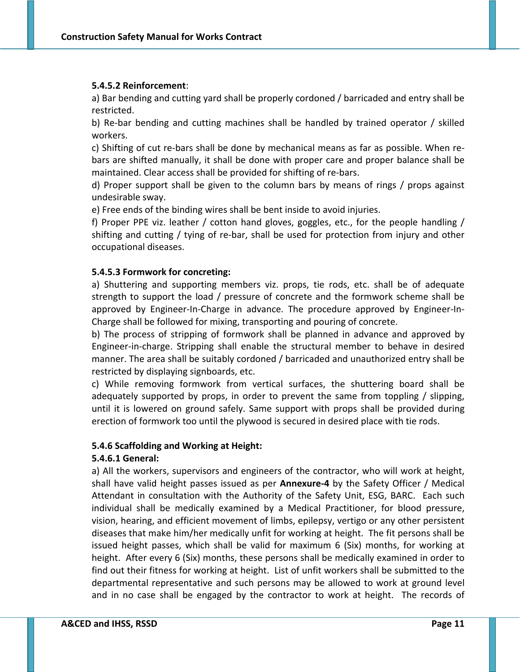#### **5.4.5.2 Reinforcement**:

a) Bar bending and cutting yard shall be properly cordoned / barricaded and entry shall be restricted.

b) Re‐bar bending and cutting machines shall be handled by trained operator / skilled workers.

c) Shifting of cut re‐bars shall be done by mechanical means as far as possible. When re‐ bars are shifted manually, it shall be done with proper care and proper balance shall be maintained. Clear access shall be provided for shifting of re‐bars.

d) Proper support shall be given to the column bars by means of rings / props against undesirable sway.

e) Free ends of the binding wires shall be bent inside to avoid injuries.

f) Proper PPE viz. leather / cotton hand gloves, goggles, etc., for the people handling / shifting and cutting / tying of re‐bar, shall be used for protection from injury and other occupational diseases.

#### **5.4.5.3 Formwork for concreting:**

a) Shuttering and supporting members viz. props, tie rods, etc. shall be of adequate strength to support the load / pressure of concrete and the formwork scheme shall be approved by Engineer‐In‐Charge in advance. The procedure approved by Engineer‐In‐ Charge shall be followed for mixing, transporting and pouring of concrete.

b) The process of stripping of formwork shall be planned in advance and approved by Engineer‐in‐charge. Stripping shall enable the structural member to behave in desired manner. The area shall be suitably cordoned / barricaded and unauthorized entry shall be restricted by displaying signboards, etc.

c) While removing formwork from vertical surfaces, the shuttering board shall be adequately supported by props, in order to prevent the same from toppling / slipping, until it is lowered on ground safely. Same support with props shall be provided during erection of formwork too until the plywood is secured in desired place with tie rods.

#### **5.4.6 Scaffolding and Working at Height:**

#### **5.4.6.1 General:**

a) All the workers, supervisors and engineers of the contractor, who will work at height, shall have valid height passes issued as per **Annexure‐4** by the Safety Officer / Medical Attendant in consultation with the Authority of the Safety Unit, ESG, BARC. Each such individual shall be medically examined by a Medical Practitioner, for blood pressure, vision, hearing, and efficient movement of limbs, epilepsy, vertigo or any other persistent diseases that make him/her medically unfit for working at height. The fit persons shall be issued height passes, which shall be valid for maximum 6 (Six) months, for working at height. After every 6 (Six) months, these persons shall be medically examined in order to find out their fitness for working at height. List of unfit workers shall be submitted to the departmental representative and such persons may be allowed to work at ground level and in no case shall be engaged by the contractor to work at height. The records of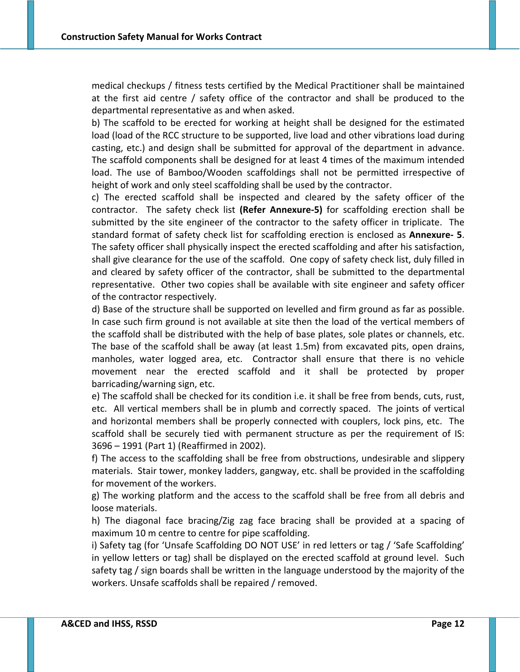medical checkups / fitness tests certified by the Medical Practitioner shall be maintained at the first aid centre / safety office of the contractor and shall be produced to the departmental representative as and when asked.

b) The scaffold to be erected for working at height shall be designed for the estimated load (load of the RCC structure to be supported, live load and other vibrations load during casting, etc.) and design shall be submitted for approval of the department in advance. The scaffold components shall be designed for at least 4 times of the maximum intended load. The use of Bamboo/Wooden scaffoldings shall not be permitted irrespective of height of work and only steel scaffolding shall be used by the contractor.

c) The erected scaffold shall be inspected and cleared by the safety officer of the contractor. The safety check list **(Refer Annexure‐5)** for scaffolding erection shall be submitted by the site engineer of the contractor to the safety officer in triplicate. The standard format of safety check list for scaffolding erection is enclosed as **Annexure‐ 5**. The safety officer shall physically inspect the erected scaffolding and after his satisfaction, shall give clearance for the use of the scaffold. One copy of safety check list, duly filled in and cleared by safety officer of the contractor, shall be submitted to the departmental representative. Other two copies shall be available with site engineer and safety officer of the contractor respectively.

d) Base of the structure shall be supported on levelled and firm ground as far as possible. In case such firm ground is not available at site then the load of the vertical members of the scaffold shall be distributed with the help of base plates, sole plates or channels, etc. The base of the scaffold shall be away (at least 1.5m) from excavated pits, open drains, manholes, water logged area, etc. Contractor shall ensure that there is no vehicle movement near the erected scaffold and it shall be protected by proper barricading/warning sign, etc.

e) The scaffold shall be checked for its condition i.e. it shall be free from bends, cuts, rust, etc. All vertical members shall be in plumb and correctly spaced. The joints of vertical and horizontal members shall be properly connected with couplers, lock pins, etc. The scaffold shall be securely tied with permanent structure as per the requirement of IS: 3696 – 1991 (Part 1) (Reaffirmed in 2002).

f) The access to the scaffolding shall be free from obstructions, undesirable and slippery materials. Stair tower, monkey ladders, gangway, etc. shall be provided in the scaffolding for movement of the workers.

g) The working platform and the access to the scaffold shall be free from all debris and loose materials.

h) The diagonal face bracing/Zig zag face bracing shall be provided at a spacing of maximum 10 m centre to centre for pipe scaffolding.

i) Safety tag (for 'Unsafe Scaffolding DO NOT USE' in red letters or tag / 'Safe Scaffolding' in yellow letters or tag) shall be displayed on the erected scaffold at ground level. Such safety tag / sign boards shall be written in the language understood by the majority of the workers. Unsafe scaffolds shall be repaired / removed.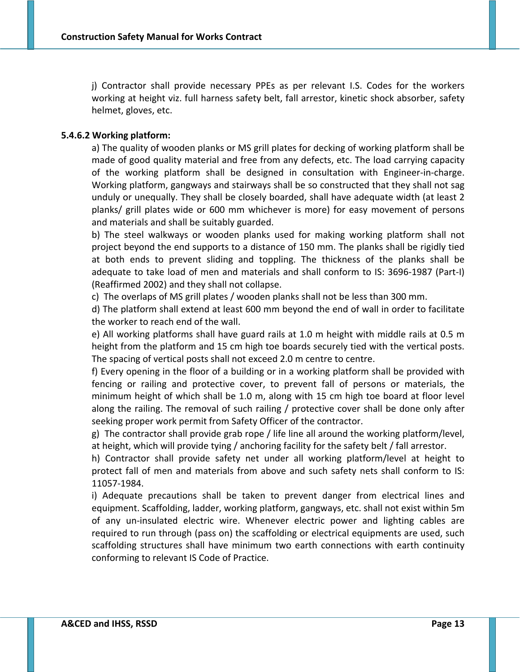j) Contractor shall provide necessary PPEs as per relevant I.S. Codes for the workers working at height viz. full harness safety belt, fall arrestor, kinetic shock absorber, safety helmet, gloves, etc.

### **5.4.6.2 Working platform:**

a) The quality of wooden planks or MS grill plates for decking of working platform shall be made of good quality material and free from any defects, etc. The load carrying capacity of the working platform shall be designed in consultation with Engineer‐in‐charge. Working platform, gangways and stairways shall be so constructed that they shall not sag unduly or unequally. They shall be closely boarded, shall have adequate width (at least 2 planks/ grill plates wide or 600 mm whichever is more) for easy movement of persons and materials and shall be suitably guarded.

b) The steel walkways or wooden planks used for making working platform shall not project beyond the end supports to a distance of 150 mm. The planks shall be rigidly tied at both ends to prevent sliding and toppling. The thickness of the planks shall be adequate to take load of men and materials and shall conform to IS: 3696‐1987 (Part‐I) (Reaffirmed 2002) and they shall not collapse.

c) The overlaps of MS grill plates / wooden planks shall not be less than 300 mm.

d) The platform shall extend at least 600 mm beyond the end of wall in order to facilitate the worker to reach end of the wall.

e) All working platforms shall have guard rails at 1.0 m height with middle rails at 0.5 m height from the platform and 15 cm high toe boards securely tied with the vertical posts. The spacing of vertical posts shall not exceed 2.0 m centre to centre.

f) Every opening in the floor of a building or in a working platform shall be provided with fencing or railing and protective cover, to prevent fall of persons or materials, the minimum height of which shall be 1.0 m, along with 15 cm high toe board at floor level along the railing. The removal of such railing / protective cover shall be done only after seeking proper work permit from Safety Officer of the contractor.

g) The contractor shall provide grab rope / life line all around the working platform/level, at height, which will provide tying / anchoring facility for the safety belt / fall arrestor.

h) Contractor shall provide safety net under all working platform/level at height to protect fall of men and materials from above and such safety nets shall conform to IS: 11057‐1984.

i) Adequate precautions shall be taken to prevent danger from electrical lines and equipment. Scaffolding, ladder, working platform, gangways, etc. shall not exist within 5m of any un‐insulated electric wire. Whenever electric power and lighting cables are required to run through (pass on) the scaffolding or electrical equipments are used, such scaffolding structures shall have minimum two earth connections with earth continuity conforming to relevant IS Code of Practice.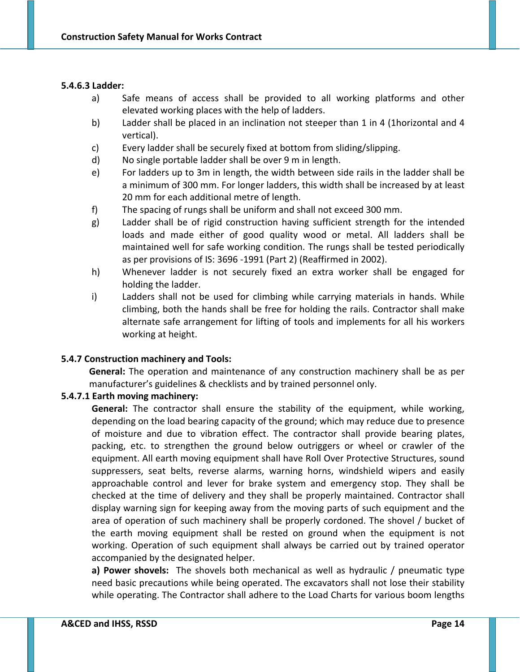#### **5.4.6.3 Ladder:**

- a) Safe means of access shall be provided to all working platforms and other elevated working places with the help of ladders.
- b) Ladder shall be placed in an inclination not steeper than 1 in 4 (1horizontal and 4 vertical).
- c) Every ladder shall be securely fixed at bottom from sliding/slipping.
- d) No single portable ladder shall be over 9 m in length.
- e) For ladders up to 3m in length, the width between side rails in the ladder shall be a minimum of 300 mm. For longer ladders, this width shall be increased by at least 20 mm for each additional metre of length.
- f) The spacing of rungs shall be uniform and shall not exceed 300 mm.
- g) Ladder shall be of rigid construction having sufficient strength for the intended loads and made either of good quality wood or metal. All ladders shall be maintained well for safe working condition. The rungs shall be tested periodically as per provisions of IS: 3696 ‐1991 (Part 2) (Reaffirmed in 2002).
- h) Whenever ladder is not securely fixed an extra worker shall be engaged for holding the ladder.
- i) Ladders shall not be used for climbing while carrying materials in hands. While climbing, both the hands shall be free for holding the rails. Contractor shall make alternate safe arrangement for lifting of tools and implements for all his workers working at height.

### **5.4.7 Construction machinery and Tools:**

**General:** The operation and maintenance of any construction machinery shall be as per manufacturer's guidelines & checklists and by trained personnel only.

### **5.4.7.1 Earth moving machinery:**

**General:** The contractor shall ensure the stability of the equipment, while working, depending on the load bearing capacity of the ground; which may reduce due to presence of moisture and due to vibration effect. The contractor shall provide bearing plates, packing, etc. to strengthen the ground below outriggers or wheel or crawler of the equipment. All earth moving equipment shall have Roll Over Protective Structures, sound suppressers, seat belts, reverse alarms, warning horns, windshield wipers and easily approachable control and lever for brake system and emergency stop. They shall be checked at the time of delivery and they shall be properly maintained. Contractor shall display warning sign for keeping away from the moving parts of such equipment and the area of operation of such machinery shall be properly cordoned. The shovel / bucket of the earth moving equipment shall be rested on ground when the equipment is not working. Operation of such equipment shall always be carried out by trained operator accompanied by the designated helper.

**a) Power shovels:** The shovels both mechanical as well as hydraulic / pneumatic type need basic precautions while being operated. The excavators shall not lose their stability while operating. The Contractor shall adhere to the Load Charts for various boom lengths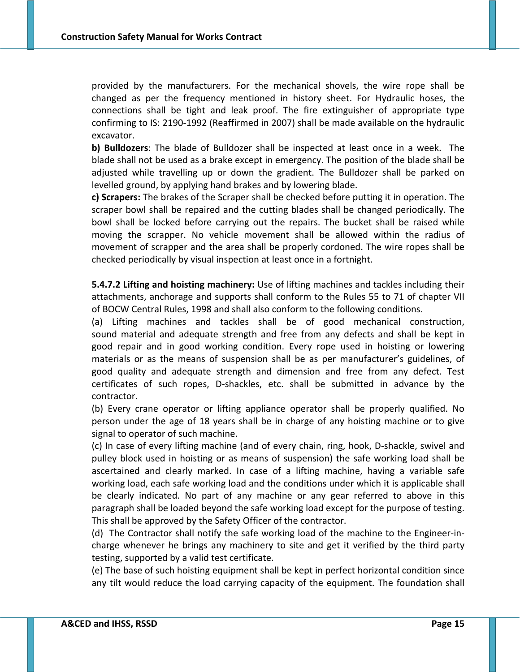provided by the manufacturers. For the mechanical shovels, the wire rope shall be changed as per the frequency mentioned in history sheet. For Hydraulic hoses, the connections shall be tight and leak proof. The fire extinguisher of appropriate type confirming to IS: 2190‐1992 (Reaffirmed in 2007) shall be made available on the hydraulic excavator.

**b) Bulldozers**: The blade of Bulldozer shall be inspected at least once in a week. The blade shall not be used as a brake except in emergency. The position of the blade shall be adjusted while travelling up or down the gradient. The Bulldozer shall be parked on levelled ground, by applying hand brakes and by lowering blade.

**c) Scrapers:** The brakes of the Scraper shall be checked before putting it in operation. The scraper bowl shall be repaired and the cutting blades shall be changed periodically. The bowl shall be locked before carrying out the repairs. The bucket shall be raised while moving the scrapper. No vehicle movement shall be allowed within the radius of movement of scrapper and the area shall be properly cordoned. The wire ropes shall be checked periodically by visual inspection at least once in a fortnight.

**5.4.7.2 Lifting and hoisting machinery:** Use of lifting machines and tackles including their attachments, anchorage and supports shall conform to the Rules 55 to 71 of chapter VII of BOCW Central Rules, 1998 and shall also conform to the following conditions.

(a) Lifting machines and tackles shall be of good mechanical construction, sound material and adequate strength and free from any defects and shall be kept in good repair and in good working condition. Every rope used in hoisting or lowering materials or as the means of suspension shall be as per manufacturer's guidelines, of good quality and adequate strength and dimension and free from any defect. Test certificates of such ropes, D‐shackles, etc. shall be submitted in advance by the contractor.

(b) Every crane operator or lifting appliance operator shall be properly qualified. No person under the age of 18 years shall be in charge of any hoisting machine or to give signal to operator of such machine.

(c) In case of every lifting machine (and of every chain, ring, hook, D‐shackle, swivel and pulley block used in hoisting or as means of suspension) the safe working load shall be ascertained and clearly marked. In case of a lifting machine, having a variable safe working load, each safe working load and the conditions under which it is applicable shall be clearly indicated. No part of any machine or any gear referred to above in this paragraph shall be loaded beyond the safe working load except for the purpose of testing. This shall be approved by the Safety Officer of the contractor.

(d) The Contractor shall notify the safe working load of the machine to the Engineer‐in‐ charge whenever he brings any machinery to site and get it verified by the third party testing, supported by a valid test certificate.

(e) The base of such hoisting equipment shall be kept in perfect horizontal condition since any tilt would reduce the load carrying capacity of the equipment. The foundation shall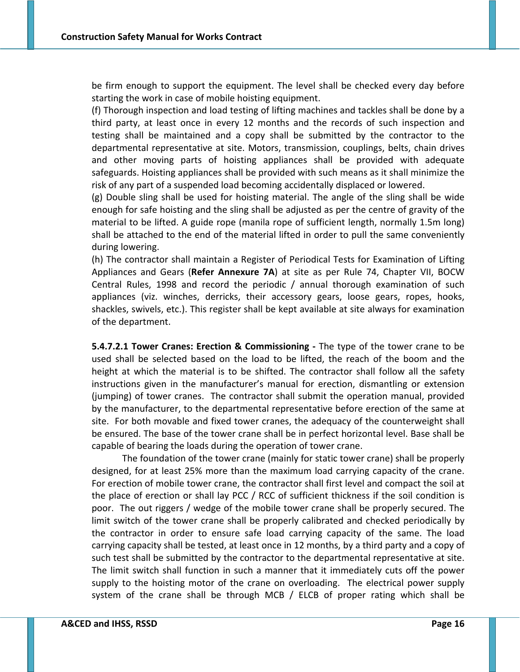be firm enough to support the equipment. The level shall be checked every day before starting the work in case of mobile hoisting equipment.

(f) Thorough inspection and load testing of lifting machines and tackles shall be done by a third party, at least once in every 12 months and the records of such inspection and testing shall be maintained and a copy shall be submitted by the contractor to the departmental representative at site. Motors, transmission, couplings, belts, chain drives and other moving parts of hoisting appliances shall be provided with adequate safeguards. Hoisting appliances shall be provided with such means as it shall minimize the risk of any part of a suspended load becoming accidentally displaced or lowered.

(g) Double sling shall be used for hoisting material. The angle of the sling shall be wide enough for safe hoisting and the sling shall be adjusted as per the centre of gravity of the material to be lifted. A guide rope (manila rope of sufficient length, normally 1.5m long) shall be attached to the end of the material lifted in order to pull the same conveniently during lowering.

(h) The contractor shall maintain a Register of Periodical Tests for Examination of Lifting Appliances and Gears (**Refer Annexure 7A**) at site as per Rule 74, Chapter VII, BOCW Central Rules, 1998 and record the periodic / annual thorough examination of such appliances (viz. winches, derricks, their accessory gears, loose gears, ropes, hooks, shackles, swivels, etc.). This register shall be kept available at site always for examination of the department.

**5.4.7.2.1 Tower Cranes: Erection & Commissioning ‐** The type of the tower crane to be used shall be selected based on the load to be lifted, the reach of the boom and the height at which the material is to be shifted. The contractor shall follow all the safety instructions given in the manufacturer's manual for erection, dismantling or extension (jumping) of tower cranes. The contractor shall submit the operation manual, provided by the manufacturer, to the departmental representative before erection of the same at site. For both movable and fixed tower cranes, the adequacy of the counterweight shall be ensured. The base of the tower crane shall be in perfect horizontal level. Base shall be capable of bearing the loads during the operation of tower crane.

The foundation of the tower crane (mainly for static tower crane) shall be properly designed, for at least 25% more than the maximum load carrying capacity of the crane. For erection of mobile tower crane, the contractor shall first level and compact the soil at the place of erection or shall lay PCC / RCC of sufficient thickness if the soil condition is poor. The out riggers / wedge of the mobile tower crane shall be properly secured. The limit switch of the tower crane shall be properly calibrated and checked periodically by the contractor in order to ensure safe load carrying capacity of the same. The load carrying capacity shall be tested, at least once in 12 months, by a third party and a copy of such test shall be submitted by the contractor to the departmental representative at site. The limit switch shall function in such a manner that it immediately cuts off the power supply to the hoisting motor of the crane on overloading. The electrical power supply system of the crane shall be through MCB / ELCB of proper rating which shall be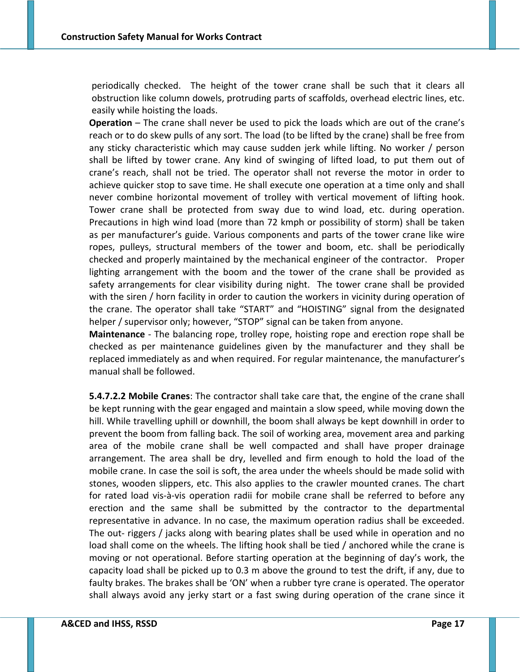periodically checked. The height of the tower crane shall be such that it clears all obstruction like column dowels, protruding parts of scaffolds, overhead electric lines, etc. easily while hoisting the loads.

**Operation** – The crane shall never be used to pick the loads which are out of the crane's reach or to do skew pulls of any sort. The load (to be lifted by the crane) shall be free from any sticky characteristic which may cause sudden jerk while lifting. No worker / person shall be lifted by tower crane. Any kind of swinging of lifted load, to put them out of crane's reach, shall not be tried. The operator shall not reverse the motor in order to achieve quicker stop to save time. He shall execute one operation at a time only and shall never combine horizontal movement of trolley with vertical movement of lifting hook. Tower crane shall be protected from sway due to wind load, etc. during operation. Precautions in high wind load (more than 72 kmph or possibility of storm) shall be taken as per manufacturer's guide. Various components and parts of the tower crane like wire ropes, pulleys, structural members of the tower and boom, etc. shall be periodically checked and properly maintained by the mechanical engineer of the contractor. Proper lighting arrangement with the boom and the tower of the crane shall be provided as safety arrangements for clear visibility during night. The tower crane shall be provided with the siren / horn facility in order to caution the workers in vicinity during operation of the crane. The operator shall take "START" and "HOISTING" signal from the designated helper / supervisor only; however, "STOP" signal can be taken from anyone.

**Maintenance** ‐ The balancing rope, trolley rope, hoisting rope and erection rope shall be checked as per maintenance guidelines given by the manufacturer and they shall be replaced immediately as and when required. For regular maintenance, the manufacturer's manual shall be followed.

**5.4.7.2.2 Mobile Cranes**: The contractor shall take care that, the engine of the crane shall be kept running with the gear engaged and maintain a slow speed, while moving down the hill. While travelling uphill or downhill, the boom shall always be kept downhill in order to prevent the boom from falling back. The soil of working area, movement area and parking area of the mobile crane shall be well compacted and shall have proper drainage arrangement. The area shall be dry, levelled and firm enough to hold the load of the mobile crane. In case the soil is soft, the area under the wheels should be made solid with stones, wooden slippers, etc. This also applies to the crawler mounted cranes. The chart for rated load vis‐à‐vis operation radii for mobile crane shall be referred to before any erection and the same shall be submitted by the contractor to the departmental representative in advance. In no case, the maximum operation radius shall be exceeded. The out- riggers / jacks along with bearing plates shall be used while in operation and no load shall come on the wheels. The lifting hook shall be tied / anchored while the crane is moving or not operational. Before starting operation at the beginning of day's work, the capacity load shall be picked up to 0.3 m above the ground to test the drift, if any, due to faulty brakes. The brakes shall be 'ON' when a rubber tyre crane is operated. The operator shall always avoid any jerky start or a fast swing during operation of the crane since it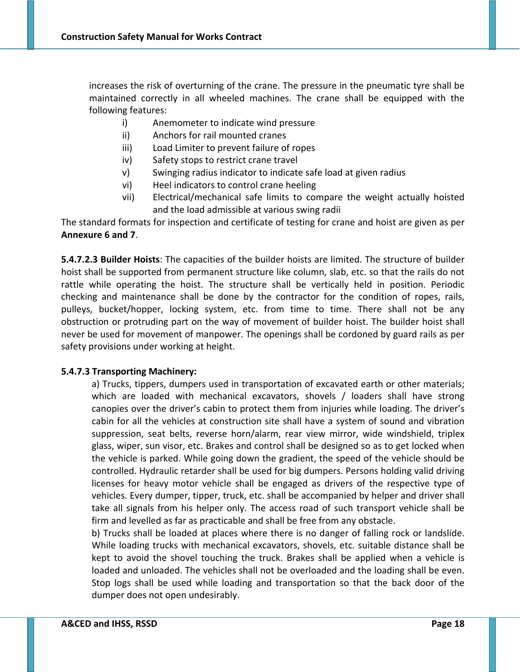increases the risk of overturning of the crane. The pressure in the pneumatic tyre shall be maintained correctly in all wheeled machines. The crane shall be equipped with the following features:

- i) Anemometer to indicate wind pressure
- ii) Anchors for rail mounted cranes
- iii) Load Limiter to prevent failure of ropes
- iv) Safety stops to restrict crane travel
- v) Swinging radius indicator to indicate safe load at given radius
- vi) Heel indicators to control crane heeling
- vii) Electrical/mechanical safe limits to compare the weight actually hoisted and the load admissible at various swing radii

The standard formats for inspection and certificate of testing for crane and hoist are given as per **Annexure 6 and 7**.

**5.4.7.2.3 Builder Hoists**: The capacities of the builder hoists are limited. The structure of builder hoist shall be supported from permanent structure like column, slab, etc. so that the rails do not rattle while operating the hoist. The structure shall be vertically held in position. Periodic checking and maintenance shall be done by the contractor for the condition of ropes, rails, pulleys, bucket/hopper, locking system, etc. from time to time. There shall not be any obstruction or protruding part on the way of movement of builder hoist. The builder hoist shall never be used for movement of manpower. The openings shall be cordoned by guard rails as per safety provisions under working at height.

### **5.4.7.3 Transporting Machinery:**

a) Trucks, tippers, dumpers used in transportation of excavated earth or other materials; which are loaded with mechanical excavators, shovels / loaders shall have strong canopies over the driver's cabin to protect them from injuries while loading. The driver's cabin for all the vehicles at construction site shall have a system of sound and vibration suppression, seat belts, reverse horn/alarm, rear view mirror, wide windshield, triplex glass, wiper, sun visor, etc. Brakes and control shall be designed so as to get locked when the vehicle is parked. While going down the gradient, the speed of the vehicle should be controlled. Hydraulic retarder shall be used for big dumpers. Persons holding valid driving licenses for heavy motor vehicle shall be engaged as drivers of the respective type of vehicles. Every dumper, tipper, truck, etc. shall be accompanied by helper and driver shall take all signals from his helper only. The access road of such transport vehicle shall be firm and levelled as far as practicable and shall be free from any obstacle.

b) Trucks shall be loaded at places where there is no danger of falling rock or landslide. While loading trucks with mechanical excavators, shovels, etc. suitable distance shall be kept to avoid the shovel touching the truck. Brakes shall be applied when a vehicle is loaded and unloaded. The vehicles shall not be overloaded and the loading shall be even. Stop logs shall be used while loading and transportation so that the back door of the dumper does not open undesirably.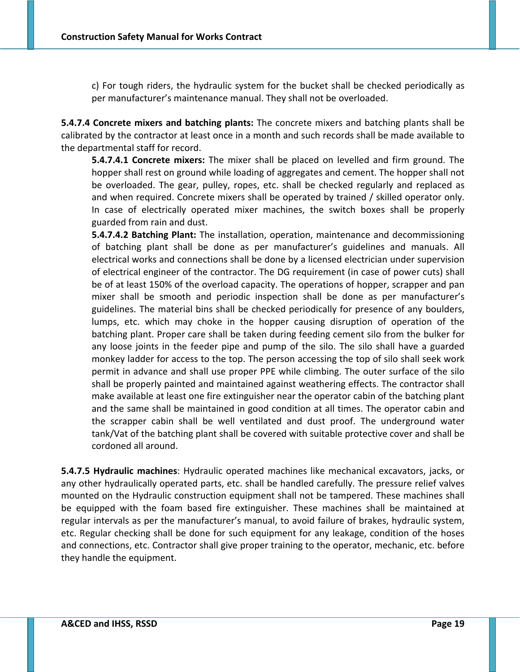c) For tough riders, the hydraulic system for the bucket shall be checked periodically as per manufacturer's maintenance manual. They shall not be overloaded.

**5.4.7.4 Concrete mixers and batching plants:** The concrete mixers and batching plants shall be calibrated by the contractor at least once in a month and such records shall be made available to the departmental staff for record.

**5.4.7.4.1 Concrete mixers:** The mixer shall be placed on levelled and firm ground. The hopper shall rest on ground while loading of aggregates and cement. The hopper shall not be overloaded. The gear, pulley, ropes, etc. shall be checked regularly and replaced as and when required. Concrete mixers shall be operated by trained / skilled operator only. In case of electrically operated mixer machines, the switch boxes shall be properly guarded from rain and dust.

**5.4.7.4.2 Batching Plant:** The installation, operation, maintenance and decommissioning of batching plant shall be done as per manufacturer's guidelines and manuals. All electrical works and connections shall be done by a licensed electrician under supervision of electrical engineer of the contractor. The DG requirement (in case of power cuts) shall be of at least 150% of the overload capacity. The operations of hopper, scrapper and pan mixer shall be smooth and periodic inspection shall be done as per manufacturer's guidelines. The material bins shall be checked periodically for presence of any boulders, lumps, etc. which may choke in the hopper causing disruption of operation of the batching plant. Proper care shall be taken during feeding cement silo from the bulker for any loose joints in the feeder pipe and pump of the silo. The silo shall have a guarded monkey ladder for access to the top. The person accessing the top of silo shall seek work permit in advance and shall use proper PPE while climbing. The outer surface of the silo shall be properly painted and maintained against weathering effects. The contractor shall make available at least one fire extinguisher near the operator cabin of the batching plant and the same shall be maintained in good condition at all times. The operator cabin and the scrapper cabin shall be well ventilated and dust proof. The underground water tank/Vat of the batching plant shall be covered with suitable protective cover and shall be cordoned all around.

**5.4.7.5 Hydraulic machines**: Hydraulic operated machines like mechanical excavators, jacks, or any other hydraulically operated parts, etc. shall be handled carefully. The pressure relief valves mounted on the Hydraulic construction equipment shall not be tampered. These machines shall be equipped with the foam based fire extinguisher. These machines shall be maintained at regular intervals as per the manufacturer's manual, to avoid failure of brakes, hydraulic system, etc. Regular checking shall be done for such equipment for any leakage, condition of the hoses and connections, etc. Contractor shall give proper training to the operator, mechanic, etc. before they handle the equipment.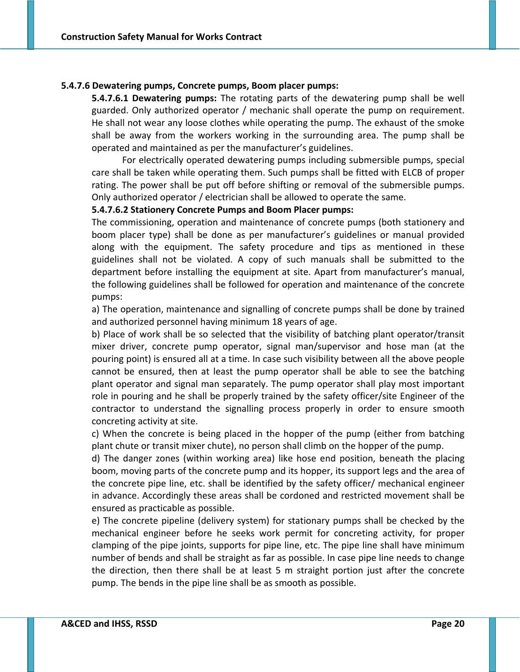### **5.4.7.6 Dewatering pumps, Concrete pumps, Boom placer pumps:**

**5.4.7.6.1 Dewatering pumps:** The rotating parts of the dewatering pump shall be well guarded. Only authorized operator / mechanic shall operate the pump on requirement. He shall not wear any loose clothes while operating the pump. The exhaust of the smoke shall be away from the workers working in the surrounding area. The pump shall be operated and maintained as per the manufacturer's guidelines.

For electrically operated dewatering pumps including submersible pumps, special care shall be taken while operating them. Such pumps shall be fitted with ELCB of proper rating. The power shall be put off before shifting or removal of the submersible pumps. Only authorized operator / electrician shall be allowed to operate the same.

#### **5.4.7.6.2 Stationery Concrete Pumps and Boom Placer pumps:**

The commissioning, operation and maintenance of concrete pumps (both stationery and boom placer type) shall be done as per manufacturer's guidelines or manual provided along with the equipment. The safety procedure and tips as mentioned in these guidelines shall not be violated. A copy of such manuals shall be submitted to the department before installing the equipment at site. Apart from manufacturer's manual, the following guidelines shall be followed for operation and maintenance of the concrete pumps:

a) The operation, maintenance and signalling of concrete pumps shall be done by trained and authorized personnel having minimum 18 years of age.

b) Place of work shall be so selected that the visibility of batching plant operator/transit mixer driver, concrete pump operator, signal man/supervisor and hose man (at the pouring point) is ensured all at a time. In case such visibility between all the above people cannot be ensured, then at least the pump operator shall be able to see the batching plant operator and signal man separately. The pump operator shall play most important role in pouring and he shall be properly trained by the safety officer/site Engineer of the contractor to understand the signalling process properly in order to ensure smooth concreting activity at site.

c) When the concrete is being placed in the hopper of the pump (either from batching plant chute or transit mixer chute), no person shall climb on the hopper of the pump.

d) The danger zones (within working area) like hose end position, beneath the placing boom, moving parts of the concrete pump and its hopper, its support legs and the area of the concrete pipe line, etc. shall be identified by the safety officer/ mechanical engineer in advance. Accordingly these areas shall be cordoned and restricted movement shall be ensured as practicable as possible.

e) The concrete pipeline (delivery system) for stationary pumps shall be checked by the mechanical engineer before he seeks work permit for concreting activity, for proper clamping of the pipe joints, supports for pipe line, etc. The pipe line shall have minimum number of bends and shall be straight as far as possible. In case pipe line needs to change the direction, then there shall be at least 5 m straight portion just after the concrete pump. The bends in the pipe line shall be as smooth as possible.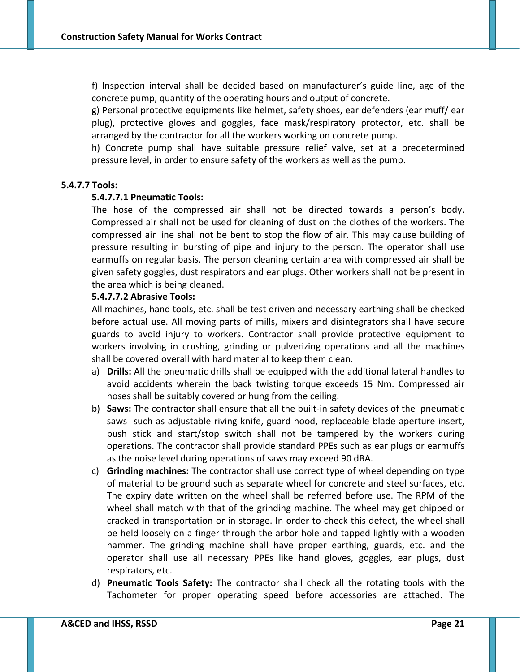f) Inspection interval shall be decided based on manufacturer's guide line, age of the concrete pump, quantity of the operating hours and output of concrete.

g) Personal protective equipments like helmet, safety shoes, ear defenders (ear muff/ ear plug), protective gloves and goggles, face mask/respiratory protector, etc. shall be arranged by the contractor for all the workers working on concrete pump.

h) Concrete pump shall have suitable pressure relief valve, set at a predetermined pressure level, in order to ensure safety of the workers as well as the pump.

#### **5.4.7.7 Tools:**

#### **5.4.7.7.1 Pneumatic Tools:**

The hose of the compressed air shall not be directed towards a person's body. Compressed air shall not be used for cleaning of dust on the clothes of the workers. The compressed air line shall not be bent to stop the flow of air. This may cause building of pressure resulting in bursting of pipe and injury to the person. The operator shall use earmuffs on regular basis. The person cleaning certain area with compressed air shall be given safety goggles, dust respirators and ear plugs. Other workers shall not be present in the area which is being cleaned.

#### **5.4.7.7.2 Abrasive Tools:**

All machines, hand tools, etc. shall be test driven and necessary earthing shall be checked before actual use. All moving parts of mills, mixers and disintegrators shall have secure guards to avoid injury to workers. Contractor shall provide protective equipment to workers involving in crushing, grinding or pulverizing operations and all the machines shall be covered overall with hard material to keep them clean.

- a) **Drills:** All the pneumatic drills shall be equipped with the additional lateral handles to avoid accidents wherein the back twisting torque exceeds 15 Nm. Compressed air hoses shall be suitably covered or hung from the ceiling.
- b) **Saws:** The contractor shall ensure that all the built‐in safety devices of the pneumatic saws such as adjustable riving knife, guard hood, replaceable blade aperture insert, push stick and start/stop switch shall not be tampered by the workers during operations. The contractor shall provide standard PPEs such as ear plugs or earmuffs as the noise level during operations of saws may exceed 90 dBA.
- c) **Grinding machines:** The contractor shall use correct type of wheel depending on type of material to be ground such as separate wheel for concrete and steel surfaces, etc. The expiry date written on the wheel shall be referred before use. The RPM of the wheel shall match with that of the grinding machine. The wheel may get chipped or cracked in transportation or in storage. In order to check this defect, the wheel shall be held loosely on a finger through the arbor hole and tapped lightly with a wooden hammer. The grinding machine shall have proper earthing, guards, etc. and the operator shall use all necessary PPEs like hand gloves, goggles, ear plugs, dust respirators, etc.
- d) **Pneumatic Tools Safety:** The contractor shall check all the rotating tools with the Tachometer for proper operating speed before accessories are attached. The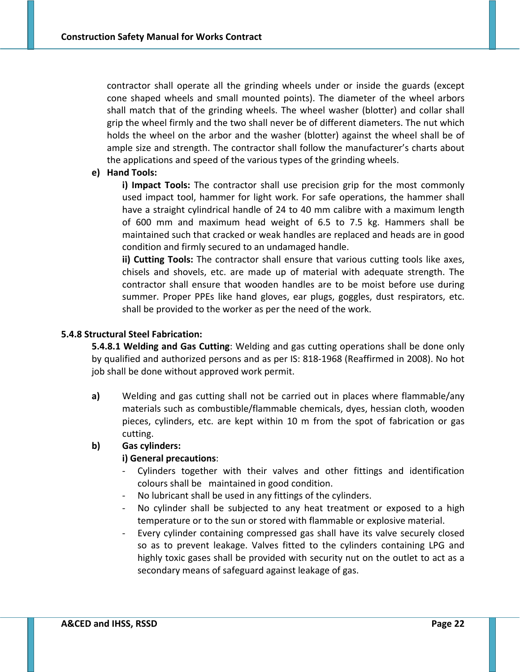contractor shall operate all the grinding wheels under or inside the guards (except cone shaped wheels and small mounted points). The diameter of the wheel arbors shall match that of the grinding wheels. The wheel washer (blotter) and collar shall grip the wheel firmly and the two shall never be of different diameters. The nut which holds the wheel on the arbor and the washer (blotter) against the wheel shall be of ample size and strength. The contractor shall follow the manufacturer's charts about the applications and speed of the various types of the grinding wheels.

#### **e) Hand Tools:**

**i) Impact Tools:** The contractor shall use precision grip for the most commonly used impact tool, hammer for light work. For safe operations, the hammer shall have a straight cylindrical handle of 24 to 40 mm calibre with a maximum length of 600 mm and maximum head weight of 6.5 to 7.5 kg. Hammers shall be maintained such that cracked or weak handles are replaced and heads are in good condition and firmly secured to an undamaged handle.

**ii) Cutting Tools:** The contractor shall ensure that various cutting tools like axes, chisels and shovels, etc. are made up of material with adequate strength. The contractor shall ensure that wooden handles are to be moist before use during summer. Proper PPEs like hand gloves, ear plugs, goggles, dust respirators, etc. shall be provided to the worker as per the need of the work.

#### **5.4.8 Structural Steel Fabrication:**

**5.4.8.1 Welding and Gas Cutting**: Welding and gas cutting operations shall be done only by qualified and authorized persons and as per IS: 818‐1968 (Reaffirmed in 2008). No hot job shall be done without approved work permit.

**a)** Welding and gas cutting shall not be carried out in places where flammable/any materials such as combustible/flammable chemicals, dyes, hessian cloth, wooden pieces, cylinders, etc. are kept within 10 m from the spot of fabrication or gas cutting.

### **b) Gas cylinders:**

### **i) General precautions**:

- ‐ Cylinders together with their valves and other fittings and identification colours shall be maintained in good condition.
- ‐ No lubricant shall be used in any fittings of the cylinders.
- ‐ No cylinder shall be subjected to any heat treatment or exposed to a high temperature or to the sun or stored with flammable or explosive material.
- ‐ Every cylinder containing compressed gas shall have its valve securely closed so as to prevent leakage. Valves fitted to the cylinders containing LPG and highly toxic gases shall be provided with security nut on the outlet to act as a secondary means of safeguard against leakage of gas.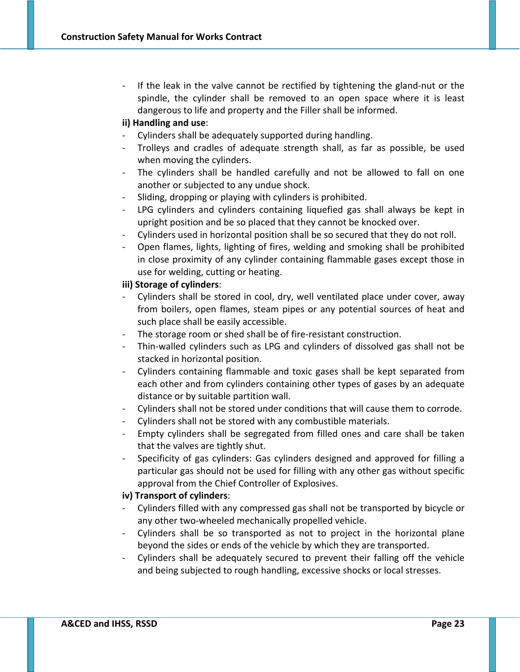If the leak in the valve cannot be rectified by tightening the gland-nut or the spindle, the cylinder shall be removed to an open space where it is least dangerous to life and property and the Filler shall be informed.

## **ii) Handling and use**:

- ‐ Cylinders shall be adequately supported during handling.
- ‐ Trolleys and cradles of adequate strength shall, as far as possible, be used when moving the cylinders.
- ‐ The cylinders shall be handled carefully and not be allowed to fall on one another or subjected to any undue shock.
- Sliding, dropping or playing with cylinders is prohibited.
- ‐ LPG cylinders and cylinders containing liquefied gas shall always be kept in upright position and be so placed that they cannot be knocked over.
- ‐ Cylinders used in horizontal position shall be so secured that they do not roll.
- ‐ Open flames, lights, lighting of fires, welding and smoking shall be prohibited in close proximity of any cylinder containing flammable gases except those in use for welding, cutting or heating.

### **iii) Storage of cylinders**:

- ‐ Cylinders shall be stored in cool, dry, well ventilated place under cover, away from boilers, open flames, steam pipes or any potential sources of heat and such place shall be easily accessible.
- The storage room or shed shall be of fire-resistant construction.
- ‐ Thin‐walled cylinders such as LPG and cylinders of dissolved gas shall not be stacked in horizontal position.
- ‐ Cylinders containing flammable and toxic gases shall be kept separated from each other and from cylinders containing other types of gases by an adequate distance or by suitable partition wall.
- ‐ Cylinders shall not be stored under conditions that will cause them to corrode.
- ‐ Cylinders shall not be stored with any combustible materials.
- ‐ Empty cylinders shall be segregated from filled ones and care shall be taken that the valves are tightly shut.
- ‐ Specificity of gas cylinders: Gas cylinders designed and approved for filling a particular gas should not be used for filling with any other gas without specific approval from the Chief Controller of Explosives.

### **iv) Transport of cylinders**:

- ‐ Cylinders filled with any compressed gas shall not be transported by bicycle or any other two‐wheeled mechanically propelled vehicle.
- ‐ Cylinders shall be so transported as not to project in the horizontal plane beyond the sides or ends of the vehicle by which they are transported.
- ‐ Cylinders shall be adequately secured to prevent their falling off the vehicle and being subjected to rough handling, excessive shocks or local stresses.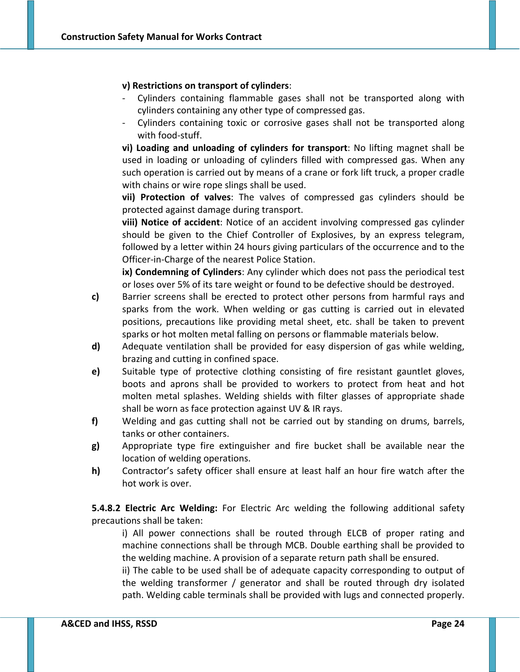#### **v) Restrictions on transport of cylinders**:

- ‐ Cylinders containing flammable gases shall not be transported along with cylinders containing any other type of compressed gas.
- ‐ Cylinders containing toxic or corrosive gases shall not be transported along with food‐stuff.

**vi) Loading and unloading of cylinders for transport**: No lifting magnet shall be used in loading or unloading of cylinders filled with compressed gas. When any such operation is carried out by means of a crane or fork lift truck, a proper cradle with chains or wire rope slings shall be used.

**vii) Protection of valves**: The valves of compressed gas cylinders should be protected against damage during transport.

**viii) Notice of accident**: Notice of an accident involving compressed gas cylinder should be given to the Chief Controller of Explosives, by an express telegram, followed by a letter within 24 hours giving particulars of the occurrence and to the Officer‐in‐Charge of the nearest Police Station.

**ix) Condemning of Cylinders**: Any cylinder which does not pass the periodical test or loses over 5% of its tare weight or found to be defective should be destroyed.

- **c)** Barrier screens shall be erected to protect other persons from harmful rays and sparks from the work. When welding or gas cutting is carried out in elevated positions, precautions like providing metal sheet, etc. shall be taken to prevent sparks or hot molten metal falling on persons or flammable materials below.
- **d)** Adequate ventilation shall be provided for easy dispersion of gas while welding, brazing and cutting in confined space.
- **e)** Suitable type of protective clothing consisting of fire resistant gauntlet gloves, boots and aprons shall be provided to workers to protect from heat and hot molten metal splashes. Welding shields with filter glasses of appropriate shade shall be worn as face protection against UV & IR rays.
- **f)** Welding and gas cutting shall not be carried out by standing on drums, barrels, tanks or other containers.
- **g)** Appropriate type fire extinguisher and fire bucket shall be available near the location of welding operations.
- **h)** Contractor's safety officer shall ensure at least half an hour fire watch after the hot work is over.

**5.4.8.2 Electric Arc Welding:** For Electric Arc welding the following additional safety precautions shall be taken:

i) All power connections shall be routed through ELCB of proper rating and machine connections shall be through MCB. Double earthing shall be provided to the welding machine. A provision of a separate return path shall be ensured.

ii) The cable to be used shall be of adequate capacity corresponding to output of the welding transformer / generator and shall be routed through dry isolated path. Welding cable terminals shall be provided with lugs and connected properly.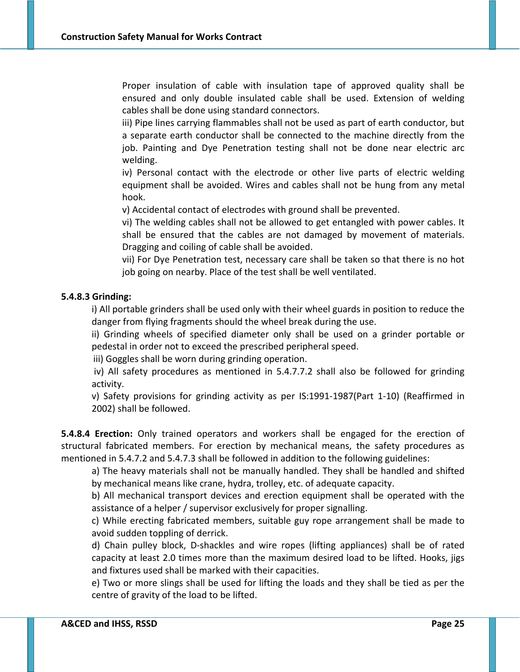Proper insulation of cable with insulation tape of approved quality shall be ensured and only double insulated cable shall be used. Extension of welding cables shall be done using standard connectors.

iii) Pipe lines carrying flammables shall not be used as part of earth conductor, but a separate earth conductor shall be connected to the machine directly from the job. Painting and Dye Penetration testing shall not be done near electric arc welding.

iv) Personal contact with the electrode or other live parts of electric welding equipment shall be avoided. Wires and cables shall not be hung from any metal hook.

v) Accidental contact of electrodes with ground shall be prevented.

vi) The welding cables shall not be allowed to get entangled with power cables. It shall be ensured that the cables are not damaged by movement of materials. Dragging and coiling of cable shall be avoided.

vii) For Dye Penetration test, necessary care shall be taken so that there is no hot job going on nearby. Place of the test shall be well ventilated.

### **5.4.8.3 Grinding:**

i) All portable grinders shall be used only with their wheel guards in position to reduce the danger from flying fragments should the wheel break during the use.

ii) Grinding wheels of specified diameter only shall be used on a grinder portable or pedestal in order not to exceed the prescribed peripheral speed.

iii) Goggles shall be worn during grinding operation.

iv) All safety procedures as mentioned in 5.4.7.7.2 shall also be followed for grinding activity.

v) Safety provisions for grinding activity as per IS:1991‐1987(Part 1‐10) (Reaffirmed in 2002) shall be followed.

**5.4.8.4 Erection:** Only trained operators and workers shall be engaged for the erection of structural fabricated members. For erection by mechanical means, the safety procedures as mentioned in 5.4.7.2 and 5.4.7.3 shall be followed in addition to the following guidelines:

a) The heavy materials shall not be manually handled. They shall be handled and shifted by mechanical means like crane, hydra, trolley, etc. of adequate capacity.

b) All mechanical transport devices and erection equipment shall be operated with the assistance of a helper / supervisor exclusively for proper signalling.

c) While erecting fabricated members, suitable guy rope arrangement shall be made to avoid sudden toppling of derrick.

d) Chain pulley block, D‐shackles and wire ropes (lifting appliances) shall be of rated capacity at least 2.0 times more than the maximum desired load to be lifted. Hooks, jigs and fixtures used shall be marked with their capacities.

e) Two or more slings shall be used for lifting the loads and they shall be tied as per the centre of gravity of the load to be lifted.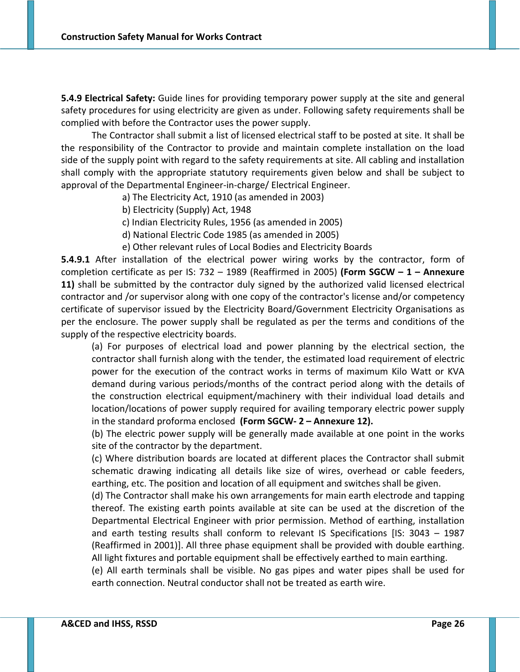**5.4.9 Electrical Safety:** Guide lines for providing temporary power supply at the site and general safety procedures for using electricity are given as under. Following safety requirements shall be complied with before the Contractor uses the power supply.

The Contractor shall submit a list of licensed electrical staff to be posted at site. It shall be the responsibility of the Contractor to provide and maintain complete installation on the load side of the supply point with regard to the safety requirements at site. All cabling and installation shall comply with the appropriate statutory requirements given below and shall be subject to approval of the Departmental Engineer‐in‐charge/ Electrical Engineer.

- a) The Electricity Act, 1910 (as amended in 2003)
- b) Electricity (Supply) Act, 1948
- c) Indian Electricity Rules, 1956 (as amended in 2005)
- d) National Electric Code 1985 (as amended in 2005)
- e) Other relevant rules of Local Bodies and Electricity Boards

**5.4.9.1** After installation of the electrical power wiring works by the contractor, form of completion certificate as per IS: 732 – 1989 (Reaffirmed in 2005) **(Form SGCW – 1 – Annexure 11)** shall be submitted by the contractor duly signed by the authorized valid licensed electrical contractor and /or supervisor along with one copy of the contractor's license and/or competency certificate of supervisor issued by the Electricity Board/Government Electricity Organisations as per the enclosure. The power supply shall be regulated as per the terms and conditions of the supply of the respective electricity boards.

(a) For purposes of electrical load and power planning by the electrical section, the contractor shall furnish along with the tender, the estimated load requirement of electric power for the execution of the contract works in terms of maximum Kilo Watt or KVA demand during various periods/months of the contract period along with the details of the construction electrical equipment/machinery with their individual load details and location/locations of power supply required for availing temporary electric power supply in the standard proforma enclosed **(Form SGCW‐ 2 – Annexure 12).**

(b) The electric power supply will be generally made available at one point in the works site of the contractor by the department.

(c) Where distribution boards are located at different places the Contractor shall submit schematic drawing indicating all details like size of wires, overhead or cable feeders, earthing, etc. The position and location of all equipment and switches shall be given.

(d) The Contractor shall make his own arrangements for main earth electrode and tapping thereof. The existing earth points available at site can be used at the discretion of the Departmental Electrical Engineer with prior permission. Method of earthing, installation and earth testing results shall conform to relevant IS Specifications [IS: 3043 – 1987 (Reaffirmed in 2001)]. All three phase equipment shall be provided with double earthing. All light fixtures and portable equipment shall be effectively earthed to main earthing.

(e) All earth terminals shall be visible. No gas pipes and water pipes shall be used for earth connection. Neutral conductor shall not be treated as earth wire.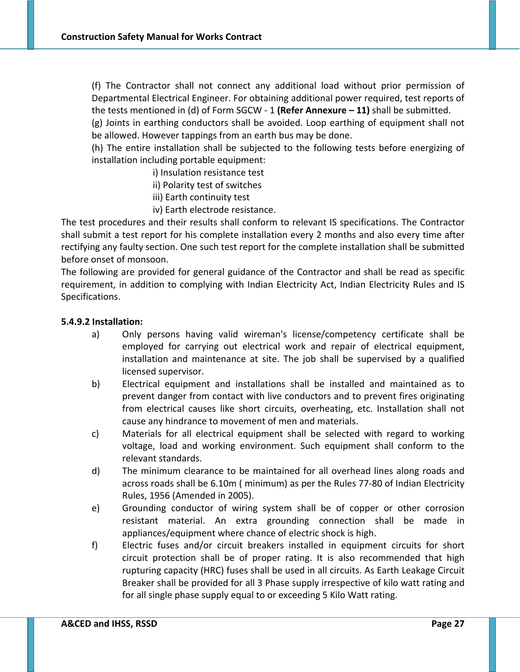(f) The Contractor shall not connect any additional load without prior permission of Departmental Electrical Engineer. For obtaining additional power required, test reports of the tests mentioned in (d) of Form SGCW ‐ 1 **(Refer Annexure – 11)** shall be submitted.

(g) Joints in earthing conductors shall be avoided. Loop earthing of equipment shall not be allowed. However tappings from an earth bus may be done.

(h) The entire installation shall be subjected to the following tests before energizing of installation including portable equipment:

i) Insulation resistance test

ii) Polarity test of switches

- iii) Earth continuity test
- iv) Earth electrode resistance.

The test procedures and their results shall conform to relevant IS specifications. The Contractor shall submit a test report for his complete installation every 2 months and also every time after rectifying any faulty section. One such test report for the complete installation shall be submitted before onset of monsoon.

The following are provided for general guidance of the Contractor and shall be read as specific requirement, in addition to complying with Indian Electricity Act, Indian Electricity Rules and IS Specifications.

#### **5.4.9.2 Installation:**

- a) Only persons having valid wireman's license/competency certificate shall be employed for carrying out electrical work and repair of electrical equipment, installation and maintenance at site. The job shall be supervised by a qualified licensed supervisor.
- b) Electrical equipment and installations shall be installed and maintained as to prevent danger from contact with live conductors and to prevent fires originating from electrical causes like short circuits, overheating, etc. Installation shall not cause any hindrance to movement of men and materials.
- c) Materials for all electrical equipment shall be selected with regard to working voltage, load and working environment. Such equipment shall conform to the relevant standards.
- d) The minimum clearance to be maintained for all overhead lines along roads and across roads shall be 6.10m ( minimum) as per the Rules 77‐80 of Indian Electricity Rules, 1956 (Amended in 2005).
- e) Grounding conductor of wiring system shall be of copper or other corrosion resistant material. An extra grounding connection shall be made in appliances/equipment where chance of electric shock is high.
- f) Electric fuses and/or circuit breakers installed in equipment circuits for short circuit protection shall be of proper rating. It is also recommended that high rupturing capacity (HRC) fuses shall be used in all circuits. As Earth Leakage Circuit Breaker shall be provided for all 3 Phase supply irrespective of kilo watt rating and for all single phase supply equal to or exceeding 5 Kilo Watt rating.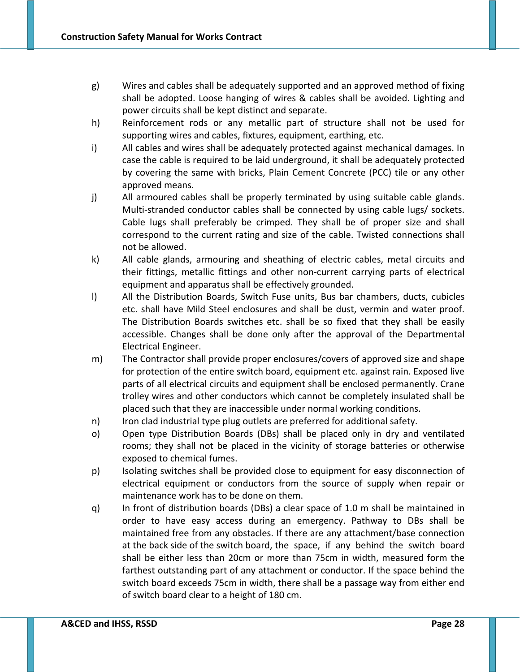- g) Wires and cables shall be adequately supported and an approved method of fixing shall be adopted. Loose hanging of wires & cables shall be avoided. Lighting and power circuits shall be kept distinct and separate.
- h) Reinforcement rods or any metallic part of structure shall not be used for supporting wires and cables, fixtures, equipment, earthing, etc.
- i) All cables and wires shall be adequately protected against mechanical damages. In case the cable is required to be laid underground, it shall be adequately protected by covering the same with bricks, Plain Cement Concrete (PCC) tile or any other approved means.
- j) All armoured cables shall be properly terminated by using suitable cable glands. Multi-stranded conductor cables shall be connected by using cable lugs/ sockets. Cable lugs shall preferably be crimped. They shall be of proper size and shall correspond to the current rating and size of the cable. Twisted connections shall not be allowed.
- k) All cable glands, armouring and sheathing of electric cables, metal circuits and their fittings, metallic fittings and other non‐current carrying parts of electrical equipment and apparatus shall be effectively grounded.
- l) All the Distribution Boards, Switch Fuse units, Bus bar chambers, ducts, cubicles etc. shall have Mild Steel enclosures and shall be dust, vermin and water proof. The Distribution Boards switches etc. shall be so fixed that they shall be easily accessible. Changes shall be done only after the approval of the Departmental Electrical Engineer.
- m) The Contractor shall provide proper enclosures/covers of approved size and shape for protection of the entire switch board, equipment etc. against rain. Exposed live parts of all electrical circuits and equipment shall be enclosed permanently. Crane trolley wires and other conductors which cannot be completely insulated shall be placed such that they are inaccessible under normal working conditions.
- n) Iron clad industrial type plug outlets are preferred for additional safety.
- o) Open type Distribution Boards (DBs) shall be placed only in dry and ventilated rooms; they shall not be placed in the vicinity of storage batteries or otherwise exposed to chemical fumes.
- p) Isolating switches shall be provided close to equipment for easy disconnection of electrical equipment or conductors from the source of supply when repair or maintenance work has to be done on them.
- q) In front of distribution boards (DBs) a clear space of 1.0 m shall be maintained in order to have easy access during an emergency. Pathway to DBs shall be maintained free from any obstacles. If there are any attachment/base connection at the back side of the switch board, the space, if any behind the switch board shall be either less than 20cm or more than 75cm in width, measured form the farthest outstanding part of any attachment or conductor. If the space behind the switch board exceeds 75cm in width, there shall be a passage way from either end of switch board clear to a height of 180 cm.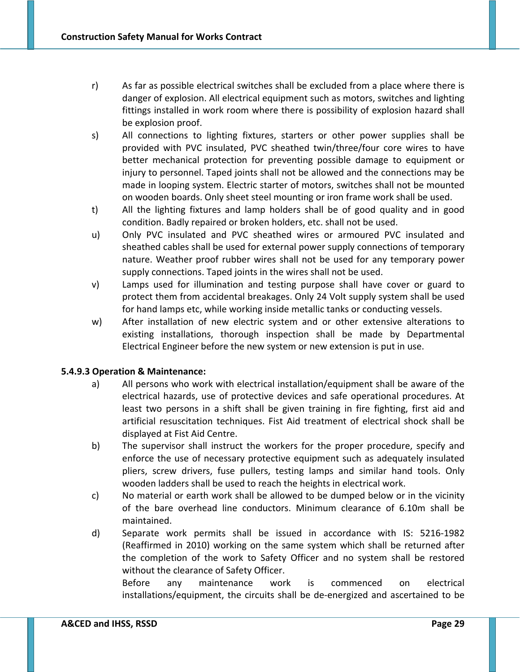- r) As far as possible electrical switches shall be excluded from a place where there is danger of explosion. All electrical equipment such as motors, switches and lighting fittings installed in work room where there is possibility of explosion hazard shall be explosion proof.
- s) All connections to lighting fixtures, starters or other power supplies shall be provided with PVC insulated, PVC sheathed twin/three/four core wires to have better mechanical protection for preventing possible damage to equipment or injury to personnel. Taped joints shall not be allowed and the connections may be made in looping system. Electric starter of motors, switches shall not be mounted on wooden boards. Only sheet steel mounting or iron frame work shall be used.
- t) All the lighting fixtures and lamp holders shall be of good quality and in good condition. Badly repaired or broken holders, etc. shall not be used.
- u) Only PVC insulated and PVC sheathed wires or armoured PVC insulated and sheathed cables shall be used for external power supply connections of temporary nature. Weather proof rubber wires shall not be used for any temporary power supply connections. Taped joints in the wires shall not be used.
- v) Lamps used for illumination and testing purpose shall have cover or guard to protect them from accidental breakages. Only 24 Volt supply system shall be used for hand lamps etc, while working inside metallic tanks or conducting vessels.
- w) After installation of new electric system and or other extensive alterations to existing installations, thorough inspection shall be made by Departmental Electrical Engineer before the new system or new extension is put in use.

# **5.4.9.3 Operation & Maintenance:**

- a) All persons who work with electrical installation/equipment shall be aware of the electrical hazards, use of protective devices and safe operational procedures. At least two persons in a shift shall be given training in fire fighting, first aid and artificial resuscitation techniques. Fist Aid treatment of electrical shock shall be displayed at Fist Aid Centre.
- b) The supervisor shall instruct the workers for the proper procedure, specify and enforce the use of necessary protective equipment such as adequately insulated pliers, screw drivers, fuse pullers, testing lamps and similar hand tools. Only wooden ladders shall be used to reach the heights in electrical work.
- c) No material or earth work shall be allowed to be dumped below or in the vicinity of the bare overhead line conductors. Minimum clearance of 6.10m shall be maintained.
- d) Separate work permits shall be issued in accordance with IS: 5216‐1982 (Reaffirmed in 2010) working on the same system which shall be returned after the completion of the work to Safety Officer and no system shall be restored without the clearance of Safety Officer.

Before any maintenance work is commenced on electrical installations/equipment, the circuits shall be de‐energized and ascertained to be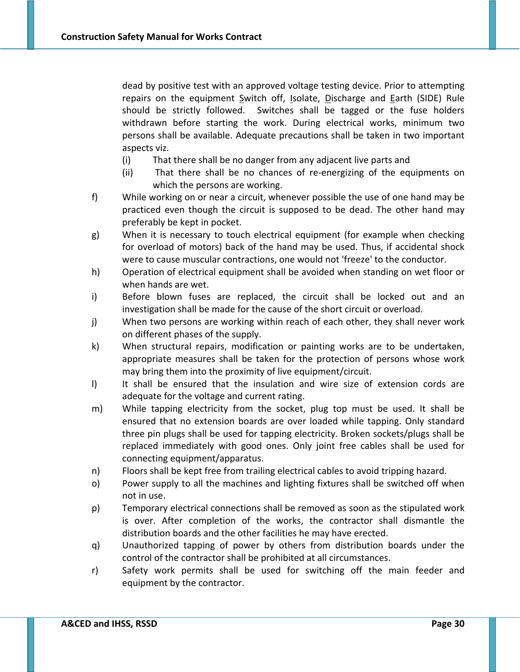dead by positive test with an approved voltage testing device. Prior to attempting repairs on the equipment Switch off, Isolate, Discharge and Earth (SIDE) Rule should be strictly followed. Switches shall be tagged or the fuse holders withdrawn before starting the work. During electrical works, minimum two persons shall be available. Adequate precautions shall be taken in two important aspects viz.

- (i) That there shall be no danger from any adjacent live parts and
- (ii) That there shall be no chances of re‐energizing of the equipments on which the persons are working.
- f) While working on or near a circuit, whenever possible the use of one hand may be practiced even though the circuit is supposed to be dead. The other hand may preferably be kept in pocket.
- g) When it is necessary to touch electrical equipment (for example when checking for overload of motors) back of the hand may be used. Thus, if accidental shock were to cause muscular contractions, one would not 'freeze' to the conductor.
- h) Operation of electrical equipment shall be avoided when standing on wet floor or when hands are wet.
- i) Before blown fuses are replaced, the circuit shall be locked out and an investigation shall be made for the cause of the short circuit or overload.
- j) When two persons are working within reach of each other, they shall never work on different phases of the supply.
- k) When structural repairs, modification or painting works are to be undertaken, appropriate measures shall be taken for the protection of persons whose work may bring them into the proximity of live equipment/circuit.
- l) It shall be ensured that the insulation and wire size of extension cords are adequate for the voltage and current rating.
- m) While tapping electricity from the socket, plug top must be used. It shall be ensured that no extension boards are over loaded while tapping. Only standard three pin plugs shall be used for tapping electricity. Broken sockets/plugs shall be replaced immediately with good ones. Only joint free cables shall be used for connecting equipment/apparatus.
- n) Floors shall be kept free from trailing electrical cables to avoid tripping hazard.
- o) Power supply to all the machines and lighting fixtures shall be switched off when not in use.
- p) Temporary electrical connections shall be removed as soon as the stipulated work is over. After completion of the works, the contractor shall dismantle the distribution boards and the other facilities he may have erected.
- q) Unauthorized tapping of power by others from distribution boards under the control of the contractor shall be prohibited at all circumstances.
- r) Safety work permits shall be used for switching off the main feeder and equipment by the contractor.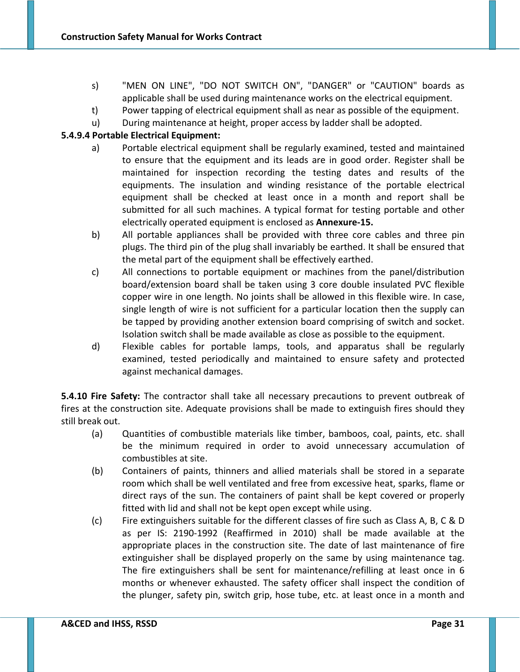- s) "MEN ON LINE", "DO NOT SWITCH ON", "DANGER" or "CAUTION" boards as applicable shall be used during maintenance works on the electrical equipment.
- t) Power tapping of electrical equipment shall as near as possible of the equipment.
- u) During maintenance at height, proper access by ladder shall be adopted.

# **5.4.9.4 Portable Electrical Equipment:**

- a) Portable electrical equipment shall be regularly examined, tested and maintained to ensure that the equipment and its leads are in good order. Register shall be maintained for inspection recording the testing dates and results of the equipments. The insulation and winding resistance of the portable electrical equipment shall be checked at least once in a month and report shall be submitted for all such machines. A typical format for testing portable and other electrically operated equipment is enclosed as **Annexure‐15.**
- b) All portable appliances shall be provided with three core cables and three pin plugs. The third pin of the plug shall invariably be earthed. It shall be ensured that the metal part of the equipment shall be effectively earthed.
- c) All connections to portable equipment or machines from the panel/distribution board/extension board shall be taken using 3 core double insulated PVC flexible copper wire in one length. No joints shall be allowed in this flexible wire. In case, single length of wire is not sufficient for a particular location then the supply can be tapped by providing another extension board comprising of switch and socket. Isolation switch shall be made available as close as possible to the equipment.
- d) Flexible cables for portable lamps, tools, and apparatus shall be regularly examined, tested periodically and maintained to ensure safety and protected against mechanical damages.

**5.4.10 Fire Safety:** The contractor shall take all necessary precautions to prevent outbreak of fires at the construction site. Adequate provisions shall be made to extinguish fires should they still break out.

- (a) Quantities of combustible materials like timber, bamboos, coal, paints, etc. shall be the minimum required in order to avoid unnecessary accumulation of combustibles at site.
- (b) Containers of paints, thinners and allied materials shall be stored in a separate room which shall be well ventilated and free from excessive heat, sparks, flame or direct rays of the sun. The containers of paint shall be kept covered or properly fitted with lid and shall not be kept open except while using.
- (c) Fire extinguishers suitable for the different classes of fire such as Class A, B, C & D as per IS: 2190‐1992 (Reaffirmed in 2010) shall be made available at the appropriate places in the construction site. The date of last maintenance of fire extinguisher shall be displayed properly on the same by using maintenance tag. The fire extinguishers shall be sent for maintenance/refilling at least once in 6 months or whenever exhausted. The safety officer shall inspect the condition of the plunger, safety pin, switch grip, hose tube, etc. at least once in a month and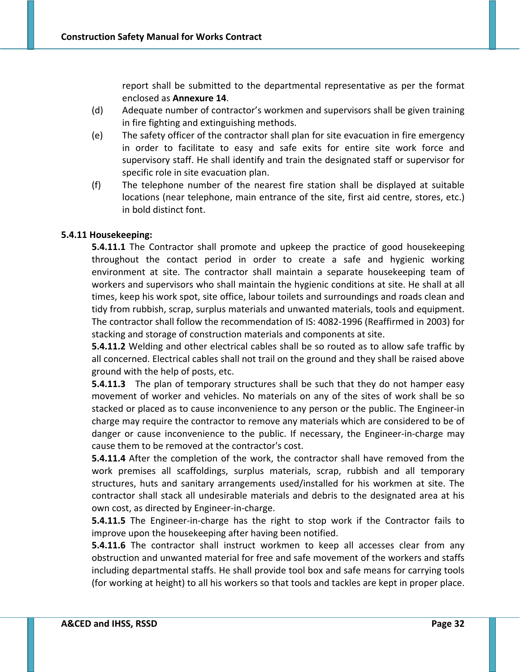report shall be submitted to the departmental representative as per the format enclosed as **Annexure 14**.

- (d) Adequate number of contractor's workmen and supervisors shall be given training in fire fighting and extinguishing methods.
- (e) The safety officer of the contractor shall plan for site evacuation in fire emergency in order to facilitate to easy and safe exits for entire site work force and supervisory staff. He shall identify and train the designated staff or supervisor for specific role in site evacuation plan.
- (f) The telephone number of the nearest fire station shall be displayed at suitable locations (near telephone, main entrance of the site, first aid centre, stores, etc.) in bold distinct font.

# **5.4.11 Housekeeping:**

**5.4.11.1** The Contractor shall promote and upkeep the practice of good housekeeping throughout the contact period in order to create a safe and hygienic working environment at site. The contractor shall maintain a separate housekeeping team of workers and supervisors who shall maintain the hygienic conditions at site. He shall at all times, keep his work spot, site office, labour toilets and surroundings and roads clean and tidy from rubbish, scrap, surplus materials and unwanted materials, tools and equipment. The contractor shall follow the recommendation of IS: 4082‐1996 (Reaffirmed in 2003) for stacking and storage of construction materials and components at site.

**5.4.11.2** Welding and other electrical cables shall be so routed as to allow safe traffic by all concerned. Electrical cables shall not trail on the ground and they shall be raised above ground with the help of posts, etc.

**5.4.11.3** The plan of temporary structures shall be such that they do not hamper easy movement of worker and vehicles. No materials on any of the sites of work shall be so stacked or placed as to cause inconvenience to any person or the public. The Engineer‐in charge may require the contractor to remove any materials which are considered to be of danger or cause inconvenience to the public. If necessary, the Engineer‐in‐charge may cause them to be removed at the contractor's cost.

**5.4.11.4** After the completion of the work, the contractor shall have removed from the work premises all scaffoldings, surplus materials, scrap, rubbish and all temporary structures, huts and sanitary arrangements used/installed for his workmen at site. The contractor shall stack all undesirable materials and debris to the designated area at his own cost, as directed by Engineer‐in‐charge.

**5.4.11.5** The Engineer-in-charge has the right to stop work if the Contractor fails to improve upon the housekeeping after having been notified.

**5.4.11.6** The contractor shall instruct workmen to keep all accesses clear from any obstruction and unwanted material for free and safe movement of the workers and staffs including departmental staffs. He shall provide tool box and safe means for carrying tools (for working at height) to all his workers so that tools and tackles are kept in proper place.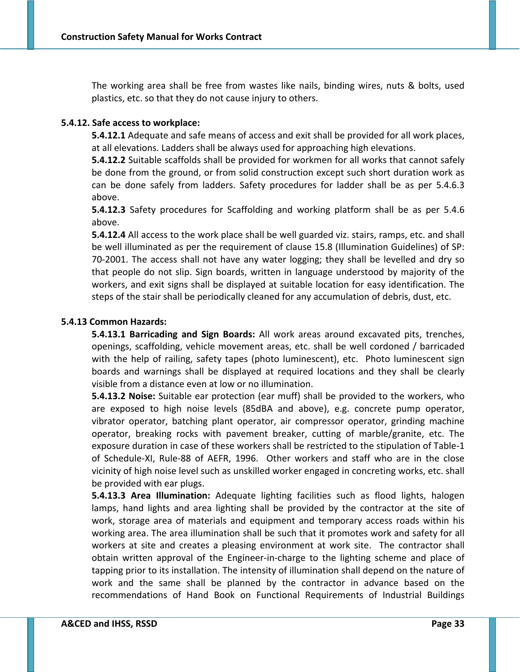The working area shall be free from wastes like nails, binding wires, nuts & bolts, used plastics, etc. so that they do not cause injury to others.

# **5.4.12. Safe access to workplace:**

**5.4.12.1** Adequate and safe means of access and exit shall be provided for all work places, at all elevations. Ladders shall be always used for approaching high elevations.

**5.4.12.2** Suitable scaffolds shall be provided for workmen for all works that cannot safely be done from the ground, or from solid construction except such short duration work as can be done safely from ladders. Safety procedures for ladder shall be as per 5.4.6.3 above.

**5.4.12.3** Safety procedures for Scaffolding and working platform shall be as per 5.4.6 above.

**5.4.12.4** All access to the work place shall be well guarded viz. stairs, ramps, etc. and shall be well illuminated as per the requirement of clause 15.8 (Illumination Guidelines) of SP: 70‐2001. The access shall not have any water logging; they shall be levelled and dry so that people do not slip. Sign boards, written in language understood by majority of the workers, and exit signs shall be displayed at suitable location for easy identification. The steps of the stair shall be periodically cleaned for any accumulation of debris, dust, etc.

# **5.4.13 Common Hazards:**

**5.4.13.1 Barricading and Sign Boards:** All work areas around excavated pits, trenches, openings, scaffolding, vehicle movement areas, etc. shall be well cordoned / barricaded with the help of railing, safety tapes (photo luminescent), etc. Photo luminescent sign boards and warnings shall be displayed at required locations and they shall be clearly visible from a distance even at low or no illumination.

**5.4.13.2 Noise:** Suitable ear protection (ear muff) shall be provided to the workers, who are exposed to high noise levels (85dBA and above), e.g. concrete pump operator, vibrator operator, batching plant operator, air compressor operator, grinding machine operator, breaking rocks with pavement breaker, cutting of marble/granite, etc. The exposure duration in case of these workers shall be restricted to the stipulation of Table‐1 of Schedule‐XI, Rule‐88 of AEFR, 1996. Other workers and staff who are in the close vicinity of high noise level such as unskilled worker engaged in concreting works, etc. shall be provided with ear plugs.

**5.4.13.3 Area Illumination:** Adequate lighting facilities such as flood lights, halogen lamps, hand lights and area lighting shall be provided by the contractor at the site of work, storage area of materials and equipment and temporary access roads within his working area. The area illumination shall be such that it promotes work and safety for all workers at site and creates a pleasing environment at work site. The contractor shall obtain written approval of the Engineer‐in‐charge to the lighting scheme and place of tapping prior to its installation. The intensity of illumination shall depend on the nature of work and the same shall be planned by the contractor in advance based on the recommendations of Hand Book on Functional Requirements of Industrial Buildings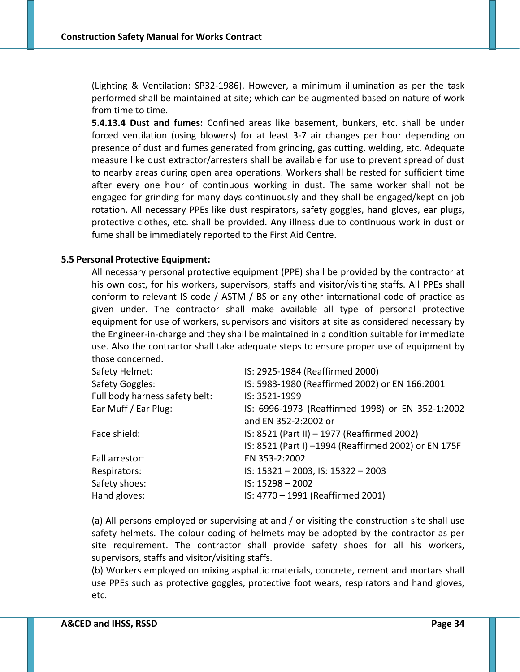(Lighting & Ventilation: SP32‐1986). However, a minimum illumination as per the task performed shall be maintained at site; which can be augmented based on nature of work from time to time.

**5.4.13.4 Dust and fumes:** Confined areas like basement, bunkers, etc. shall be under forced ventilation (using blowers) for at least 3‐7 air changes per hour depending on presence of dust and fumes generated from grinding, gas cutting, welding, etc. Adequate measure like dust extractor/arresters shall be available for use to prevent spread of dust to nearby areas during open area operations. Workers shall be rested for sufficient time after every one hour of continuous working in dust. The same worker shall not be engaged for grinding for many days continuously and they shall be engaged/kept on job rotation. All necessary PPEs like dust respirators, safety goggles, hand gloves, ear plugs, protective clothes, etc. shall be provided. Any illness due to continuous work in dust or fume shall be immediately reported to the First Aid Centre.

### **5.5 Personal Protective Equipment:**

All necessary personal protective equipment (PPE) shall be provided by the contractor at his own cost, for his workers, supervisors, staffs and visitor/visiting staffs. All PPEs shall conform to relevant IS code / ASTM / BS or any other international code of practice as given under. The contractor shall make available all type of personal protective equipment for use of workers, supervisors and visitors at site as considered necessary by the Engineer‐in‐charge and they shall be maintained in a condition suitable for immediate use. Also the contractor shall take adequate steps to ensure proper use of equipment by those concerned.

| Safety Helmet:                 | IS: 2925-1984 (Reaffirmed 2000)                      |
|--------------------------------|------------------------------------------------------|
| Safety Goggles:                | IS: 5983-1980 (Reaffirmed 2002) or EN 166:2001       |
| Full body harness safety belt: | IS: 3521-1999                                        |
| Ear Muff / Ear Plug:           | IS: 6996-1973 (Reaffirmed 1998) or EN 352-1:2002     |
|                                | and EN 352-2:2002 or                                 |
| Face shield:                   | IS: 8521 (Part II) - 1977 (Reaffirmed 2002)          |
|                                | IS: 8521 (Part I) -1994 (Reaffirmed 2002) or EN 175F |
| Fall arrestor:                 | EN 353-2:2002                                        |
| Respirators:                   | IS: 15321-2003, IS: 15322-2003                       |
| Safety shoes:                  | $IS: 15298 - 2002$                                   |
| Hand gloves:                   | IS: 4770 - 1991 (Reaffirmed 2001)                    |

(a) All persons employed or supervising at and / or visiting the construction site shall use safety helmets. The colour coding of helmets may be adopted by the contractor as per site requirement. The contractor shall provide safety shoes for all his workers, supervisors, staffs and visitor/visiting staffs.

(b) Workers employed on mixing asphaltic materials, concrete, cement and mortars shall use PPEs such as protective goggles, protective foot wears, respirators and hand gloves, etc.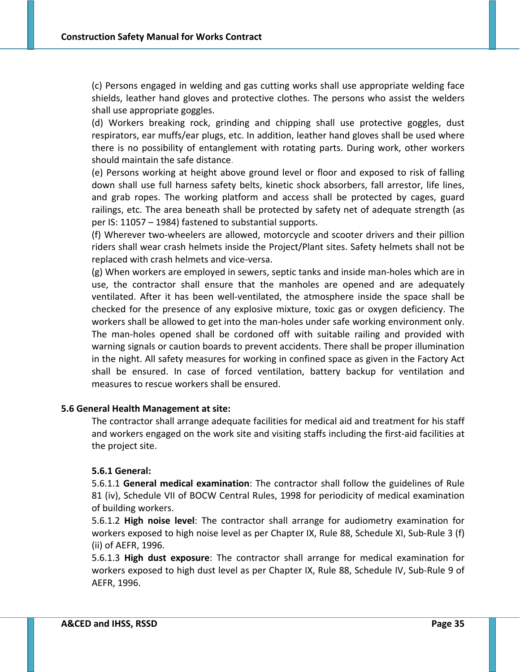(c) Persons engaged in welding and gas cutting works shall use appropriate welding face shields, leather hand gloves and protective clothes. The persons who assist the welders shall use appropriate goggles.

(d) Workers breaking rock, grinding and chipping shall use protective goggles, dust respirators, ear muffs/ear plugs, etc. In addition, leather hand gloves shall be used where there is no possibility of entanglement with rotating parts. During work, other workers should maintain the safe distance.

(e) Persons working at height above ground level or floor and exposed to risk of falling down shall use full harness safety belts, kinetic shock absorbers, fall arrestor, life lines, and grab ropes. The working platform and access shall be protected by cages, guard railings, etc. The area beneath shall be protected by safety net of adequate strength (as per IS: 11057 – 1984) fastened to substantial supports.

(f) Wherever two‐wheelers are allowed, motorcycle and scooter drivers and their pillion riders shall wear crash helmets inside the Project/Plant sites. Safety helmets shall not be replaced with crash helmets and vice‐versa.

(g) When workers are employed in sewers, septic tanks and inside man‐holes which are in use, the contractor shall ensure that the manholes are opened and are adequately ventilated. After it has been well‐ventilated, the atmosphere inside the space shall be checked for the presence of any explosive mixture, toxic gas or oxygen deficiency. The workers shall be allowed to get into the man-holes under safe working environment only. The man-holes opened shall be cordoned off with suitable railing and provided with warning signals or caution boards to prevent accidents. There shall be proper illumination in the night. All safety measures for working in confined space as given in the Factory Act shall be ensured. In case of forced ventilation, battery backup for ventilation and measures to rescue workers shall be ensured.

#### **5.6 General Health Management at site:**

The contractor shall arrange adequate facilities for medical aid and treatment for his staff and workers engaged on the work site and visiting staffs including the first‐aid facilities at the project site.

# **5.6.1 General:**

5.6.1.1 **General medical examination**: The contractor shall follow the guidelines of Rule 81 (iv), Schedule VII of BOCW Central Rules, 1998 for periodicity of medical examination of building workers.

5.6.1.2 **High noise level**: The contractor shall arrange for audiometry examination for workers exposed to high noise level as per Chapter IX, Rule 88, Schedule XI, Sub-Rule 3 (f) (ii) of AEFR, 1996.

5.6.1.3 **High dust exposure**: The contractor shall arrange for medical examination for workers exposed to high dust level as per Chapter IX, Rule 88, Schedule IV, Sub‐Rule 9 of AEFR, 1996.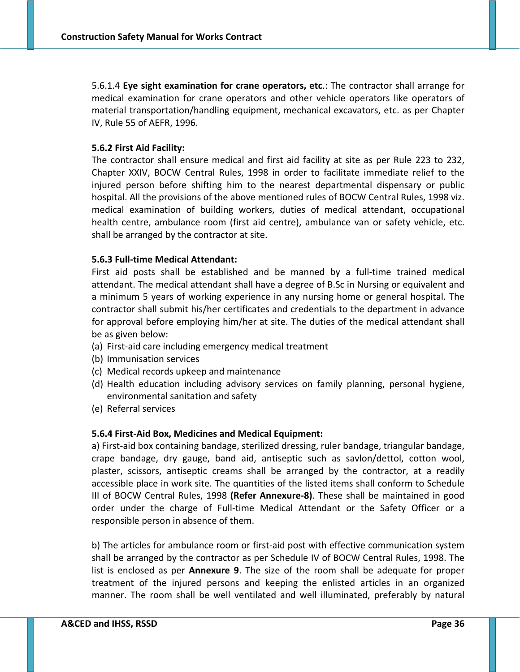5.6.1.4 **Eye sight examination for crane operators, etc**.: The contractor shall arrange for medical examination for crane operators and other vehicle operators like operators of material transportation/handling equipment, mechanical excavators, etc. as per Chapter IV, Rule 55 of AEFR, 1996.

## **5.6.2 First Aid Facility:**

The contractor shall ensure medical and first aid facility at site as per Rule 223 to 232, Chapter XXIV, BOCW Central Rules, 1998 in order to facilitate immediate relief to the injured person before shifting him to the nearest departmental dispensary or public hospital. All the provisions of the above mentioned rules of BOCW Central Rules, 1998 viz. medical examination of building workers, duties of medical attendant, occupational health centre, ambulance room (first aid centre), ambulance van or safety vehicle, etc. shall be arranged by the contractor at site.

#### **5.6.3 Full‐time Medical Attendant:**

First aid posts shall be established and be manned by a full‐time trained medical attendant. The medical attendant shall have a degree of B.Sc in Nursing or equivalent and a minimum 5 years of working experience in any nursing home or general hospital. The contractor shall submit his/her certificates and credentials to the department in advance for approval before employing him/her at site. The duties of the medical attendant shall be as given below:

- (a) First‐aid care including emergency medical treatment
- (b) Immunisation services
- (c) Medical records upkeep and maintenance
- (d) Health education including advisory services on family planning, personal hygiene, environmental sanitation and safety
- (e) Referral services

#### **5.6.4 First‐Aid Box, Medicines and Medical Equipment:**

a) First‐aid box containing bandage, sterilized dressing, ruler bandage, triangular bandage, crape bandage, dry gauge, band aid, antiseptic such as savlon/dettol, cotton wool, plaster, scissors, antiseptic creams shall be arranged by the contractor, at a readily accessible place in work site. The quantities of the listed items shall conform to Schedule III of BOCW Central Rules, 1998 **(Refer Annexure‐8)**. These shall be maintained in good order under the charge of Full-time Medical Attendant or the Safety Officer or a responsible person in absence of them.

b) The articles for ambulance room or first-aid post with effective communication system shall be arranged by the contractor as per Schedule IV of BOCW Central Rules, 1998. The list is enclosed as per **Annexure 9**. The size of the room shall be adequate for proper treatment of the injured persons and keeping the enlisted articles in an organized manner. The room shall be well ventilated and well illuminated, preferably by natural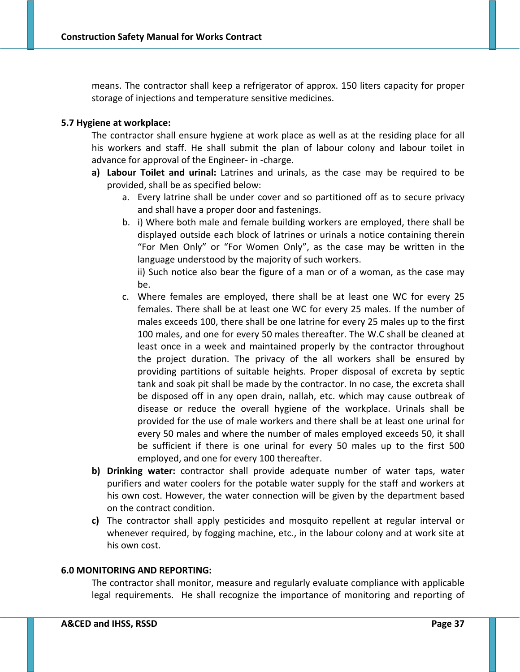means. The contractor shall keep a refrigerator of approx. 150 liters capacity for proper storage of injections and temperature sensitive medicines.

## **5.7 Hygiene at workplace:**

The contractor shall ensure hygiene at work place as well as at the residing place for all his workers and staff. He shall submit the plan of labour colony and labour toilet in advance for approval of the Engineer‐ in ‐charge.

- **a) Labour Toilet and urinal:** Latrines and urinals, as the case may be required to be provided, shall be as specified below:
	- a. Every latrine shall be under cover and so partitioned off as to secure privacy and shall have a proper door and fastenings.
	- b. i) Where both male and female building workers are employed, there shall be displayed outside each block of latrines or urinals a notice containing therein "For Men Only" or "For Women Only", as the case may be written in the language understood by the majority of such workers.

ii) Such notice also bear the figure of a man or of a woman, as the case may be.

- c. Where females are employed, there shall be at least one WC for every 25 females. There shall be at least one WC for every 25 males. If the number of males exceeds 100, there shall be one latrine for every 25 males up to the first 100 males, and one for every 50 males thereafter. The W.C shall be cleaned at least once in a week and maintained properly by the contractor throughout the project duration. The privacy of the all workers shall be ensured by providing partitions of suitable heights. Proper disposal of excreta by septic tank and soak pit shall be made by the contractor. In no case, the excreta shall be disposed off in any open drain, nallah, etc. which may cause outbreak of disease or reduce the overall hygiene of the workplace. Urinals shall be provided for the use of male workers and there shall be at least one urinal for every 50 males and where the number of males employed exceeds 50, it shall be sufficient if there is one urinal for every 50 males up to the first 500 employed, and one for every 100 thereafter.
- **b) Drinking water:** contractor shall provide adequate number of water taps, water purifiers and water coolers for the potable water supply for the staff and workers at his own cost. However, the water connection will be given by the department based on the contract condition.
- **c)** The contractor shall apply pesticides and mosquito repellent at regular interval or whenever required, by fogging machine, etc., in the labour colony and at work site at his own cost.

### **6.0 MONITORING AND REPORTING:**

The contractor shall monitor, measure and regularly evaluate compliance with applicable legal requirements. He shall recognize the importance of monitoring and reporting of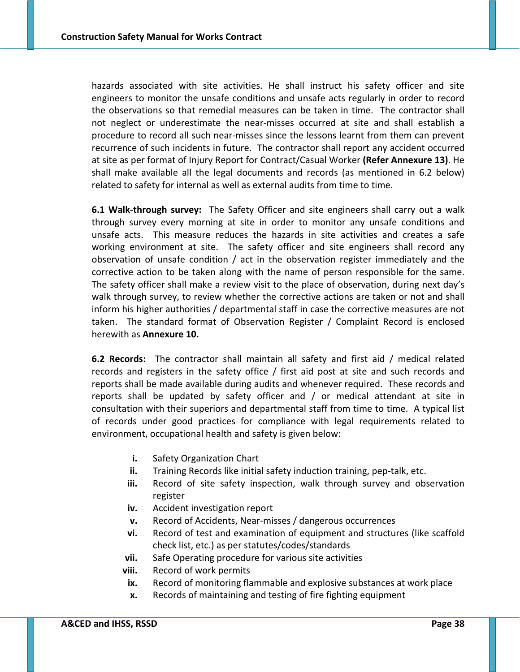hazards associated with site activities. He shall instruct his safety officer and site engineers to monitor the unsafe conditions and unsafe acts regularly in order to record the observations so that remedial measures can be taken in time. The contractor shall not neglect or underestimate the near‐misses occurred at site and shall establish a procedure to record all such near-misses since the lessons learnt from them can prevent recurrence of such incidents in future. The contractor shall report any accident occurred at site as per format of Injury Report for Contract/Casual Worker **(Refer Annexure 13)**. He shall make available all the legal documents and records (as mentioned in 6.2 below) related to safety for internal as well as external audits from time to time.

**6.1 Walk‐through survey:** The Safety Officer and site engineers shall carry out a walk through survey every morning at site in order to monitor any unsafe conditions and unsafe acts. This measure reduces the hazards in site activities and creates a safe working environment at site. The safety officer and site engineers shall record any observation of unsafe condition / act in the observation register immediately and the corrective action to be taken along with the name of person responsible for the same. The safety officer shall make a review visit to the place of observation, during next day's walk through survey, to review whether the corrective actions are taken or not and shall inform his higher authorities / departmental staff in case the corrective measures are not taken. The standard format of Observation Register / Complaint Record is enclosed herewith as **Annexure 10.**

**6.2 Records:** The contractor shall maintain all safety and first aid / medical related records and registers in the safety office / first aid post at site and such records and reports shall be made available during audits and whenever required. These records and reports shall be updated by safety officer and / or medical attendant at site in consultation with their superiors and departmental staff from time to time. A typical list of records under good practices for compliance with legal requirements related to environment, occupational health and safety is given below:

- **i.** Safety Organization Chart
- **ii.** Training Records like initial safety induction training, pep-talk, etc.
- **iii.** Record of site safety inspection, walk through survey and observation register
- **iv.** Accident investigation report
- **v.** Record of Accidents, Near‐misses / dangerous occurrences
- **vi.** Record of test and examination of equipment and structures (like scaffold check list, etc.) as per statutes/codes/standards
- **vii.** Safe Operating procedure for various site activities
- **viii.** Record of work permits
- **ix.** Record of monitoring flammable and explosive substances at work place
- **x.** Records of maintaining and testing of fire fighting equipment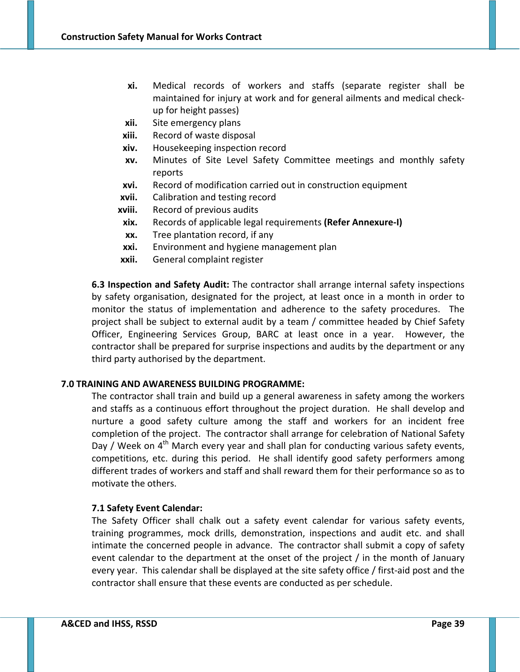- **xi.** Medical records of workers and staffs (separate register shall be maintained for injury at work and for general ailments and medical check‐ up for height passes)
- **xii.** Site emergency plans
- **xiii.** Record of waste disposal
- **xiv.** Housekeeping inspection record
- **xv.** Minutes of Site Level Safety Committee meetings and monthly safety reports
- **xvi.** Record of modification carried out in construction equipment
- **xvii.** Calibration and testing record
- **xviii.** Record of previous audits
- **xix.** Records of applicable legal requirements **(Refer Annexure‐I)**
- **xx.** Tree plantation record, if any
- **xxi.** Environment and hygiene management plan
- **xxii.** General complaint register

**6.3 Inspection and Safety Audit:** The contractor shall arrange internal safety inspections by safety organisation, designated for the project, at least once in a month in order to monitor the status of implementation and adherence to the safety procedures. The project shall be subject to external audit by a team / committee headed by Chief Safety Officer, Engineering Services Group, BARC at least once in a year. However, the contractor shall be prepared for surprise inspections and audits by the department or any third party authorised by the department.

# **7.0 TRAINING AND AWARENESS BUILDING PROGRAMME:**

The contractor shall train and build up a general awareness in safety among the workers and staffs as a continuous effort throughout the project duration. He shall develop and nurture a good safety culture among the staff and workers for an incident free completion of the project. The contractor shall arrange for celebration of National Safety Day / Week on  $4<sup>th</sup>$  March every year and shall plan for conducting various safety events, competitions, etc. during this period. He shall identify good safety performers among different trades of workers and staff and shall reward them for their performance so as to motivate the others.

# **7.1 Safety Event Calendar:**

The Safety Officer shall chalk out a safety event calendar for various safety events, training programmes, mock drills, demonstration, inspections and audit etc. and shall intimate the concerned people in advance. The contractor shall submit a copy of safety event calendar to the department at the onset of the project / in the month of January every year. This calendar shall be displayed at the site safety office / first‐aid post and the contractor shall ensure that these events are conducted as per schedule.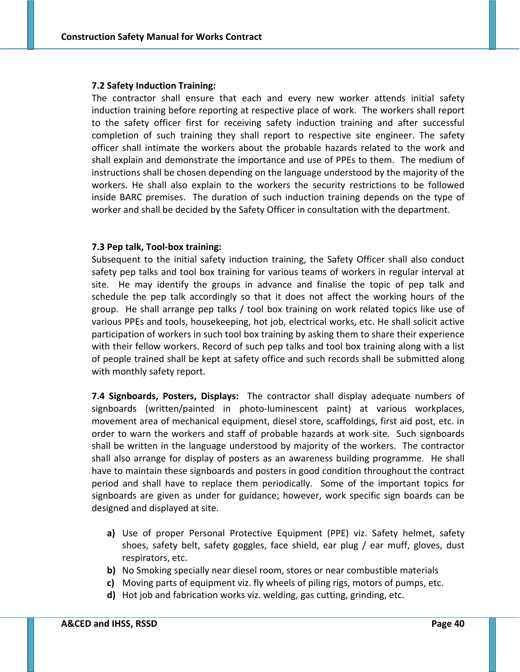#### **7.2 Safety Induction Training:**

The contractor shall ensure that each and every new worker attends initial safety induction training before reporting at respective place of work. The workers shall report to the safety officer first for receiving safety induction training and after successful completion of such training they shall report to respective site engineer. The safety officer shall intimate the workers about the probable hazards related to the work and shall explain and demonstrate the importance and use of PPEs to them. The medium of instructions shall be chosen depending on the language understood by the majority of the workers. He shall also explain to the workers the security restrictions to be followed inside BARC premises. The duration of such induction training depends on the type of worker and shall be decided by the Safety Officer in consultation with the department.

### **7.3 Pep talk, Tool‐box training:**

Subsequent to the initial safety induction training, the Safety Officer shall also conduct safety pep talks and tool box training for various teams of workers in regular interval at site. He may identify the groups in advance and finalise the topic of pep talk and schedule the pep talk accordingly so that it does not affect the working hours of the group. He shall arrange pep talks / tool box training on work related topics like use of various PPEs and tools, housekeeping, hot job, electrical works, etc. He shall solicit active participation of workers in such tool box training by asking them to share their experience with their fellow workers. Record of such pep talks and tool box training along with a list of people trained shall be kept at safety office and such records shall be submitted along with monthly safety report.

**7.4 Signboards, Posters, Displays:** The contractor shall display adequate numbers of signboards (written/painted in photo-luminescent paint) at various workplaces, movement area of mechanical equipment, diesel store, scaffoldings, first aid post, etc. in order to warn the workers and staff of probable hazards at work site. Such signboards shall be written in the language understood by majority of the workers. The contractor shall also arrange for display of posters as an awareness building programme. He shall have to maintain these signboards and posters in good condition throughout the contract period and shall have to replace them periodically. Some of the important topics for signboards are given as under for guidance; however, work specific sign boards can be designed and displayed at site.

- **a)** Use of proper Personal Protective Equipment (PPE) viz. Safety helmet, safety shoes, safety belt, safety goggles, face shield, ear plug / ear muff, gloves, dust respirators, etc.
- **b)** No Smoking specially near diesel room, stores or near combustible materials
- **c)** Moving parts of equipment viz. fly wheels of piling rigs, motors of pumps, etc.
- **d)** Hot job and fabrication works viz. welding, gas cutting, grinding, etc.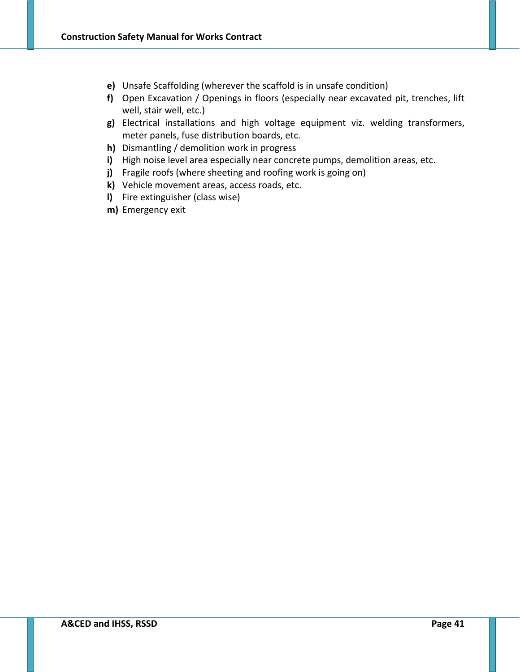- **e)** Unsafe Scaffolding (wherever the scaffold is in unsafe condition)
- **f)** Open Excavation / Openings in floors (especially near excavated pit, trenches, lift well, stair well, etc.)
- **g)** Electrical installations and high voltage equipment viz. welding transformers, meter panels, fuse distribution boards, etc.
- **h)** Dismantling / demolition work in progress
- **i)** High noise level area especially near concrete pumps, demolition areas, etc.
- **j)** Fragile roofs (where sheeting and roofing work is going on)
- **k)** Vehicle movement areas, access roads, etc.
- **l)** Fire extinguisher (class wise)
- **m)** Emergency exit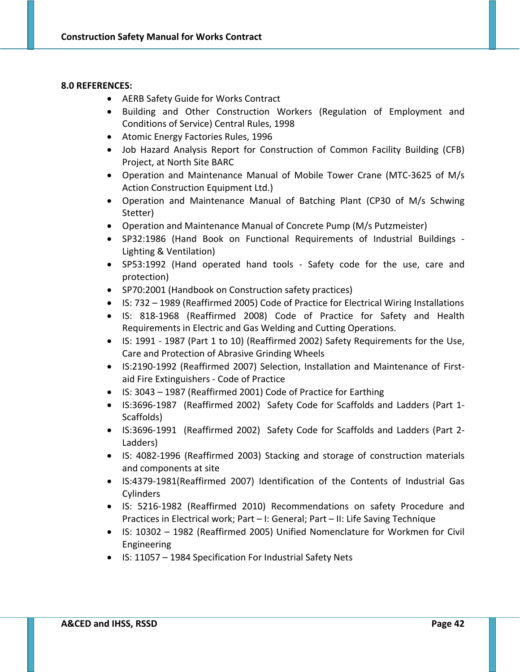#### **8.0 REFERENCES:**

- AERB Safety Guide for Works Contract
- Building and Other Construction Workers (Regulation of Employment and Conditions of Service) Central Rules, 1998
- Atomic Energy Factories Rules, 1996
- Job Hazard Analysis Report for Construction of Common Facility Building (CFB) Project, at North Site BARC
- Operation and Maintenance Manual of Mobile Tower Crane (MTC‐3625 of M/s Action Construction Equipment Ltd.)
- Operation and Maintenance Manual of Batching Plant (CP30 of M/s Schwing Stetter)
- Operation and Maintenance Manual of Concrete Pump (M/s Putzmeister)
- SP32:1986 (Hand Book on Functional Requirements of Industrial Buildings ‐ Lighting & Ventilation)
- SP53:1992 (Hand operated hand tools ‐ Safety code for the use, care and protection)
- SP70:2001 (Handbook on Construction safety practices)
- IS: 732 1989 (Reaffirmed 2005) Code of Practice for Electrical Wiring Installations
- IS: 818‐1968 (Reaffirmed 2008) Code of Practice for Safety and Health Requirements in Electric and Gas Welding and Cutting Operations.
- IS: 1991 ‐ 1987 (Part 1 to 10) (Reaffirmed 2002) Safety Requirements for the Use, Care and Protection of Abrasive Grinding Wheels
- IS:2190-1992 (Reaffirmed 2007) Selection, Installation and Maintenance of Firstaid Fire Extinguishers ‐ Code of Practice
- IS: 3043 1987 (Reaffirmed 2001) Code of Practice for Earthing
- IS:3696-1987 (Reaffirmed 2002) Safety Code for Scaffolds and Ladders (Part 1-Scaffolds)
- IS:3696-1991 (Reaffirmed 2002) Safety Code for Scaffolds and Ladders (Part 2-Ladders)
- IS: 4082‐1996 (Reaffirmed 2003) Stacking and storage of construction materials and components at site
- IS:4379‐1981(Reaffirmed 2007) Identification of the Contents of Industrial Gas **Cylinders**
- IS: 5216‐1982 (Reaffirmed 2010) Recommendations on safety Procedure and Practices in Electrical work; Part – I: General; Part – II: Life Saving Technique
- IS: 10302 1982 (Reaffirmed 2005) Unified Nomenclature for Workmen for Civil Engineering
- IS: 11057 1984 Specification For Industrial Safety Nets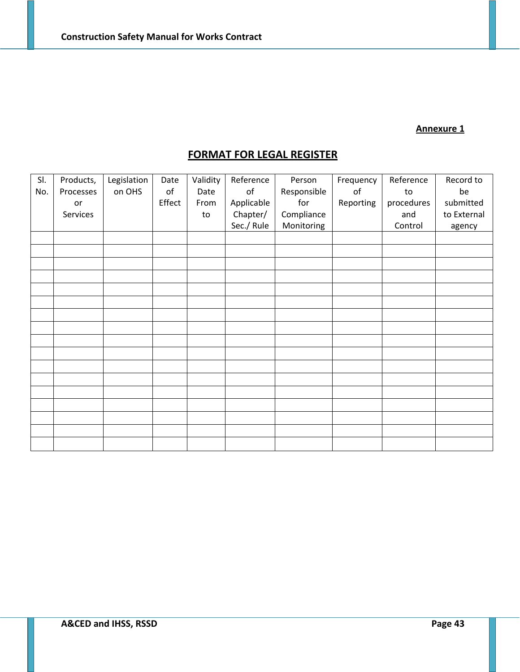# **Annexure 1**

# **FORMAT FOR LEGAL REGISTER**

| SI. | Products, | Legislation | Date   | Validity | Reference  | Person      | Frequency | Reference  | Record to   |
|-----|-----------|-------------|--------|----------|------------|-------------|-----------|------------|-------------|
| No. | Processes | on OHS      | оf     | Date     | of         | Responsible | of        | to         | be          |
|     | or        |             | Effect | From     | Applicable | for         | Reporting | procedures | submitted   |
|     |           |             |        |          |            |             |           |            |             |
|     | Services  |             |        | to       | Chapter/   | Compliance  |           | and        | to External |
|     |           |             |        |          | Sec./ Rule | Monitoring  |           | Control    | agency      |
|     |           |             |        |          |            |             |           |            |             |
|     |           |             |        |          |            |             |           |            |             |
|     |           |             |        |          |            |             |           |            |             |
|     |           |             |        |          |            |             |           |            |             |
|     |           |             |        |          |            |             |           |            |             |
|     |           |             |        |          |            |             |           |            |             |
|     |           |             |        |          |            |             |           |            |             |
|     |           |             |        |          |            |             |           |            |             |
|     |           |             |        |          |            |             |           |            |             |
|     |           |             |        |          |            |             |           |            |             |
|     |           |             |        |          |            |             |           |            |             |
|     |           |             |        |          |            |             |           |            |             |
|     |           |             |        |          |            |             |           |            |             |
|     |           |             |        |          |            |             |           |            |             |
|     |           |             |        |          |            |             |           |            |             |
|     |           |             |        |          |            |             |           |            |             |
|     |           |             |        |          |            |             |           |            |             |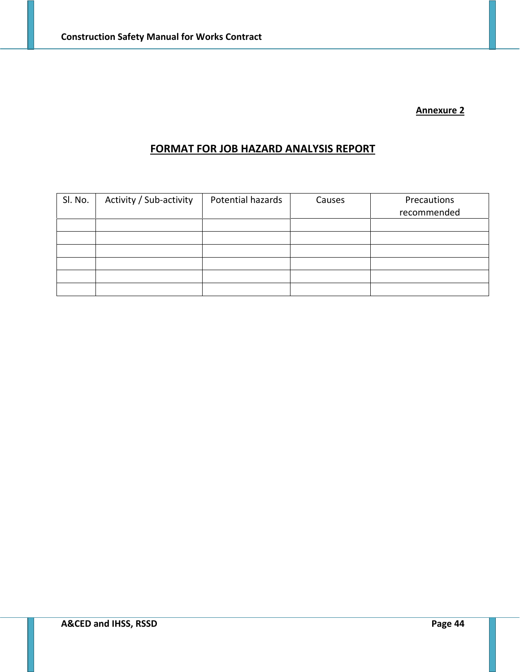### **Annexure 2**

# **FORMAT FOR JOB HAZARD ANALYSIS REPORT**

| Sl. No. | Activity / Sub-activity | Potential hazards | Causes | Precautions<br>recommended |
|---------|-------------------------|-------------------|--------|----------------------------|
|         |                         |                   |        |                            |
|         |                         |                   |        |                            |
|         |                         |                   |        |                            |
|         |                         |                   |        |                            |
|         |                         |                   |        |                            |
|         |                         |                   |        |                            |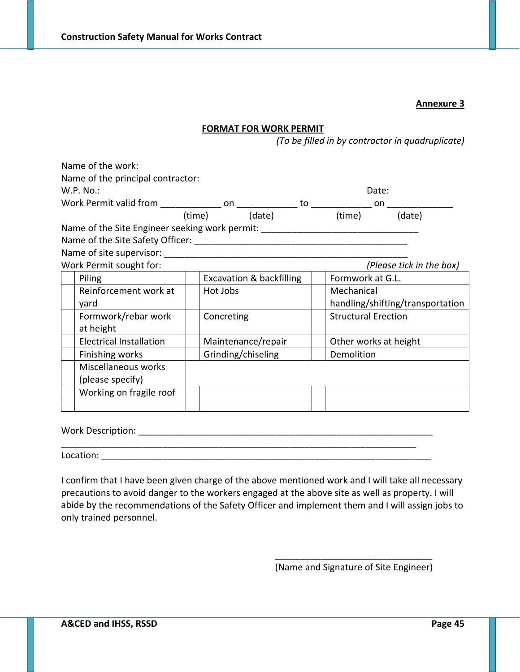## **Annexure 3**

## **FORMAT FOR WORK PERMIT**

*(To be filled in by contractor in quadruplicate)*

|            |                                             | Date:                                                                                     |                                                                                            |
|------------|---------------------------------------------|-------------------------------------------------------------------------------------------|--------------------------------------------------------------------------------------------|
|            |                                             |                                                                                           |                                                                                            |
|            |                                             |                                                                                           | (date)                                                                                     |
|            |                                             |                                                                                           |                                                                                            |
|            |                                             |                                                                                           |                                                                                            |
|            |                                             |                                                                                           |                                                                                            |
|            |                                             |                                                                                           | (Please tick in the box)                                                                   |
|            |                                             | Formwork at G.L.                                                                          |                                                                                            |
| Hot Jobs   |                                             | Mechanical                                                                                |                                                                                            |
|            |                                             |                                                                                           | handling/shifting/transportation                                                           |
| Concreting |                                             | <b>Structural Erection</b>                                                                |                                                                                            |
|            |                                             |                                                                                           |                                                                                            |
|            |                                             | Other works at height                                                                     |                                                                                            |
|            |                                             | Demolition                                                                                |                                                                                            |
|            |                                             |                                                                                           |                                                                                            |
|            |                                             |                                                                                           |                                                                                            |
|            |                                             |                                                                                           |                                                                                            |
|            |                                             |                                                                                           |                                                                                            |
|            | Name of the principal contractor:<br>(time) | (date)<br><b>Excavation &amp; backfilling</b><br>Maintenance/repair<br>Grinding/chiseling | (time)<br>Name of the Site Engineer seeking work permit: _________________________________ |

Work Description: \_\_\_\_\_\_\_\_\_\_\_\_\_\_\_\_\_\_\_\_\_\_\_\_\_\_\_\_\_\_\_\_\_\_\_\_\_\_\_\_\_\_\_\_\_\_\_\_\_\_\_\_\_\_\_\_\_\_

Location: where the control of the control of the control of the control of the control of the control of the control of the control of the control of the control of the control of the control of the control of the control

I confirm that I have been given charge of the above mentioned work and I will take all necessary precautions to avoid danger to the workers engaged at the above site as well as property. I will abide by the recommendations of the Safety Officer and implement them and I will assign jobs to only trained personnel.

\_\_\_\_\_\_\_\_\_\_\_\_\_\_\_\_\_\_\_\_\_\_\_\_\_\_\_\_\_\_\_\_\_\_\_\_\_\_\_\_\_\_\_\_\_\_\_\_\_\_\_\_\_\_\_\_\_\_\_\_\_\_\_\_\_\_\_\_\_\_

\_\_\_\_\_\_\_\_\_\_\_\_\_\_\_\_\_\_\_\_\_\_\_\_\_\_\_\_\_\_\_ (Name and Signature of Site Engineer)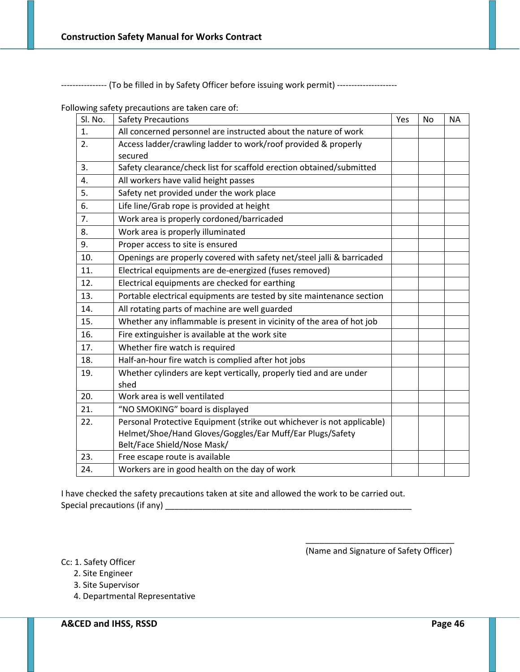---------------- (To be filled in by Safety Officer before issuing work permit) ----------------------

Following safety precautions are taken care of:

| Sl. No. | <b>Safety Precautions</b>                                                  | Yes | <b>No</b> | <b>NA</b> |
|---------|----------------------------------------------------------------------------|-----|-----------|-----------|
| 1.      | All concerned personnel are instructed about the nature of work            |     |           |           |
| 2.      | Access ladder/crawling ladder to work/roof provided & properly<br>secured  |     |           |           |
| 3.      | Safety clearance/check list for scaffold erection obtained/submitted       |     |           |           |
| 4.      | All workers have valid height passes                                       |     |           |           |
| 5.      | Safety net provided under the work place                                   |     |           |           |
| 6.      | Life line/Grab rope is provided at height                                  |     |           |           |
| 7.      | Work area is properly cordoned/barricaded                                  |     |           |           |
| 8.      | Work area is properly illuminated                                          |     |           |           |
| 9.      | Proper access to site is ensured                                           |     |           |           |
| 10.     | Openings are properly covered with safety net/steel jalli & barricaded     |     |           |           |
| 11.     | Electrical equipments are de-energized (fuses removed)                     |     |           |           |
| 12.     | Electrical equipments are checked for earthing                             |     |           |           |
| 13.     | Portable electrical equipments are tested by site maintenance section      |     |           |           |
| 14.     | All rotating parts of machine are well guarded                             |     |           |           |
| 15.     | Whether any inflammable is present in vicinity of the area of hot job      |     |           |           |
| 16.     | Fire extinguisher is available at the work site                            |     |           |           |
| 17.     | Whether fire watch is required                                             |     |           |           |
| 18.     | Half-an-hour fire watch is complied after hot jobs                         |     |           |           |
| 19.     | Whether cylinders are kept vertically, properly tied and are under<br>shed |     |           |           |
| 20.     | Work area is well ventilated                                               |     |           |           |
| 21.     | "NO SMOKING" board is displayed                                            |     |           |           |
| 22.     | Personal Protective Equipment (strike out whichever is not applicable)     |     |           |           |
|         | Helmet/Shoe/Hand Gloves/Goggles/Ear Muff/Ear Plugs/Safety                  |     |           |           |
|         | Belt/Face Shield/Nose Mask/                                                |     |           |           |
| 23.     | Free escape route is available                                             |     |           |           |
| 24.     | Workers are in good health on the day of work                              |     |           |           |

I have checked the safety precautions taken at site and allowed the work to be carried out. Special precautions (if any) \_\_\_\_\_\_\_\_\_\_\_\_\_\_\_\_\_\_\_\_\_\_\_\_\_\_\_\_\_\_\_\_\_\_\_\_\_\_\_\_\_\_\_\_\_\_\_\_\_\_\_\_\_

> \_\_\_\_\_\_\_\_\_\_\_\_\_\_\_\_\_\_\_\_\_\_\_\_\_\_\_\_\_\_\_\_ (Name and Signature of Safety Officer)

Cc: 1. Safety Officer

- 2. Site Engineer
- 3. Site Supervisor
- 4. Departmental Representative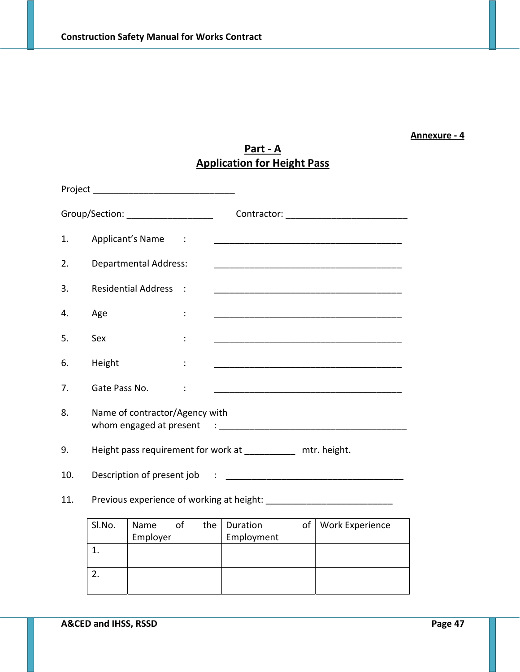# **Annexure ‐ 4**

# **Part ‐ A Application for Height Pass**

| Project |               |                                     |                 |     |                                                              |    |                                                                                                                       |
|---------|---------------|-------------------------------------|-----------------|-----|--------------------------------------------------------------|----|-----------------------------------------------------------------------------------------------------------------------|
|         |               | Group/Section: ____________________ |                 |     |                                                              |    |                                                                                                                       |
| 1.      |               | Applicant's Name                    | $\sim$ 10 $\pm$ |     |                                                              |    |                                                                                                                       |
| 2.      |               | <b>Departmental Address:</b>        |                 |     |                                                              |    | <u> 1980 - Johann John Stone, mars and de final de la provincia de la provincia de la provincia de la provincia d</u> |
| 3.      |               | Residential Address :               |                 |     |                                                              |    |                                                                                                                       |
| 4.      | Age           |                                     | $\ddot{\cdot}$  |     |                                                              |    |                                                                                                                       |
| 5.      | Sex           |                                     | ÷               |     |                                                              |    |                                                                                                                       |
| 6.      | Height        |                                     |                 |     |                                                              |    |                                                                                                                       |
| 7.      | Gate Pass No. |                                     | $\ddot{\cdot}$  |     |                                                              |    |                                                                                                                       |
| 8.      |               | Name of contractor/Agency with      |                 |     |                                                              |    |                                                                                                                       |
| 9.      |               |                                     |                 |     | Height pass requirement for work at ___________ mtr. height. |    |                                                                                                                       |
| 10.     |               |                                     |                 |     |                                                              |    |                                                                                                                       |
| 11.     |               |                                     |                 |     |                                                              |    |                                                                                                                       |
|         | SI.No.        | Name<br>Employer                    | of              | the | <b>Duration</b><br>Employment                                | of | <b>Work Experience</b>                                                                                                |

| <b>SI.NO.</b> | <b>N</b> dille<br>ΟI<br>Employer | the puration<br>Employment | OL I | <b><i>VVOIK EXPERIENCE</i></b> |
|---------------|----------------------------------|----------------------------|------|--------------------------------|
|               |                                  |                            |      |                                |
|               |                                  |                            |      |                                |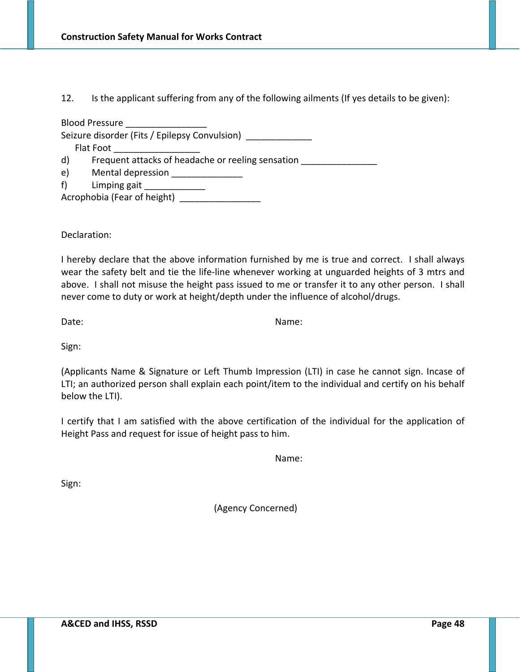# 12. Is the applicant suffering from any of the following ailments (If yes details to be given):

Blood Pressure

Seizure disorder (Fits / Epilepsy Convulsion)

Flat Foot

d) Frequent attacks of headache or reeling sensation

- e) Mental depression
- f) Limping gait

Acrophobia (Fear of height) \_\_\_\_\_\_\_\_\_\_\_\_

Declaration:

I hereby declare that the above information furnished by me is true and correct. I shall always wear the safety belt and tie the life-line whenever working at unguarded heights of 3 mtrs and above. I shall not misuse the height pass issued to me or transfer it to any other person. I shall never come to duty or work at height/depth under the influence of alcohol/drugs.

Date: Sample of the Contract of the Contract of the Contract of the Name:

Sign:

(Applicants Name & Signature or Left Thumb Impression (LTI) in case he cannot sign. Incase of LTI; an authorized person shall explain each point/item to the individual and certify on his behalf below the LTI).

I certify that I am satisfied with the above certification of the individual for the application of Height Pass and request for issue of height pass to him.

Name:

Sign:

(Agency Concerned)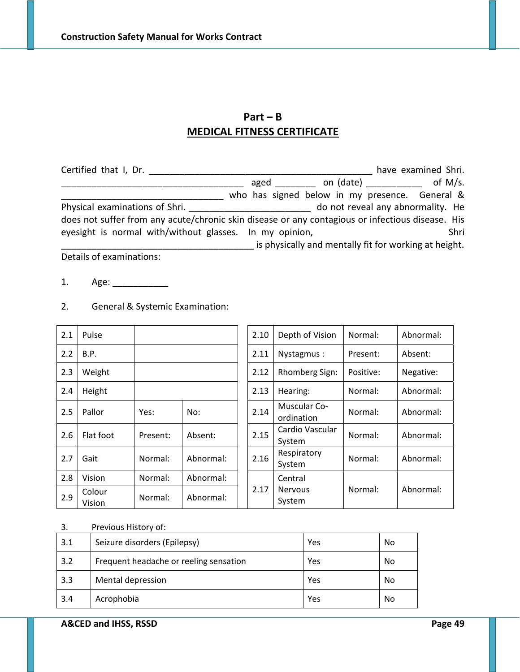# **Part – B MEDICAL FITNESS CERTIFICATE**

| Certified that I, Dr.                                               |                                                                                                  |  |  |  | have examined Shri.                                   |  |
|---------------------------------------------------------------------|--------------------------------------------------------------------------------------------------|--|--|--|-------------------------------------------------------|--|
|                                                                     |                                                                                                  |  |  |  | aged ________ on $(data)$ ________ of M/s.            |  |
|                                                                     | who has signed below in my presence. General &                                                   |  |  |  |                                                       |  |
| do not reveal any abnormality. He<br>Physical examinations of Shri. |                                                                                                  |  |  |  |                                                       |  |
|                                                                     | does not suffer from any acute/chronic skin disease or any contagious or infectious disease. His |  |  |  |                                                       |  |
| eyesight is normal with/without glasses. In my opinion,             |                                                                                                  |  |  |  | Shri                                                  |  |
|                                                                     |                                                                                                  |  |  |  | is physically and mentally fit for working at height. |  |
| Details of examinations:                                            |                                                                                                  |  |  |  |                                                       |  |

- 1. Age: \_\_\_\_\_\_\_\_\_\_\_
- 2.1 Pulse 2.10 Depth of Vision Normal: Abnormal: 2.2 B.P. 2.11 Nystagmus : Present: Absent: 2.3 Weight 2.12 Rhomberg Sign: Positive: Negative: 2.4 Height 2.13 Hearing: Normal: Abnormal: 2.5 Pallor Yes: No: 2.14 Muscular Co‐ ordination Normal: Abnormal: 2.6 Flat foot Present: Absent:  $\begin{array}{|c|c|c|c|c|}\n\hline\n2.15 & System\n\end{array}$ Normal: Abnormal: 2.7 Gait  $\Big|\begin{array}{c} \end{array}\Big|$  Normal:  $\Big|\begin{array}{c} \end{array}\Big|$  Abnormal:  $\Big|\begin{array}{c} \end{array}\Big|$  2.16 Respiratory Respiratory<br>System Normal: Abnormal: 2.8 Vision | Normal: | Abnormal: 2.17 Central Nervous System Normal: Abnormal:  $2.9$  Colour<br>Vision Normal: Abnormal:
- 2. General & Systemic Examination:

### 3. Previous History of:

| 3.1 | Seizure disorders (Epilepsy)           | Yes | No |
|-----|----------------------------------------|-----|----|
| 3.2 | Frequent headache or reeling sensation | Yes | No |
| 3.3 | Mental depression                      | Yes | No |
| 3.4 | Acrophobia                             | Yes | No |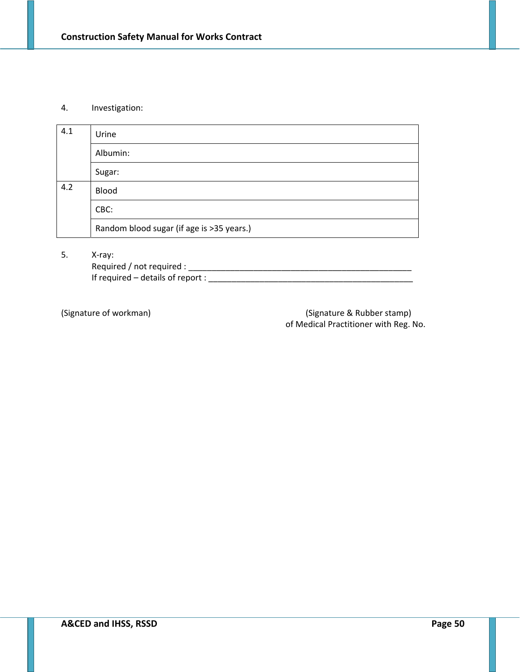#### 4. Investigation:

| 4.1 | Urine                                     |
|-----|-------------------------------------------|
|     | Albumin:                                  |
|     | Sugar:                                    |
| 4.2 | <b>Blood</b>                              |
|     | CBC:                                      |
|     | Random blood sugar (if age is >35 years.) |

5. X‐ray:

Required / not required : \_\_\_\_\_\_\_\_\_\_\_\_\_\_\_\_\_\_\_\_\_\_\_\_\_\_\_\_\_\_\_\_\_\_\_\_\_\_\_\_\_\_\_\_\_\_\_\_ If required  $-$  details of report :  $\frac{1}{2}$  . The set of the set of the set of the set of the set of the set of the set of the set of the set of the set of the set of the set of the set of the set of the set of the set

(Signature of workman)  $($ Signature & Rubber stamp) of Medical Practitioner with Reg. No.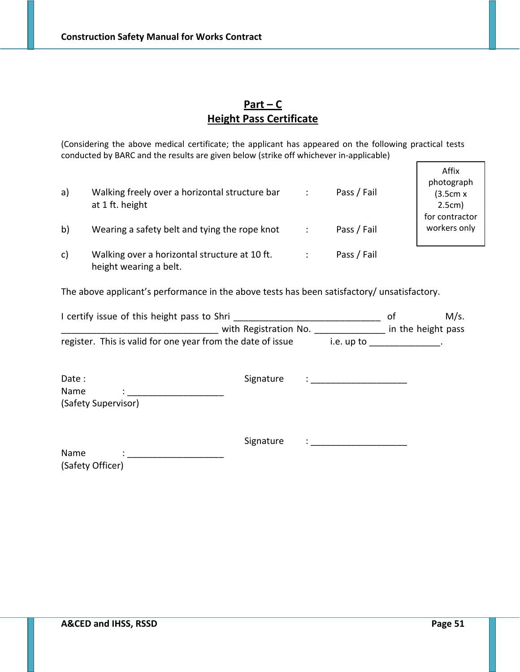# **Part – C Height Pass Certificate**

(Considering the above medical certificate; the applicant has appeared on the following practical tests conducted by BARC and the results are given below (strike off whichever in‐applicable)

| a)           | Walking freely over a horizontal structure bar<br>at 1 ft. height       | Pass / Fail | Affix<br>photograph<br>(3.5cm x)<br>2.5cm) |
|--------------|-------------------------------------------------------------------------|-------------|--------------------------------------------|
| b)           | Wearing a safety belt and tying the rope knot                           | Pass / Fail | for contractor<br>workers only             |
| $\mathsf{C}$ | Walking over a horizontal structure at 10 ft.<br>height wearing a belt. | Pass / Fail |                                            |

The above applicant's performance in the above tests has been satisfactory/ unsatisfactory.

| I certify issue of this height pass to Shri                 |                       | M/s.       |                    |  |
|-------------------------------------------------------------|-----------------------|------------|--------------------|--|
|                                                             | with Registration No. |            | in the height pass |  |
| register. This is valid for one year from the date of issue |                       | i.e. up to |                    |  |

| Date:               | Signature | $\bullet$ |
|---------------------|-----------|-----------|
| Name<br>$\bullet$   |           |           |
| (Safety Supervisor) |           |           |
|                     |           |           |

|                  | Signature |  |
|------------------|-----------|--|
| Name             |           |  |
| (Safety Officer) |           |  |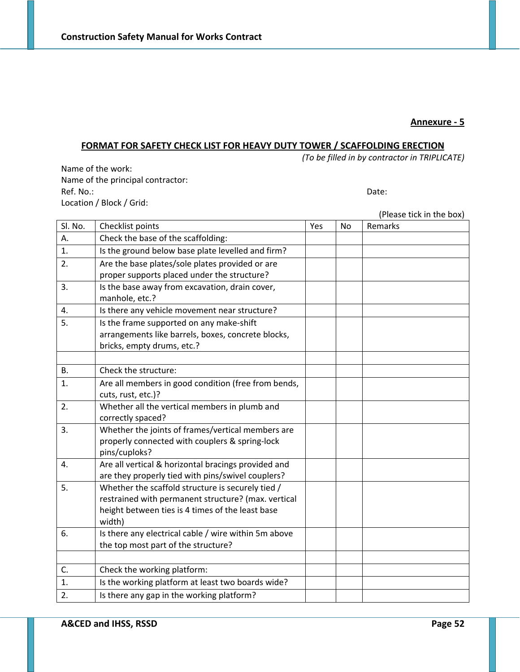#### **Annexure ‐ 5**

# **FORMAT FOR SAFETY CHECK LIST FOR HEAVY DUTY TOWER / SCAFFOLDING ERECTION**

*(To be filled in by contractor in TRIPLICATE)*

Name of the work: Name of the principal contractor: Ref. No.: **Date:**  $\blacksquare$ Location / Block / Grid:

|           |                                                                                                        |     |    | (Please tick in the box) |
|-----------|--------------------------------------------------------------------------------------------------------|-----|----|--------------------------|
| Sl. No.   | Checklist points                                                                                       | Yes | No | Remarks                  |
| А.        | Check the base of the scaffolding:                                                                     |     |    |                          |
| 1.        | Is the ground below base plate levelled and firm?                                                      |     |    |                          |
| 2.        | Are the base plates/sole plates provided or are                                                        |     |    |                          |
|           | proper supports placed under the structure?                                                            |     |    |                          |
| 3.        | Is the base away from excavation, drain cover,                                                         |     |    |                          |
|           | manhole, etc.?                                                                                         |     |    |                          |
| 4.        | Is there any vehicle movement near structure?                                                          |     |    |                          |
| 5.        | Is the frame supported on any make-shift                                                               |     |    |                          |
|           | arrangements like barrels, boxes, concrete blocks,                                                     |     |    |                          |
|           | bricks, empty drums, etc.?                                                                             |     |    |                          |
|           |                                                                                                        |     |    |                          |
| <b>B.</b> | Check the structure:                                                                                   |     |    |                          |
| 1.        | Are all members in good condition (free from bends,                                                    |     |    |                          |
|           | cuts, rust, etc.)?                                                                                     |     |    |                          |
| 2.        | Whether all the vertical members in plumb and                                                          |     |    |                          |
|           | correctly spaced?                                                                                      |     |    |                          |
| 3.        | Whether the joints of frames/vertical members are                                                      |     |    |                          |
|           | properly connected with couplers & spring-lock                                                         |     |    |                          |
|           | pins/cuploks?                                                                                          |     |    |                          |
| 4.        | Are all vertical & horizontal bracings provided and                                                    |     |    |                          |
| 5.        | are they properly tied with pins/swivel couplers?<br>Whether the scaffold structure is securely tied / |     |    |                          |
|           | restrained with permanent structure? (max. vertical                                                    |     |    |                          |
|           | height between ties is 4 times of the least base                                                       |     |    |                          |
|           | width)                                                                                                 |     |    |                          |
| 6.        | Is there any electrical cable / wire within 5m above                                                   |     |    |                          |
|           | the top most part of the structure?                                                                    |     |    |                          |
|           |                                                                                                        |     |    |                          |
| C.        | Check the working platform:                                                                            |     |    |                          |
| 1.        | Is the working platform at least two boards wide?                                                      |     |    |                          |
| 2.        | Is there any gap in the working platform?                                                              |     |    |                          |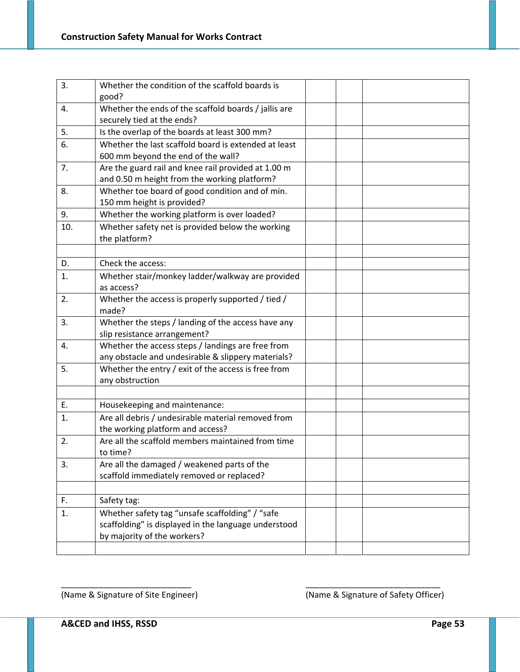| 3.  | Whether the condition of the scaffold boards is      |  |  |
|-----|------------------------------------------------------|--|--|
|     | good?                                                |  |  |
| 4.  | Whether the ends of the scaffold boards / jallis are |  |  |
|     | securely tied at the ends?                           |  |  |
| 5.  | Is the overlap of the boards at least 300 mm?        |  |  |
| 6.  | Whether the last scaffold board is extended at least |  |  |
|     | 600 mm beyond the end of the wall?                   |  |  |
| 7.  | Are the guard rail and knee rail provided at 1.00 m  |  |  |
|     | and 0.50 m height from the working platform?         |  |  |
| 8.  | Whether toe board of good condition and of min.      |  |  |
|     | 150 mm height is provided?                           |  |  |
| 9.  | Whether the working platform is over loaded?         |  |  |
| 10. | Whether safety net is provided below the working     |  |  |
|     | the platform?                                        |  |  |
|     |                                                      |  |  |
| D.  | Check the access:                                    |  |  |
| 1.  | Whether stair/monkey ladder/walkway are provided     |  |  |
|     | as access?                                           |  |  |
| 2.  | Whether the access is properly supported / tied /    |  |  |
|     | made?                                                |  |  |
| 3.  | Whether the steps / landing of the access have any   |  |  |
|     | slip resistance arrangement?                         |  |  |
| 4.  | Whether the access steps / landings are free from    |  |  |
|     | any obstacle and undesirable & slippery materials?   |  |  |
| 5.  | Whether the entry / exit of the access is free from  |  |  |
|     | any obstruction                                      |  |  |
|     |                                                      |  |  |
| Ε.  | Housekeeping and maintenance:                        |  |  |
| 1.  | Are all debris / undesirable material removed from   |  |  |
|     | the working platform and access?                     |  |  |
| 2.  | Are all the scaffold members maintained from time    |  |  |
|     | to time?                                             |  |  |
| 3.  | Are all the damaged / weakened parts of the          |  |  |
|     | scaffold immediately removed or replaced?            |  |  |
|     |                                                      |  |  |
| F.  | Safety tag:                                          |  |  |
| 1.  | Whether safety tag "unsafe scaffolding" / "safe      |  |  |
|     | scaffolding" is displayed in the language understood |  |  |
|     | by majority of the workers?                          |  |  |
|     |                                                      |  |  |
|     |                                                      |  |  |

\_\_\_\_\_\_\_\_\_\_\_\_\_\_\_\_\_\_\_\_\_\_\_\_\_\_\_\_ \_\_\_\_\_\_\_\_\_\_\_\_\_\_\_\_\_\_\_\_\_\_\_\_\_\_\_\_\_

(Name & Signature of Site Engineer) (Name & Signature of Safety Officer)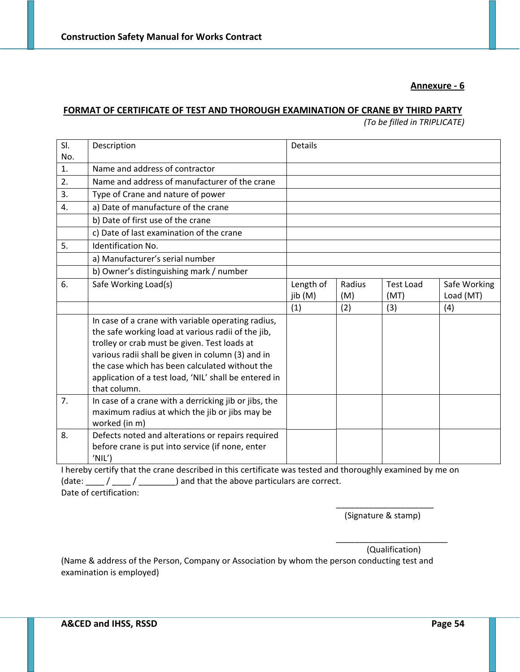#### **Annexure ‐ 6**

#### **FORMAT OF CERTIFICATE OF TEST AND THOROUGH EXAMINATION OF CRANE BY THIRD PARTY**

*(To be filled in TRIPLICATE)*

| SI. | Description                                           | <b>Details</b> |        |                  |              |
|-----|-------------------------------------------------------|----------------|--------|------------------|--------------|
| No. |                                                       |                |        |                  |              |
| 1.  | Name and address of contractor                        |                |        |                  |              |
| 2.  | Name and address of manufacturer of the crane         |                |        |                  |              |
| 3.  | Type of Crane and nature of power                     |                |        |                  |              |
| 4.  | a) Date of manufacture of the crane                   |                |        |                  |              |
|     | b) Date of first use of the crane                     |                |        |                  |              |
|     | c) Date of last examination of the crane              |                |        |                  |              |
| 5.  | Identification No.                                    |                |        |                  |              |
|     | a) Manufacturer's serial number                       |                |        |                  |              |
|     | b) Owner's distinguishing mark / number               |                |        |                  |              |
| 6.  | Safe Working Load(s)                                  | Length of      | Radius | <b>Test Load</b> | Safe Working |
|     |                                                       | jib (M)        | (M)    | (MT)             | Load (MT)    |
|     |                                                       | (1)            | (2)    | (3)              | (4)          |
|     | In case of a crane with variable operating radius,    |                |        |                  |              |
|     | the safe working load at various radii of the jib,    |                |        |                  |              |
|     | trolley or crab must be given. Test loads at          |                |        |                  |              |
|     | various radii shall be given in column (3) and in     |                |        |                  |              |
|     | the case which has been calculated without the        |                |        |                  |              |
|     | application of a test load, 'NIL' shall be entered in |                |        |                  |              |
|     | that column.                                          |                |        |                  |              |
| 7.  | In case of a crane with a derricking jib or jibs, the |                |        |                  |              |
|     | maximum radius at which the jib or jibs may be        |                |        |                  |              |
|     | worked (in m)                                         |                |        |                  |              |
| 8.  | Defects noted and alterations or repairs required     |                |        |                  |              |
|     | before crane is put into service (if none, enter      |                |        |                  |              |
|     | 'NIL'                                                 |                |        |                  |              |

I hereby certify that the crane described in this certificate was tested and thoroughly examined by me on (date:  $\frac{1}{\sqrt{2\pi}}$  /  $\frac{1}{\sqrt{2\pi}}$  ) and that the above particulars are correct. Date of certification:

> \_\_\_\_\_\_\_\_\_\_\_\_\_\_\_\_\_\_\_\_\_ (Signature & stamp)

\_\_\_\_\_\_\_\_\_\_\_\_\_\_\_\_\_\_\_\_\_\_\_\_ (Qualification)

(Name & address of the Person, Company or Association by whom the person conducting test and examination is employed)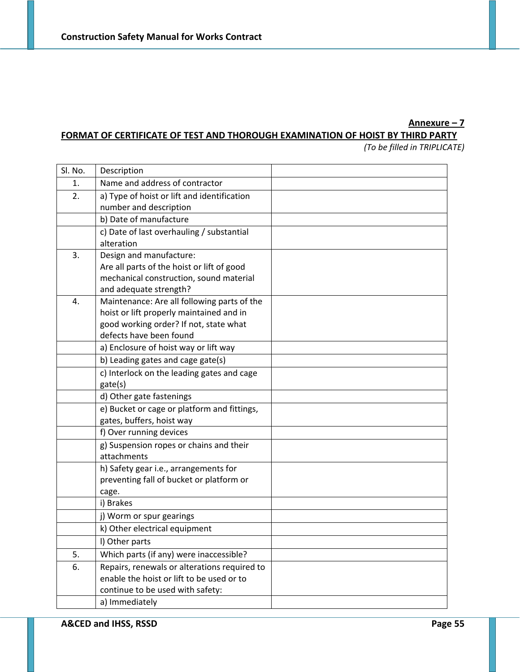# **Annexure – 7**

# **FORMAT OF CERTIFICATE OF TEST AND THOROUGH EXAMINATION OF HOIST BY THIRD PARTY**

*(To be filled in TRIPLICATE)*

| Sl. No. | Description                                                       |  |  |  |  |
|---------|-------------------------------------------------------------------|--|--|--|--|
| 1.      | Name and address of contractor                                    |  |  |  |  |
| 2.      | a) Type of hoist or lift and identification                       |  |  |  |  |
|         | number and description                                            |  |  |  |  |
|         | b) Date of manufacture                                            |  |  |  |  |
|         | c) Date of last overhauling / substantial                         |  |  |  |  |
|         | alteration                                                        |  |  |  |  |
| 3.      | Design and manufacture:                                           |  |  |  |  |
|         | Are all parts of the hoist or lift of good                        |  |  |  |  |
|         | mechanical construction, sound material                           |  |  |  |  |
|         | and adequate strength?                                            |  |  |  |  |
| 4.      | Maintenance: Are all following parts of the                       |  |  |  |  |
|         | hoist or lift properly maintained and in                          |  |  |  |  |
|         | good working order? If not, state what<br>defects have been found |  |  |  |  |
|         | a) Enclosure of hoist way or lift way                             |  |  |  |  |
|         |                                                                   |  |  |  |  |
|         | b) Leading gates and cage gate(s)                                 |  |  |  |  |
|         | c) Interlock on the leading gates and cage<br>gate(s)             |  |  |  |  |
|         | d) Other gate fastenings                                          |  |  |  |  |
|         | e) Bucket or cage or platform and fittings,                       |  |  |  |  |
|         | gates, buffers, hoist way                                         |  |  |  |  |
|         | f) Over running devices                                           |  |  |  |  |
|         | g) Suspension ropes or chains and their                           |  |  |  |  |
|         | attachments                                                       |  |  |  |  |
|         | h) Safety gear i.e., arrangements for                             |  |  |  |  |
|         | preventing fall of bucket or platform or                          |  |  |  |  |
|         | cage.                                                             |  |  |  |  |
|         | i) Brakes                                                         |  |  |  |  |
|         | j) Worm or spur gearings                                          |  |  |  |  |
|         | k) Other electrical equipment                                     |  |  |  |  |
|         | I) Other parts                                                    |  |  |  |  |
| 5.      | Which parts (if any) were inaccessible?                           |  |  |  |  |
| 6.      | Repairs, renewals or alterations required to                      |  |  |  |  |
|         | enable the hoist or lift to be used or to                         |  |  |  |  |
|         | continue to be used with safety:                                  |  |  |  |  |
|         | a) Immediately                                                    |  |  |  |  |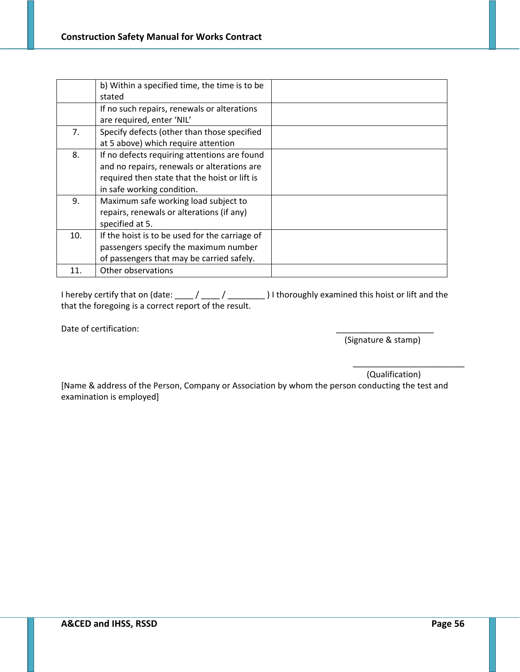|     | b) Within a specified time, the time is to be  |  |
|-----|------------------------------------------------|--|
|     | stated                                         |  |
|     | If no such repairs, renewals or alterations    |  |
|     | are required, enter 'NIL'                      |  |
| 7.  | Specify defects (other than those specified    |  |
|     | at 5 above) which require attention            |  |
| 8.  | If no defects requiring attentions are found   |  |
|     | and no repairs, renewals or alterations are    |  |
|     | required then state that the hoist or lift is  |  |
|     | in safe working condition.                     |  |
| 9.  | Maximum safe working load subject to           |  |
|     | repairs, renewals or alterations (if any)      |  |
|     | specified at 5.                                |  |
| 10. | If the hoist is to be used for the carriage of |  |
|     | passengers specify the maximum number          |  |
|     | of passengers that may be carried safely.      |  |
| 11. | Other observations                             |  |

I hereby certify that on (date: \_\_\_\_ / \_\_\_\_ / \_\_\_\_\_\_\_\_ ) I thoroughly examined this hoist or lift and the that the foregoing is a correct report of the result.

Date of certification:

(Signature & stamp)

(Qualification)

\_\_\_\_\_\_\_\_\_\_\_\_\_\_\_\_\_\_\_\_\_\_\_\_

[Name & address of the Person, Company or Association by whom the person conducting the test and examination is employed]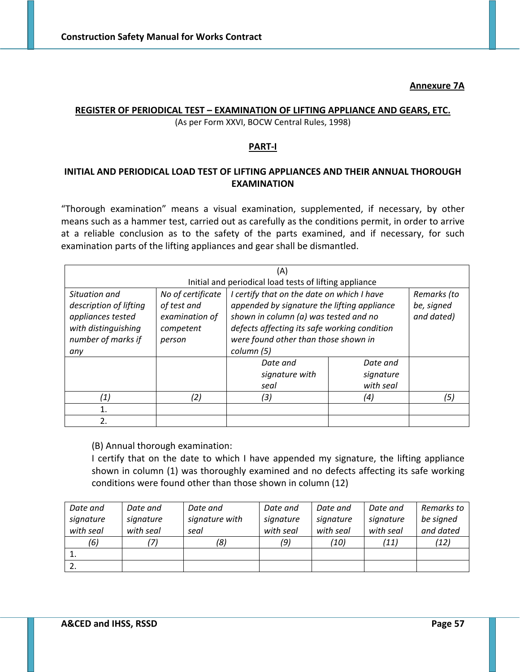#### **Annexure 7A**

#### **REGISTER OF PERIODICAL TEST – EXAMINATION OF LIFTING APPLIANCE AND GEARS, ETC.** (As per Form XXVI, BOCW Central Rules, 1998)

### **PART‐I**

# **INITIAL AND PERIODICAL LOAD TEST OF LIFTING APPLIANCES AND THEIR ANNUAL THOROUGH EXAMINATION**

"Thorough examination" means a visual examination, supplemented, if necessary, by other means such as a hammer test, carried out as carefully as the conditions permit, in order to arrive at a reliable conclusion as to the safety of the parts examined, and if necessary, for such examination parts of the lifting appliances and gear shall be dismantled.

| (A)                                                                                                              |                                                                           |                                                                                                                                                                                                                                                                                     |                                    |     |
|------------------------------------------------------------------------------------------------------------------|---------------------------------------------------------------------------|-------------------------------------------------------------------------------------------------------------------------------------------------------------------------------------------------------------------------------------------------------------------------------------|------------------------------------|-----|
|                                                                                                                  |                                                                           | Initial and periodical load tests of lifting appliance                                                                                                                                                                                                                              |                                    |     |
| Situation and<br>description of lifting<br>appliances tested<br>with distinguishing<br>number of marks if<br>any | No of certificate<br>of test and<br>examination of<br>competent<br>person | I certify that on the date on which I have<br>Remarks (to<br>appended by signature the lifting appliance<br>be, signed<br>shown in column (a) was tested and no<br>and dated)<br>defects affecting its safe working condition<br>were found other than those shown in<br>column (5) |                                    |     |
|                                                                                                                  |                                                                           | Date and<br>signature with<br>seal                                                                                                                                                                                                                                                  | Date and<br>signature<br>with seal |     |
| (1)                                                                                                              | (2)                                                                       | (3)                                                                                                                                                                                                                                                                                 | (4)                                | (5) |
|                                                                                                                  |                                                                           |                                                                                                                                                                                                                                                                                     |                                    |     |
| 2.                                                                                                               |                                                                           |                                                                                                                                                                                                                                                                                     |                                    |     |

(B) Annual thorough examination:

I certify that on the date to which I have appended my signature, the lifting appliance shown in column (1) was thoroughly examined and no defects affecting its safe working conditions were found other than those shown in column (12)

| Date and  | Date and  | Date and       | Date and  | Date and  | Date and  | Remarks to |
|-----------|-----------|----------------|-----------|-----------|-----------|------------|
| signature | signature | signature with | signature | signature | signature | be signed  |
| with seal | with seal | seal           | with seal | with seal | with seal | and dated  |
| (6)       | '7)       | (8)            | (9)       | (10)      | (11)      | (12)       |
|           |           |                |           |           |           |            |
| -2.       |           |                |           |           |           |            |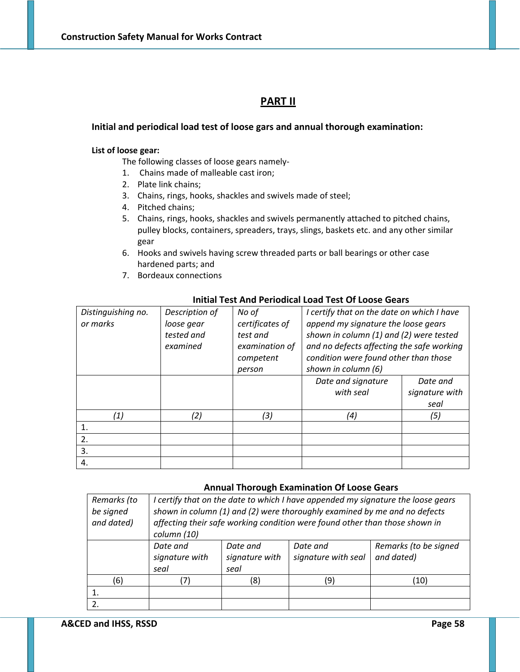# **PART II**

#### **Initial and periodical load test of loose gars and annual thorough examination:**

#### **List of loose gear:**

The following classes of loose gears namely‐

- 1. Chains made of malleable cast iron;
- 2. Plate link chains;
- 3. Chains, rings, hooks, shackles and swivels made of steel;
- 4. Pitched chains;
- 5. Chains, rings, hooks, shackles and swivels permanently attached to pitched chains, pulley blocks, containers, spreaders, trays, slings, baskets etc. and any other similar gear
- 6. Hooks and swivels having screw threaded parts or ball bearings or other case hardened parts; and
- 7. Bordeaux connections

| Distinguishing no. | Description of | No of           | I certify that on the date on which I have |                |
|--------------------|----------------|-----------------|--------------------------------------------|----------------|
| or marks           | loose gear     | certificates of | append my signature the loose gears        |                |
|                    | tested and     | test and        | shown in column (1) and (2) were tested    |                |
|                    | examined       | examination of  | and no defects affecting the safe working  |                |
|                    |                | competent       | condition were found other than those      |                |
|                    |                | person          | shown in column (6)                        |                |
|                    |                |                 | Date and signature                         | Date and       |
|                    |                |                 | with seal                                  | signature with |
|                    |                |                 |                                            | seal           |
| (1)                | (2)            | (3)             | (4)                                        | (5)            |
| 1.                 |                |                 |                                            |                |
| 2.                 |                |                 |                                            |                |
| 3.                 |                |                 |                                            |                |
| 4.                 |                |                 |                                            |                |

#### **Initial Test And Periodical Load Test Of Loose Gears**

#### **Annual Thorough Examination Of Loose Gears**

| Remarks (to   | I certify that on the date to which I have appended my signature the loose gears |                |                                                                             |                       |  |  |
|---------------|----------------------------------------------------------------------------------|----------------|-----------------------------------------------------------------------------|-----------------------|--|--|
| be signed     | shown in column (1) and (2) were thoroughly examined by me and no defects        |                |                                                                             |                       |  |  |
| and dated)    |                                                                                  |                | affecting their safe working condition were found other than those shown in |                       |  |  |
|               | column (10)                                                                      |                |                                                                             |                       |  |  |
|               | Date and                                                                         | Date and       | Date and                                                                    | Remarks (to be signed |  |  |
|               | signature with                                                                   | signature with | signature with seal                                                         | and dated)            |  |  |
|               | seal                                                                             | seal           |                                                                             |                       |  |  |
| (6)           |                                                                                  | (8)            | (9)                                                                         | (10)                  |  |  |
|               |                                                                                  |                |                                                                             |                       |  |  |
| $\mathcal{P}$ |                                                                                  |                |                                                                             |                       |  |  |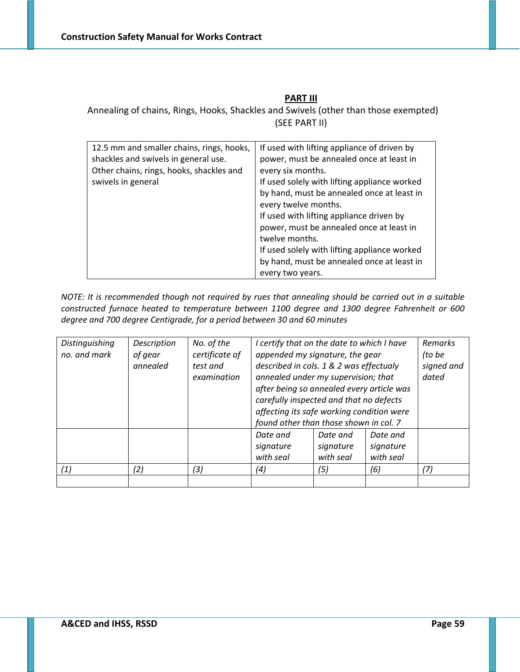# **PART III**

Annealing of chains, Rings, Hooks, Shackles and Swivels (other than those exempted) (SEE PART II)

| 12.5 mm and smaller chains, rings, hooks,<br>shackles and swivels in general use.<br>Other chains, rings, hooks, shackles and<br>swivels in general | If used with lifting appliance of driven by<br>power, must be annealed once at least in<br>every six months.<br>If used solely with lifting appliance worked<br>by hand, must be annealed once at least in<br>every twelve months.<br>If used with lifting appliance driven by<br>power, must be annealed once at least in<br>twelve months.<br>If used solely with lifting appliance worked<br>by hand, must be annealed once at least in<br>every two years. |
|-----------------------------------------------------------------------------------------------------------------------------------------------------|----------------------------------------------------------------------------------------------------------------------------------------------------------------------------------------------------------------------------------------------------------------------------------------------------------------------------------------------------------------------------------------------------------------------------------------------------------------|

NOTE: It is recommended though not required by rues that annealing should be carried out in a suitable *constructed furnace heated to temperature between 1100 degree and 1300 degree Fahrenheit or 600 degree and 700 degree Centigrade, for a period between 30 and 60 minutes*

| Distinguishing | Description | No. of the     | I certify that on the date to which I have |           |           | Remarks    |
|----------------|-------------|----------------|--------------------------------------------|-----------|-----------|------------|
| no. and mark   | of gear     | certificate of | appended my signature, the gear            |           |           | (to be     |
|                | annealed    | test and       | described in cols. 1 & 2 was effectualy    |           |           | signed and |
|                |             | examination    | annealed under my supervision; that        |           |           | dated      |
|                |             |                | after being so annealed every article was  |           |           |            |
|                |             |                | carefully inspected and that no defects    |           |           |            |
|                |             |                | affecting its safe working condition were  |           |           |            |
|                |             |                | found other than those shown in col. 7     |           |           |            |
|                |             |                | Date and                                   | Date and  | Date and  |            |
|                |             |                | signature                                  | signature | signature |            |
|                |             |                | with seal                                  | with seal | with seal |            |
| (1)            | (2)         | (3)            | (4)                                        | (5)       | (6)       | (7)        |
|                |             |                |                                            |           |           |            |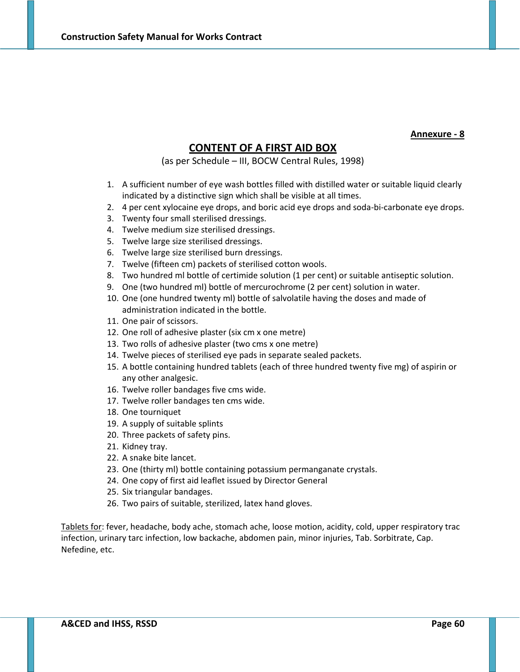#### **Annexure ‐ 8**

# **CONTENT OF A FIRST AID BOX**

(as per Schedule – III, BOCW Central Rules, 1998)

- 1. A sufficient number of eye wash bottles filled with distilled water or suitable liquid clearly indicated by a distinctive sign which shall be visible at all times.
- 2. 4 per cent xylocaine eye drops, and boric acid eye drops and soda-bi-carbonate eye drops.
- 3. Twenty four small sterilised dressings.
- 4. Twelve medium size sterilised dressings.
- 5. Twelve large size sterilised dressings.
- 6. Twelve large size sterilised burn dressings.
- 7. Twelve (fifteen cm) packets of sterilised cotton wools.
- 8. Two hundred ml bottle of certimide solution (1 per cent) or suitable antiseptic solution.
- 9. One (two hundred ml) bottle of mercurochrome (2 per cent) solution in water.
- 10. One (one hundred twenty ml) bottle of salvolatile having the doses and made of administration indicated in the bottle.
- 11. One pair of scissors.
- 12. One roll of adhesive plaster (six cm x one metre)
- 13. Two rolls of adhesive plaster (two cms x one metre)
- 14. Twelve pieces of sterilised eye pads in separate sealed packets.
- 15. A bottle containing hundred tablets (each of three hundred twenty five mg) of aspirin or any other analgesic.
- 16. Twelve roller bandages five cms wide.
- 17. Twelve roller bandages ten cms wide.
- 18. One tourniquet
- 19. A supply of suitable splints
- 20. Three packets of safety pins.
- 21. Kidney tray.
- 22. A snake bite lancet.
- 23. One (thirty ml) bottle containing potassium permanganate crystals.
- 24. One copy of first aid leaflet issued by Director General
- 25. Six triangular bandages.
- 26. Two pairs of suitable, sterilized, latex hand gloves.

Tablets for: fever, headache, body ache, stomach ache, loose motion, acidity, cold, upper respiratory trac infection, urinary tarc infection, low backache, abdomen pain, minor injuries, Tab. Sorbitrate, Cap. Nefedine, etc.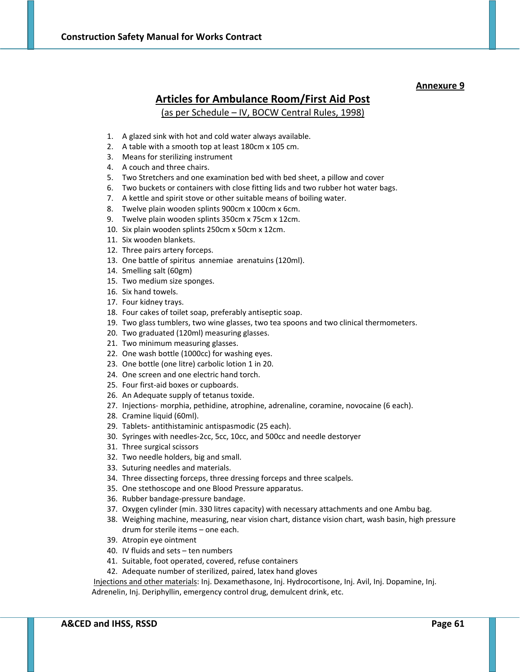# **Articles for Ambulance Room/First Aid Post** (as per Schedule – IV, BOCW Central Rules, 1998)

- 1. A glazed sink with hot and cold water always available.
- 2. A table with a smooth top at least 180cm x 105 cm.
- 3. Means for sterilizing instrument
- 4. A couch and three chairs.
- 5. Two Stretchers and one examination bed with bed sheet, a pillow and cover
- 6. Two buckets or containers with close fitting lids and two rubber hot water bags.
- 7. A kettle and spirit stove or other suitable means of boiling water.
- 8. Twelve plain wooden splints 900cm x 100cm x 6cm.
- 9. Twelve plain wooden splints 350cm x 75cm x 12cm.
- 10. Six plain wooden splints 250cm x 50cm x 12cm.
- 11. Six wooden blankets.
- 12. Three pairs artery forceps.
- 13. One battle of spiritus annemiae arenatuins (120ml).
- 14. Smelling salt (60gm)
- 15. Two medium size sponges.
- 16. Six hand towels.
- 17. Four kidney trays.
- 18. Four cakes of toilet soap, preferably antiseptic soap.
- 19. Two glass tumblers, two wine glasses, two tea spoons and two clinical thermometers.
- 20. Two graduated (120ml) measuring glasses.
- 21. Two minimum measuring glasses.
- 22. One wash bottle (1000cc) for washing eyes.
- 23. One bottle (one litre) carbolic lotion 1 in 20.
- 24. One screen and one electric hand torch.
- 25. Four first‐aid boxes or cupboards.
- 26. An Adequate supply of tetanus toxide.
- 27. Injections‐ morphia, pethidine, atrophine, adrenaline, coramine, novocaine (6 each).
- 28. Cramine liquid (60ml).
- 29. Tablets‐ antithistaminic antispasmodic (25 each).
- 30. Syringes with needles‐2cc, 5cc, 10cc, and 500cc and needle destoryer
- 31. Three surgical scissors
- 32. Two needle holders, big and small.
- 33. Suturing needles and materials.
- 34. Three dissecting forceps, three dressing forceps and three scalpels.
- 35. One stethoscope and one Blood Pressure apparatus.
- 36. Rubber bandage‐pressure bandage.
- 37. Oxygen cylinder (min. 330 litres capacity) with necessary attachments and one Ambu bag.
- 38. Weighing machine, measuring, near vision chart, distance vision chart, wash basin, high pressure drum for sterile items – one each.
- 39. Atropin eye ointment
- 40. IV fluids and sets ten numbers
- 41. Suitable, foot operated, covered, refuse containers
- 42. Adequate number of sterilized, paired, latex hand gloves

Injections and other materials: Inj. Dexamethasone, Inj. Hydrocortisone, Inj. Avil, Inj. Dopamine, Inj. Adrenelin, Inj. Deriphyllin, emergency control drug, demulcent drink, etc.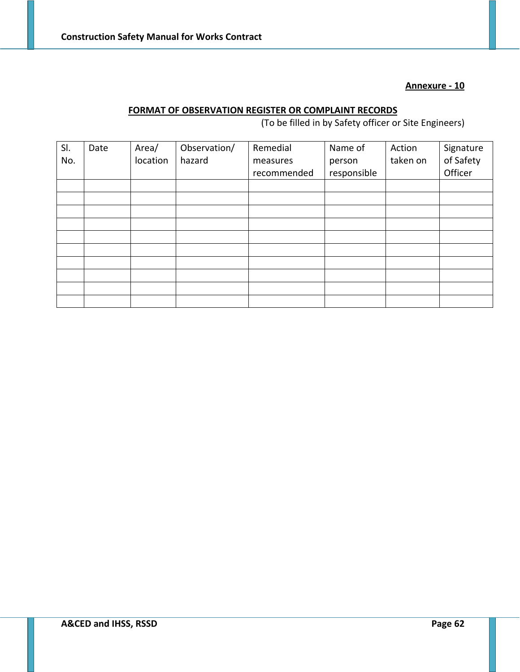## **Annexure ‐ 10**

# **FORMAT OF OBSERVATION REGISTER OR COMPLAINT RECORDS**

(To be filled in by Safety officer or Site Engineers)

| SI. | Date | Area/    | Observation/ | Remedial    | Name of     | Action   | Signature |
|-----|------|----------|--------------|-------------|-------------|----------|-----------|
| No. |      | location | hazard       | measures    | person      | taken on | of Safety |
|     |      |          |              | recommended | responsible |          | Officer   |
|     |      |          |              |             |             |          |           |
|     |      |          |              |             |             |          |           |
|     |      |          |              |             |             |          |           |
|     |      |          |              |             |             |          |           |
|     |      |          |              |             |             |          |           |
|     |      |          |              |             |             |          |           |
|     |      |          |              |             |             |          |           |
|     |      |          |              |             |             |          |           |
|     |      |          |              |             |             |          |           |
|     |      |          |              |             |             |          |           |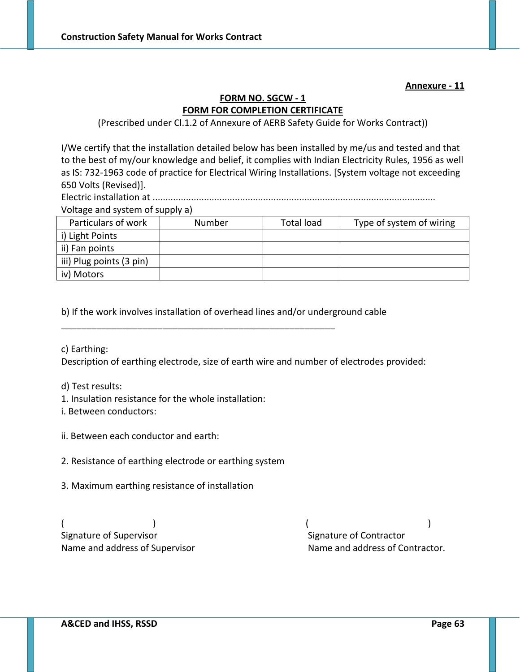**Annexure ‐ 11**

# **FORM NO. SGCW ‐ 1 FORM FOR COMPLETION CERTIFICATE**

(Prescribed under Cl.1.2 of Annexure of AERB Safety Guide for Works Contract))

I/We certify that the installation detailed below has been installed by me/us and tested and that to the best of my/our knowledge and belief, it complies with Indian Electricity Rules, 1956 as well as IS: 732‐1963 code of practice for Electrical Wiring Installations. [System voltage not exceeding 650 Volts (Revised)].

Electric installation at ..............................................................................................................

Voltage and system of supply a)

| Particulars of work      | Number | <b>Total load</b> | Type of system of wiring |
|--------------------------|--------|-------------------|--------------------------|
| i) Light Points          |        |                   |                          |
| ii) Fan points           |        |                   |                          |
| iii) Plug points (3 pin) |        |                   |                          |
| iv) Motors               |        |                   |                          |

b) If the work involves installation of overhead lines and/or underground cable

\_\_\_\_\_\_\_\_\_\_\_\_\_\_\_\_\_\_\_\_\_\_\_\_\_\_\_\_\_\_\_\_\_\_\_\_\_\_\_\_\_\_\_\_\_\_\_\_\_\_\_\_\_\_

c) Earthing:

Description of earthing electrode, size of earth wire and number of electrodes provided:

d) Test results:

1. Insulation resistance for the whole installation:

i. Between conductors:

ii. Between each conductor and earth:

2. Resistance of earthing electrode or earthing system

3. Maximum earthing resistance of installation

 $($   $)$ Signature of Supervisor **Supervisor Signature of Contractor Signature of Contractor** 

Name and address of Supervisor **Name and address of Contractor.**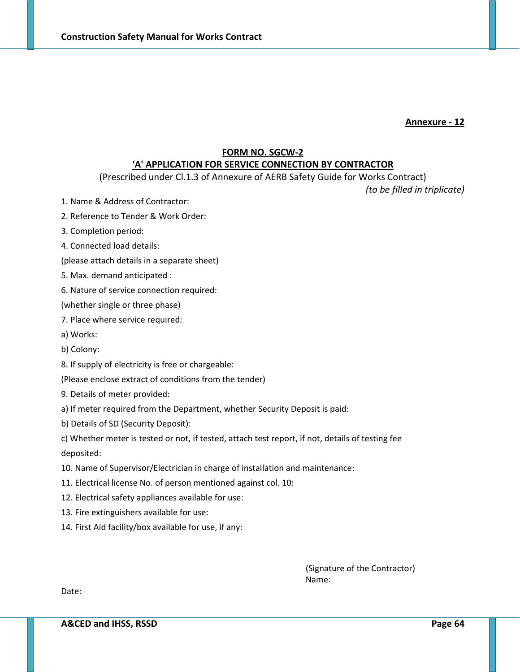**Annexure ‐ 12**

## **FORM NO. SGCW‐2**

## **'A' APPLICATION FOR SERVICE CONNECTION BY CONTRACTOR**

(Prescribed under Cl.1.3 of Annexure of AERB Safety Guide for Works Contract)

*(to be filled in triplicate)*

- 1. Name & Address of Contractor:
- 2. Reference to Tender & Work Order:
- 3. Completion period:
- 4. Connected load details:
- (please attach details in a separate sheet)
- 5. Max. demand anticipated :
- 6. Nature of service connection required:

(whether single or three phase)

- 7. Place where service required:
- a) Works:
- b) Colony:
- 8. If supply of electricity is free or chargeable:
- (Please enclose extract of conditions from the tender)
- 9. Details of meter provided:
- a) If meter required from the Department, whether Security Deposit is paid:
- b) Details of SD (Security Deposit):
- c) Whether meter is tested or not, if tested, attach test report, if not, details of testing fee deposited:
- 10. Name of Supervisor/Electrician in charge of installation and maintenance:
- 11. Electrical license No. of person mentioned against col. 10:
- 12. Electrical safety appliances available for use:
- 13. Fire extinguishers available for use:
- 14. First Aid facility/box available for use, if any:

(Signature of the Contractor) Name:

Date: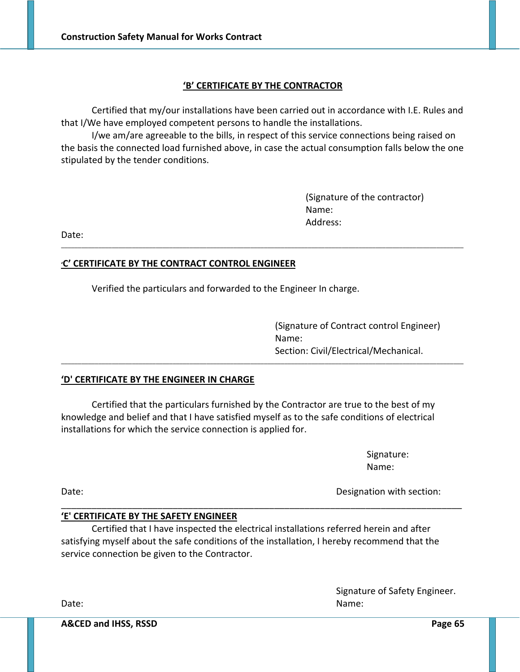## **'B' CERTIFICATE BY THE CONTRACTOR**

Certified that my/our installations have been carried out in accordance with I.E. Rules and that I/We have employed competent persons to handle the installations.

I/we am/are agreeable to the bills, in respect of this service connections being raised on the basis the connected load furnished above, in case the actual consumption falls below the one stipulated by the tender conditions.

\_\_\_\_\_\_\_\_\_\_\_\_\_\_\_\_\_\_\_\_\_\_\_\_\_\_\_\_\_\_\_\_\_\_\_\_\_\_\_\_\_\_\_\_\_\_\_\_\_\_\_\_\_\_\_\_\_\_\_\_\_\_\_\_\_\_\_\_\_\_\_\_\_\_\_\_\_\_\_\_\_\_\_\_\_\_\_\_\_\_\_\_\_\_\_\_\_\_\_\_\_\_\_\_\_\_\_\_\_\_\_\_\_\_\_\_\_\_\_

\_\_\_\_\_\_\_\_\_\_\_\_\_\_\_\_\_\_\_\_\_\_\_\_\_\_\_\_\_\_\_\_\_\_\_\_\_\_\_\_\_\_\_\_\_\_\_\_\_\_\_\_\_\_\_\_\_\_\_\_\_\_\_\_\_\_\_\_\_\_\_\_\_\_\_\_\_\_\_\_\_\_\_\_\_\_\_\_\_\_\_\_\_\_\_\_\_\_\_\_\_\_\_\_\_\_\_\_\_\_\_\_\_\_\_\_\_\_\_

(Signature of the contractor) Name: Address:

Date:

## **'C' CERTIFICATE BY THE CONTRACT CONTROL ENGINEER**

Verified the particulars and forwarded to the Engineer In charge.

(Signature of Contract control Engineer) Name: Section: Civil/Electrical/Mechanical.

#### **'D' CERTIFICATE BY THE ENGINEER IN CHARGE**

Certified that the particulars furnished by the Contractor are true to the best of my knowledge and belief and that I have satisfied myself as to the safe conditions of electrical installations for which the service connection is applied for.

> Signature: Name:

Date: **Date: Date: Participate: Designation with section: Designation with section:** 

#### **'E' CERTIFICATE BY THE SAFETY ENGINEER**

Certified that I have inspected the electrical installations referred herein and after satisfying myself about the safe conditions of the installation, I hereby recommend that the service connection be given to the Contractor.

\_\_\_\_\_\_\_\_\_\_\_\_\_\_\_\_\_\_\_\_\_\_\_\_\_\_\_\_\_\_\_\_\_\_\_\_\_\_\_\_\_\_\_\_\_\_\_\_\_\_\_\_\_\_\_\_\_\_\_\_\_\_\_\_\_\_\_\_\_\_\_\_\_\_\_\_\_\_\_

Signature of Safety Engineer. Date: **Name: Date: CONSISTENT CONSISTENT** CONSISTENT CONSISTENT CONSISTENT CONSISTENT CONSISTENT CONSISTENT CONSISTENT CONSISTENT CONSISTENT CONSISTENT CONSISTENT CONSISTENT CONSISTENT CONSISTENT CONSISTENT CONSISTENT

**A&CED and IHSS, RSSD Page 65**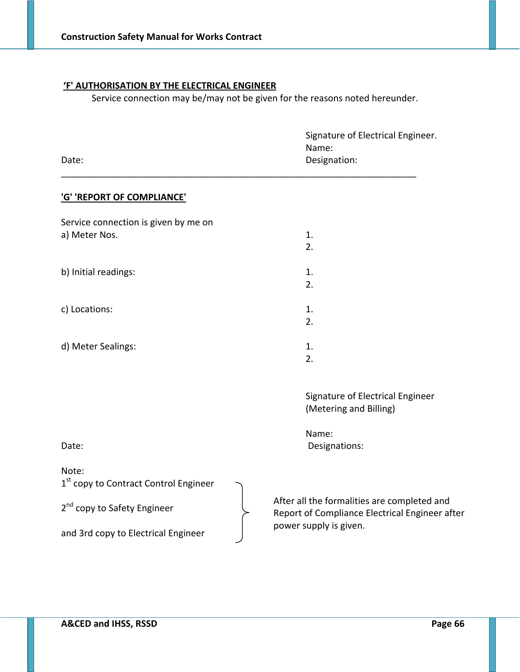## **'F' AUTHORISATION BY THE ELECTRICAL ENGINEER**

Service connection may be/may not be given for the reasons noted hereunder.

| Date:                                                                                                                                        | Signature of Electrical Engineer.<br>Name:<br>Designation:                                                              |
|----------------------------------------------------------------------------------------------------------------------------------------------|-------------------------------------------------------------------------------------------------------------------------|
| 'G' 'REPORT OF COMPLIANCE'                                                                                                                   |                                                                                                                         |
| Service connection is given by me on<br>a) Meter Nos.                                                                                        | 1.<br>2.                                                                                                                |
| b) Initial readings:                                                                                                                         | 1.<br>2.                                                                                                                |
| c) Locations:                                                                                                                                | 1.<br>2.                                                                                                                |
| d) Meter Sealings:                                                                                                                           | 1.<br>2.                                                                                                                |
|                                                                                                                                              | Signature of Electrical Engineer<br>(Metering and Billing)<br>Name:                                                     |
| Date:                                                                                                                                        | Designations:                                                                                                           |
| Note:<br>1 <sup>st</sup> copy to Contract Control Engineer<br>2 <sup>nd</sup> copy to Safety Engineer<br>and 3rd copy to Electrical Engineer | After all the formalities are completed and<br>Report of Compliance Electrical Engineer after<br>power supply is given. |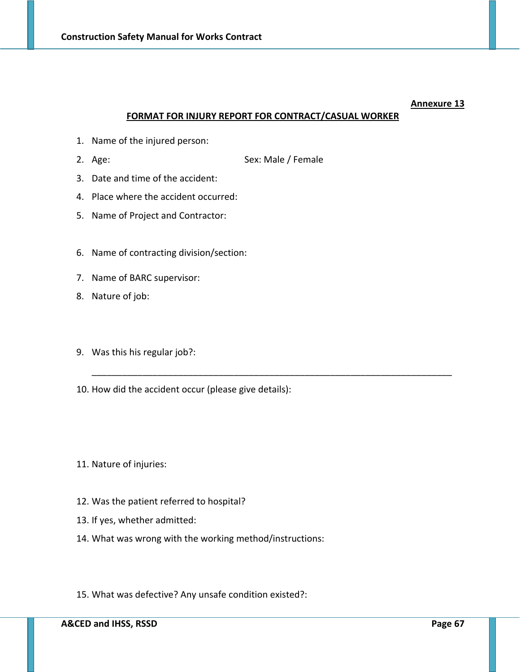#### **FORMAT FOR INJURY REPORT FOR CONTRACT/CASUAL WORKER**

\_\_\_\_\_\_\_\_\_\_\_\_\_\_\_\_\_\_\_\_\_\_\_\_\_\_\_\_\_\_\_\_\_\_\_\_\_\_\_\_\_\_\_\_\_\_\_\_\_\_\_\_\_\_\_\_\_\_\_\_\_\_\_\_\_\_\_\_\_\_\_

- 1. Name of the injured person:
- 2. Age: Sex: Male / Female
- 3. Date and time of the accident:
- 4. Place where the accident occurred:
- 5. Name of Project and Contractor:
- 6. Name of contracting division/section:
- 7. Name of BARC supervisor:
- 8. Nature of job:
- 9. Was this his regular job?:
- 10. How did the accident occur (please give details):
- 11. Nature of injuries:
- 12. Was the patient referred to hospital?
- 13. If yes, whether admitted:
- 14. What was wrong with the working method/instructions:
- 15. What was defective? Any unsafe condition existed?: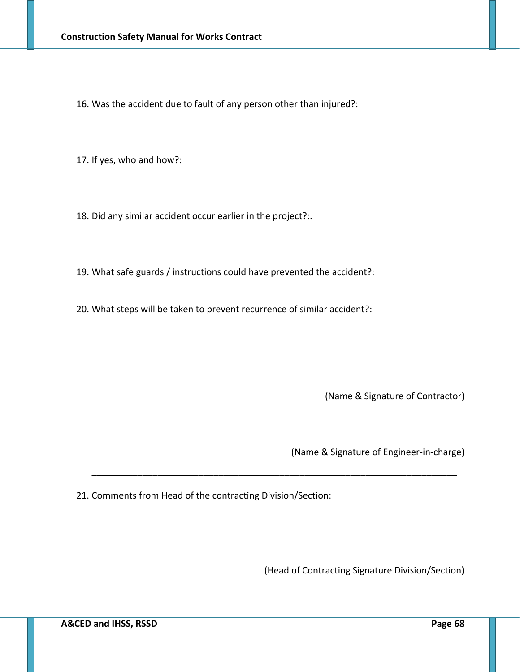16. Was the accident due to fault of any person other than injured?:

17. If yes, who and how?:

18. Did any similar accident occur earlier in the project?:.

19. What safe guards / instructions could have prevented the accident?:

20. What steps will be taken to prevent recurrence of similar accident?:

(Name & Signature of Contractor)

(Name & Signature of Engineer‐in‐charge)

21. Comments from Head of the contracting Division/Section:

\_\_\_\_\_\_\_\_\_\_\_\_\_\_\_\_\_\_\_\_\_\_\_\_\_\_\_\_\_\_\_\_\_\_\_\_\_\_\_\_\_\_\_\_\_\_\_\_\_\_\_\_\_\_\_\_\_\_\_\_\_\_\_\_\_\_\_\_\_\_\_\_

(Head of Contracting Signature Division/Section)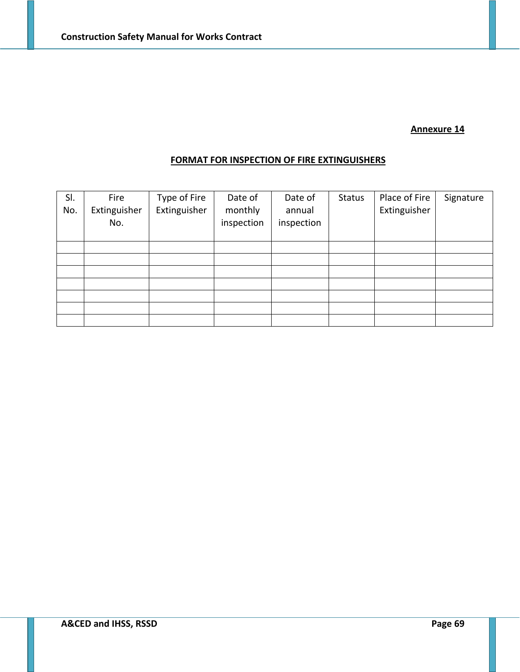# **FORMAT FOR INSPECTION OF FIRE EXTINGUISHERS**

| SI.<br>No. | Fire<br>Extinguisher<br>No. | Type of Fire<br>Extinguisher | Date of<br>monthly<br>inspection | Date of<br>annual<br>inspection | <b>Status</b> | Place of Fire<br>Extinguisher | Signature |
|------------|-----------------------------|------------------------------|----------------------------------|---------------------------------|---------------|-------------------------------|-----------|
|            |                             |                              |                                  |                                 |               |                               |           |
|            |                             |                              |                                  |                                 |               |                               |           |
|            |                             |                              |                                  |                                 |               |                               |           |
|            |                             |                              |                                  |                                 |               |                               |           |
|            |                             |                              |                                  |                                 |               |                               |           |
|            |                             |                              |                                  |                                 |               |                               |           |
|            |                             |                              |                                  |                                 |               |                               |           |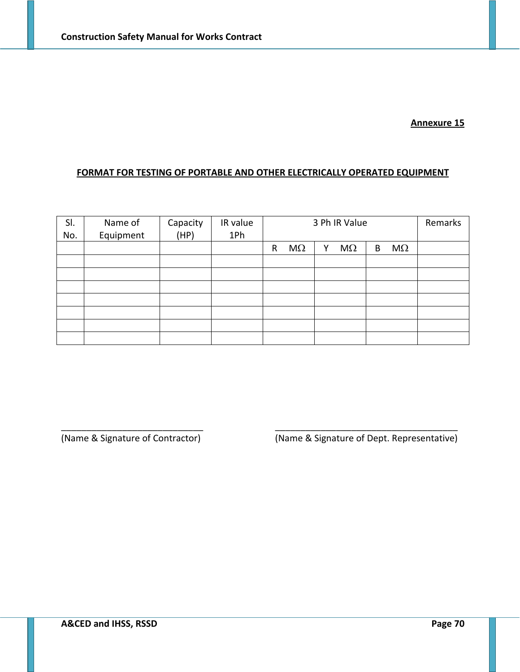## **FORMAT FOR TESTING OF PORTABLE AND OTHER ELECTRICALLY OPERATED EQUIPMENT**

| SI.<br>No. | Name of<br>Equipment | Capacity<br>(HP) | IR value<br>1Ph | 3 Ph IR Value             | Remarks                     |  |
|------------|----------------------|------------------|-----------------|---------------------------|-----------------------------|--|
|            |                      |                  |                 | $M\Omega$<br>$\mathsf{R}$ | $M\Omega$<br>$M\Omega$<br>B |  |
|            |                      |                  |                 |                           |                             |  |
|            |                      |                  |                 |                           |                             |  |
|            |                      |                  |                 |                           |                             |  |
|            |                      |                  |                 |                           |                             |  |
|            |                      |                  |                 |                           |                             |  |
|            |                      |                  |                 |                           |                             |  |
|            |                      |                  |                 |                           |                             |  |

\_\_\_\_\_\_\_\_\_\_\_\_\_\_\_\_\_\_\_\_\_\_\_\_\_\_\_\_ \_\_\_\_\_\_\_\_\_\_\_\_\_\_\_\_\_\_\_\_\_\_\_\_\_\_\_\_\_\_\_\_\_\_\_\_

(Name & Signature of Contractor) (Name & Signature of Dept. Representative)